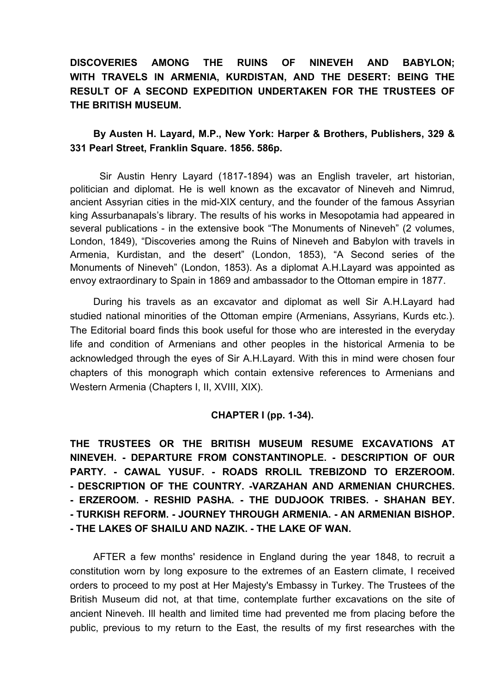## **DISCOVERIES AMONG THE RUINS OF NINEVEH AND BABYLON; WITH TRAVELS IN ARMENIA, KURDISTAN, AND THE DESERT: BEING THE RESULT OF A SECOND EXPEDITION UNDERTAKEN FOR THE TRUSTEES OF THE BRITISH MUSEUM.**

### **By Austen H. Layard, M.P., New York: Harper & Brothers, Publishers, 329 & 331 Pearl Street, Franklin Square. 1856. 586p.**

Sir Austin Henry Layard (1817-1894) was an English traveler, art historian, politician and diplomat. He is well known as the excavator of Nineveh and Nimrud, ancient Assyrian cities in the mid-XIX century, and the founder of the famous Assyrian king Assurbanapals's library. The results of his works in Mesopotamia had appeared in several publications - in the extensive book "The Monuments of Nineveh" (2 volumes, London, 1849), "Discoveries among the Ruins of Nineveh and Babylon with travels in Armenia, Kurdistan, and the desert" (London, 1853), "A Second series of the Monuments of Nineveh" (London, 1853). As a diplomat A.H.Layard was appointed as envoy extraordinary to Spain in 1869 and ambassador to the Ottoman empire in 1877.

During his travels as an excavator and diplomat as well Sir A.H.Layard had studied national minorities of the Ottoman empire (Armenians, Assyrians, Kurds etc.). The Editorial board finds this book useful for those who are interested in the everyday life and condition of Armenians and other peoples in the historical Armenia to be acknowledged through the eyes of Sir A.H.Layard. With this in mind were chosen four chapters of this monograph which contain extensive references to Armenians and Western Armenia (Chapters I, II, XVIII, XIX).

#### **CHAPTER I (pp. 1-34).**

**THE TRUSTEES OR THE BRITISH MUSEUM RESUME EXCAVATIONS AT NINEVEH. - DEPARTURE FROM CONSTANTINOPLE. - DESCRIPTION OF OUR PARTY. - CAWAL YUSUF. - ROADS RROLIL TREBIZOND TO ERZEROOM. - DESCRIPTION OF THE COUNTRY. -VARZAHAN AND ARMENIAN CHURCHES. - ERZEROOM. - RESHID PASHA. - THE DUDJOOK TRIBES. - SHAHAN BEY. - TURKISH REFORM. - JOURNEY THROUGH ARMENIA. - AN ARMENIAN BISHOP. - THE LAKES OF SHAILU AND NAZIK. - THE LAKE OF WAN.** 

AFTER a few months' residence in England during the year 1848, to recruit a constitution worn by long exposure to the extremes of an Eastern climate, I received orders to proceed to my post at Her Majesty's Embassy in Turkey. The Trustees of the British Museum did not, at that time, contemplate further excavations on the site of ancient Nineveh. Ill health and limited time had prevented me from placing before the public, previous to my return to the East, the results of my first researches with the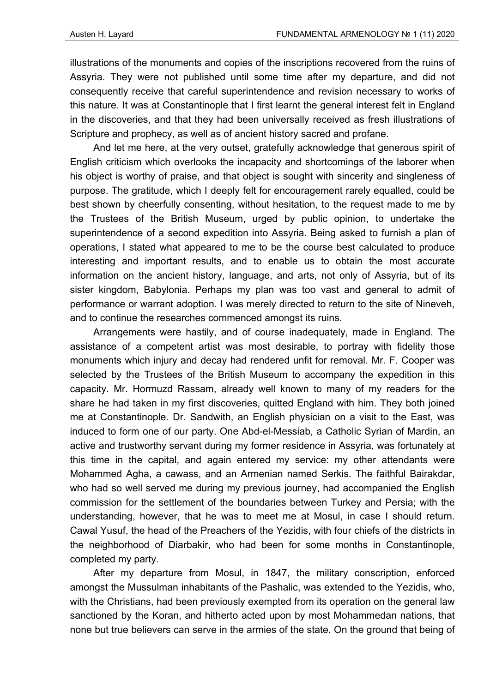illustrations of the monuments and copies of the inscriptions recovered from the ruins of Assyria. They were not published until some time after my departure, and did not consequently receive that careful superintendence and revision necessary to works of this nature. It was at Constantinople that I first learnt the general interest felt in England in the discoveries, and that they had been universally received as fresh illustrations of Scripture and prophecy, as well as of ancient history sacred and profane.

And let me here, at the very outset, gratefully acknowledge that generous spirit of English criticism which overlooks the incapacity and shortcomings of the laborer when his object is worthy of praise, and that object is sought with sincerity and singleness of purpose. The gratitude, which I deeply felt for encouragement rarely equalled, could be best shown by cheerfully consenting, without hesitation, to the request made to me by the Trustees of the British Museum, urged by public opinion, to undertake the superintendence of a second expedition into Assyria. Being asked to furnish a plan of operations, I stated what appeared to me to be the course best calculated to produce interesting and important results, and to enable us to obtain the most accurate information on the ancient history, language, and arts, not only of Assyria, but of its sister kingdom, Babylonia. Perhaps my plan was too vast and general to admit of performance or warrant adoption. I was merely directed to return to the site of Nineveh, and to continue the researches commenced amongst its ruins.

Arrangements were hastily, and of course inadequately, made in England. The assistance of a competent artist was most desirable, to portray with fidelity those monuments which injury and decay had rendered unfit for removal. Mr. F. Cooper was selected by the Trustees of the British Museum to accompany the expedition in this capacity. Mr. Hormuzd Rassam, already well known to many of my readers for the share he had taken in my first discoveries, quitted England with him. They both joined me at Constantinople. Dr. Sandwith, an English physician on a visit to the East, was induced to form one of our party. One Abd-el-Messiab, a Catholic Syrian of Mardin, an active and trustworthy servant during my former residence in Assyria, was fortunately at this time in the capital, and again entered my service: my other attendants were Mohammed Agha, a cawass, and an Armenian named Serkis. The faithful Bairakdar, who had so well served me during my previous journey, had accompanied the English commission for the settlement of the boundaries between Turkey and Persia; with the understanding, however, that he was to meet me at Mosul, in case I should return. Cawal Yusuf, the head of the Preachers of the Yezidis, with four chiefs of the districts in the neighborhood of Diarbakir, who had been for some months in Constantinople, completed my party.

After my departure from Mosul, in 1847, the military conscription, enforced amongst the Mussulman inhabitants of the Pashalic, was extended to the Yezidis, who, with the Christians, had been previously exempted from its operation on the general law sanctioned by the Koran, and hitherto acted upon by most Mohammedan nations, that none but true believers can serve in the armies of the state. On the ground that being of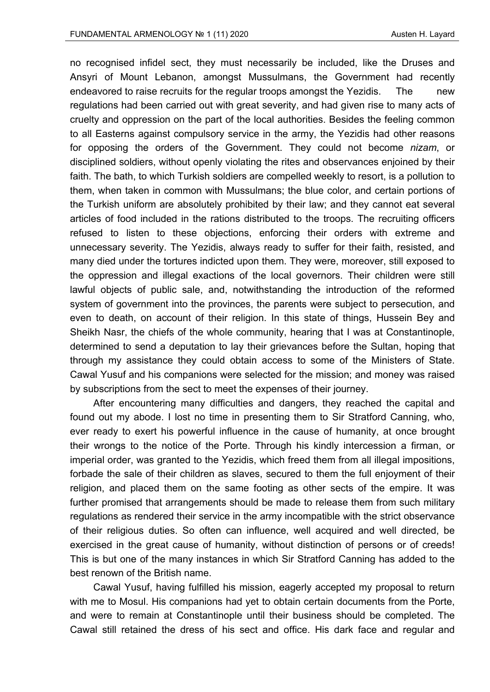no recognised infidel sect, they must necessarily be included, like the Druses and Ansyri of Mount Lebanon, amongst Mussulmans, the Government had recently endeavored to raise recruits for the regular troops amongst the Yezidis. The new regulations had been carried out with great severity, and had given rise to many acts of cruelty and oppression on the part of the local authorities. Besides the feeling common to all Easterns against compulsory service in the army, the Yezidis had other reasons for opposing the orders of the Government. They could not become *nizam*, or disciplined soldiers, without openly violating the rites and observances enjoined by their faith. The bath, to which Turkish soldiers are compelled weekly to resort, is a pollution to them, when taken in common with Mussulmans; the blue color, and certain portions of the Turkish uniform are absolutely prohibited by their law; and they cannot eat several articles of food included in the rations distributed to the troops. The recruiting officers refused to listen to these objections, enforcing their orders with extreme and unnecessary severity. The Yezidis, always ready to suffer for their faith, resisted, and many died under the tortures indicted upon them. They were, moreover, still exposed to the oppression and illegal exactions of the local governors. Their children were still lawful objects of public sale, and, notwithstanding the introduction of the reformed system of government into the provinces, the parents were subject to persecution, and even to death, on account of their religion. In this state of things, Hussein Bey and Sheikh Nasr, the chiefs of the whole community, hearing that I was at Constantinople, determined to send a deputation to lay their grievances before the Sultan, hoping that through my assistance they could obtain access to some of the Ministers of State. Cawal Yusuf and his companions were selected for the mission; and money was raised by subscriptions from the sect to meet the expenses of their journey.

After encountering many difficulties and dangers, they reached the capital and found out my abode. I lost no time in presenting them to Sir Stratford Canning, who, ever ready to exert his powerful influence in the cause of humanity, at once brought their wrongs to the notice of the Porte. Through his kindly intercession a firman, or imperial order, was granted to the Yezidis, which freed them from all illegal impositions, forbade the sale of their children as slaves, secured to them the full enjoyment of their religion, and placed them on the same footing as other sects of the empire. It was further promised that arrangements should be made to release them from such military regulations as rendered their service in the army incompatible with the strict observance of their religious duties. So often can influence, well acquired and well directed, be exercised in the great cause of humanity, without distinction of persons or of creeds! This is but one of the many instances in which Sir Stratford Canning has added to the best renown of the British name.

Cawal Yusuf, having fulfilled his mission, eagerly accepted my proposal to return with me to Mosul. His companions had yet to obtain certain documents from the Porte, and were to remain at Constantinople until their business should be completed. The Cawal still retained the dress of his sect and office. His dark face and regular and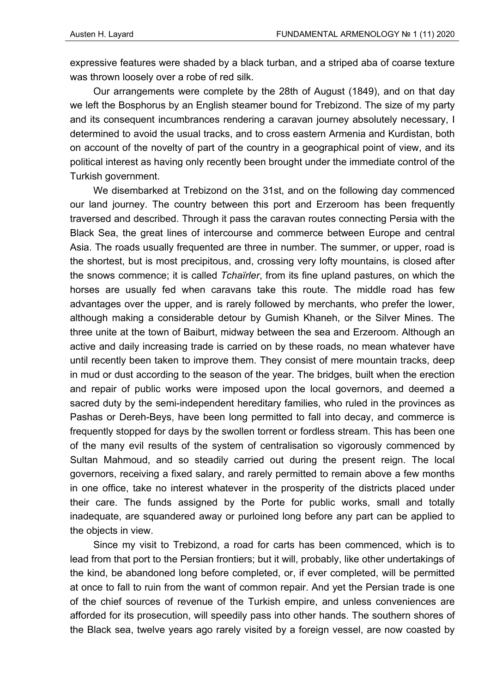expressive features were shaded by a black turban, and a striped aba of coarse texture was thrown loosely over a robe of red silk.

Our arrangements were complete by the 28th of August (1849), and on that day we left the Bosphorus by an English steamer bound for Trebizond. The size of my party and its consequent incumbrances rendering a caravan journey absolutely necessary, I determined to avoid the usual tracks, and to cross eastern Armenia and Kurdistan, both on account of the novelty of part of the country in a geographical point of view, and its political interest as having only recently been brought under the immediate control of the Turkish government.

We disembarked at Trebizond on the 31st, and on the following day commenced our land journey. The country between this port and Erzeroom has been frequently traversed and described. Through it pass the caravan routes connecting Persia with the Black Sea, the great lines of intercourse and commerce between Europe and central Asia. The roads usually frequented are three in number. The summer, or upper, road is the shortest, but is most precipitous, and, crossing very lofty mountains, is closed after the snows commence; it is called *Tchaïrler*, from its fine upland pastures, on which the horses are usually fed when caravans take this route. The middle road has few advantages over the upper, and is rarely followed by merchants, who prefer the lower, although making a considerable detour by Gumish Khaneh, or the Silver Mines. The three unite at the town of Baiburt, midway between the sea and Erzeroom. Although an active and daily increasing trade is carried on by these roads, no mean whatever have until recently been taken to improve them. They consist of mere mountain tracks, deep in mud or dust according to the season of the year. The bridges, built when the erection and repair of public works were imposed upon the local governors, and deemed a sacred duty by the semi-independent hereditary families, who ruled in the provinces as Pashas or Dereh-Beys, have been long permitted to fall into decay, and commerce is frequently stopped for days by the swollen torrent or fordless stream. This has been one of the many evil results of the system of centralisation so vigorously commenced by Sultan Mahmoud, and so steadily carried out during the present reign. The local governors, receiving a fixed salary, and rarely permitted to remain above a few months in one office, take no interest whatever in the prosperity of the districts placed under their care. The funds assigned by the Porte for public works, small and totally inadequate, are squandered away or purloined long before any part can be applied to the objects in view.

Since my visit to Trebizond, a road for carts has been commenced, which is to lead from that port to the Persian frontiers; but it will, probably, like other undertakings of the kind, be abandoned long before completed, or, if ever completed, will be permitted at once to fall to ruin from the want of common repair. And yet the Persian trade is one of the chief sources of revenue of the Turkish empire, and unless conveniences are afforded for its prosecution, will speedily pass into other hands. The southern shores of the Black sea, twelve years ago rarely visited by a foreign vessel, are now coasted by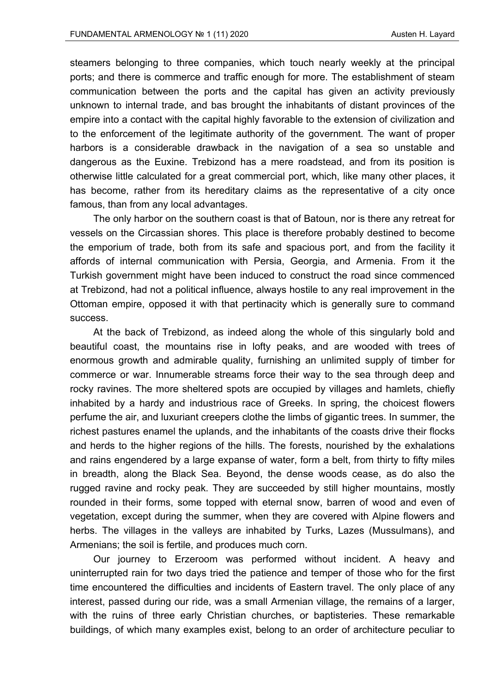steamers belonging to three companies, which touch nearly weekly at the principal ports; and there is commerce and traffic enough for more. The establishment of steam communication between the ports and the capital has given an activity previously unknown to internal trade, and bas brought the inhabitants of distant provinces of the empire into a contact with the capital highly favorable to the extension of civilization and to the enforcement of the legitimate authority of the government. The want of proper harbors is a considerable drawback in the navigation of a sea so unstable and dangerous as the Euxine. Trebizond has a mere roadstead, and from its position is otherwise little calculated for a great commercial port, which, like many other places, it has become, rather from its hereditary claims as the representative of a city once famous, than from any local advantages.

The only harbor on the southern coast is that of Batoun, nor is there any retreat for vessels on the Circassian shores. This place is therefore probably destined to become the emporium of trade, both from its safe and spacious port, and from the facility it affords of internal communication with Persia, Georgia, and Armenia. From it the Turkish government might have been induced to construct the road since commenced at Trebizond, had not a political influence, always hostile to any real improvement in the Ottoman empire, opposed it with that pertinacity which is generally sure to command success.

At the back of Trebizond, as indeed along the whole of this singularly bold and beautiful coast, the mountains rise in lofty peaks, and are wooded with trees of enormous growth and admirable quality, furnishing an unlimited supply of timber for commerce or war. Innumerable streams force their way to the sea through deep and rocky ravines. The more sheltered spots are occupied by villages and hamlets, chiefly inhabited by a hardy and industrious race of Greeks. In spring, the choicest flowers perfume the air, and luxuriant creepers clothe the limbs of gigantic trees. In summer, the richest pastures enamel the uplands, and the inhabitants of the coasts drive their flocks and herds to the higher regions of the hills. The forests, nourished by the exhalations and rains engendered by a large expanse of water, form a belt, from thirty to fifty miles in breadth, along the Black Sea. Beyond, the dense woods cease, as do also the rugged ravine and rocky peak. They are succeeded by still higher mountains, mostly rounded in their forms, some topped with eternal snow, barren of wood and even of vegetation, except during the summer, when they are covered with Alpine flowers and herbs. The villages in the valleys are inhabited by Turks, Lazes (Mussulmans), and Armenians; the soil is fertile, and produces much corn.

Our journey to Erzeroom was performed without incident. A heavy and uninterrupted rain for two days tried the patience and temper of those who for the first time encountered the difficulties and incidents of Eastern travel. The only place of any interest, passed during our ride, was a small Armenian village, the remains of a larger, with the ruins of three early Christian churches, or baptisteries. These remarkable buildings, of which many examples exist, belong to an order of architecture peculiar to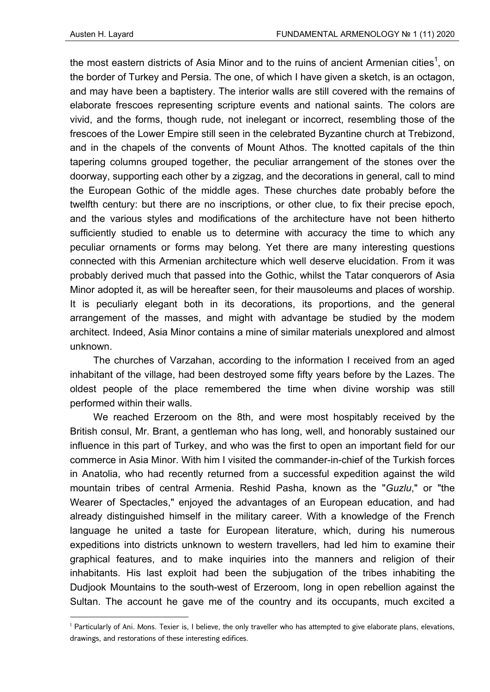the most eastern districts of Asia Minor and to the ruins of ancient Armenian cities $^{\text{\tiny{\textup{1}}}}$ , on the border of Turkey and Persia. The one, of which I have given a sketch, is an octagon, and may have been a baptistery. The interior walls are still covered with the remains of elaborate frescoes representing scripture events and national saints. The colors are vivid, and the forms, though rude, not inelegant or incorrect, resembling those of the frescoes of the Lower Empire still seen in the celebrated Byzantine church at Trebizond, and in the chapels of the convents of Mount Athos. The knotted capitals of the thin tapering columns grouped together, the peculiar arrangement of the stones over the doorway, supporting each other by a zigzag, and the decorations in general, call to mind the European Gothic of the middle ages. These churches date probably before the twelfth century: but there are no inscriptions, or other clue, to fix their precise epoch, and the various styles and modifications of the architecture have not been hitherto sufficiently studied to enable us to determine with accuracy the time to which any peculiar ornaments or forms may belong. Yet there are many interesting questions connected with this Armenian architecture which well deserve elucidation. From it was probably derived much that passed into the Gothic, whilst the Tatar conquerors of Asia Minor adopted it, as will be hereafter seen, for their mausoleums and places of worship. It is peculiarly elegant both in its decorations, its proportions, and the general arrangement of the masses, and might with advantage be studied by the modem architect. Indeed, Asia Minor contains a mine of similar materials unexplored and almost unknown.

The churches of Varzahan, according to the information I received from an aged inhabitant of the village, had been destroyed some fifty years before by the Lazes. The oldest people of the place remembered the time when divine worship was still performed within their walls.

We reached Erzeroom on the 8th, and were most hospitably received by the British consul, Mr. Brant, a gentleman who has long, well, and honorably sustained our influence in this part of Turkey, and who was the first to open an important field for our commerce in Asia Minor. With him I visited the commander-in-chief of the Turkish forces in Anatolia, who had recently returned from a successful expedition against the wild mountain tribes of central Armenia. Reshid Pasha, known as the "*Guzlu*," or "the Wearer of Spectacles," enjoyed the advantages of an European education, and had already distinguished himself in the military career. With a knowledge of the French language he united a taste for European literature, which, during his numerous expeditions into districts unknown to western travellers, had led him to examine their graphical features, and to make inquiries into the manners and religion of their inhabitants. His last exploit had been the subjugation of the tribes inhabiting the Dudjook Mountains to the south-west of Erzeroom, long in open rebellion against the Sultan. The account he gave me of the country and its occupants, much excited a

<sup>&</sup>lt;sup>1</sup> Particularly of Ani. Mons. Texier is, I believe, the only traveller who has attempted to give elaborate plans, elevations, drawings, and restorations of these interesting edifices.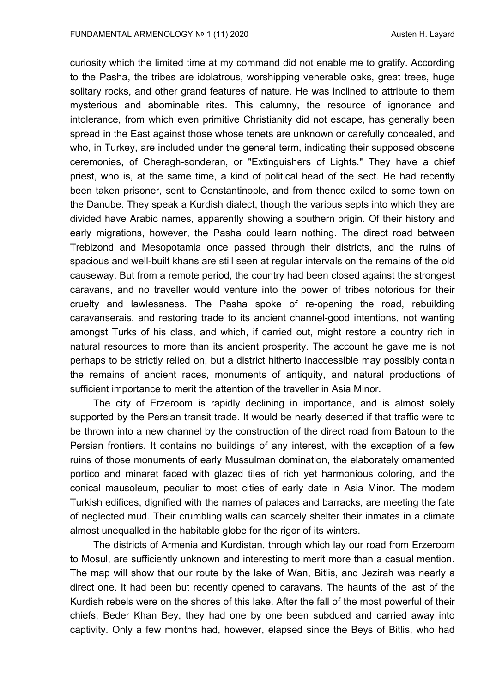curiosity which the limited time at my command did not enable me to gratify. According to the Pasha, the tribes are idolatrous, worshipping venerable oaks, great trees, huge solitary rocks, and other grand features of nature. He was inclined to attribute to them mysterious and abominable rites. This calumny, the resource of ignorance and intolerance, from which even primitive Christianity did not escape, has generally been spread in the East against those whose tenets are unknown or carefully concealed, and who, in Turkey, are included under the general term, indicating their supposed obscene ceremonies, of Cheragh-sonderan, or "Extinguishers of Lights." They have a chief priest, who is, at the same time, a kind of political head of the sect. He had recently been taken prisoner, sent to Constantinople, and from thence exiled to some town on the Danube. They speak a Kurdish dialect, though the various septs into which they are divided have Arabic names, apparently showing a southern origin. Of their history and early migrations, however, the Pasha could learn nothing. The direct road between Trebizond and Mesopotamia once passed through their districts, and the ruins of spacious and well-built khans are still seen at regular intervals on the remains of the old causeway. But from a remote period, the country had been closed against the strongest caravans, and no traveller would venture into the power of tribes notorious for their cruelty and lawlessness. The Pasha spoke of re-opening the road, rebuilding caravanserais, and restoring trade to its ancient channel-good intentions, not wanting amongst Turks of his class, and which, if carried out, might restore a country rich in natural resources to more than its ancient prosperity. The account he gave me is not perhaps to be strictly relied on, but a district hitherto inaccessible may possibly contain the remains of ancient races, monuments of antiquity, and natural productions of sufficient importance to merit the attention of the traveller in Asia Minor.

The city of Erzeroom is rapidly declining in importance, and is almost solely supported by the Persian transit trade. It would be nearly deserted if that traffic were to be thrown into a new channel by the construction of the direct road from Batoun to the Persian frontiers. It contains no buildings of any interest, with the exception of a few ruins of those monuments of early Mussulman domination, the elaborately ornamented portico and minaret faced with glazed tiles of rich yet harmonious coloring, and the conical mausoleum, peculiar to most cities of early date in Asia Minor. The modem Turkish edifices, dignified with the names of palaces and barracks, are meeting the fate of neglected mud. Their crumbling walls can scarcely shelter their inmates in a climate almost unequalled in the habitable globe for the rigor of its winters.

The districts of Armenia and Kurdistan, through which lay our road from Erzeroom to Mosul, are sufficiently unknown and interesting to merit more than a casual mention. The map will show that our route by the lake of Wan, Bitlis, and Jezirah was nearly a direct one. It had been but recently opened to caravans. The haunts of the last of the Kurdish rebels were on the shores of this lake. After the fall of the most powerful of their chiefs, Beder Khan Bey, they had one by one been subdued and carried away into captivity. Only a few months had, however, elapsed since the Beys of Bitlis, who had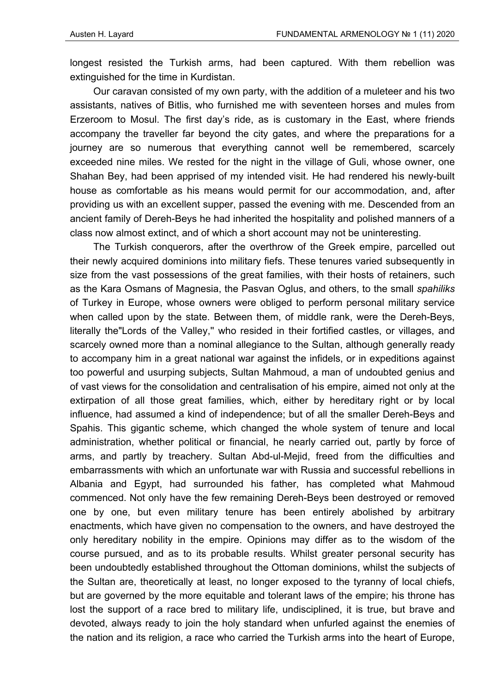longest resisted the Turkish arms, had been captured. With them rebellion was extinguished for the time in Kurdistan.

Our caravan consisted of my own party, with the addition of a muleteer and his two assistants, natives of Bitlis, who furnished me with seventeen horses and mules from Erzeroom to Mosul. The first day's ride, as is customary in the East, where friends accompany the traveller far beyond the city gates, and where the preparations for a journey are so numerous that everything cannot well be remembered, scarcely exceeded nine miles. We rested for the night in the village of Guli, whose owner, one Shahan Bey, had been apprised of my intended visit. He had rendered his newly-built house as comfortable as his means would permit for our accommodation, and, after providing us with an excellent supper, passed the evening with me. Descended from an ancient family of Dereh-Beys he had inherited the hospitality and polished manners of a class now almost extinct, and of which a short account may not be uninteresting.

The Turkish conquerors, after the overthrow of the Greek empire, parcelled out their newly acquired dominions into military fiefs. These tenures varied subsequently in size from the vast possessions of the great families, with their hosts of retainers, such as the Kara Osmans of Magnesia, the Pasvan Oglus, and others, to the small *spahiliks* of Turkey in Europe, whose owners were obliged to perform personal military service when called upon by the state. Between them, of middle rank, were the Dereh-Beys, literally the"Lords of the Valley,'' who resided in their fortified castles, or villages, and scarcely owned more than a nominal allegiance to the Sultan, although generally ready to accompany him in a great national war against the infidels, or in expeditions against too powerful and usurping subjects, Sultan Mahmoud, a man of undoubted genius and of vast views for the consolidation and centralisation of his empire, aimed not only at the extirpation of all those great families, which, either by hereditary right or by local influence, had assumed a kind of independence; but of all the smaller Dereh-Beys and Spahis. This gigantic scheme, which changed the whole system of tenure and local administration, whether political or financial, he nearly carried out, partly by force of arms, and partly by treachery. Sultan Abd-ul-Mejid, freed from the difficulties and embarrassments with which an unfortunate war with Russia and successful rebellions in Albania and Egypt, had surrounded his father, has completed what Mahmoud commenced. Not only have the few remaining Dereh-Beys been destroyed or removed one by one, but even military tenure has been entirely abolished by arbitrary enactments, which have given no compensation to the owners, and have destroyed the only hereditary nobility in the empire. Opinions may differ as to the wisdom of the course pursued, and as to its probable results. Whilst greater personal security has been undoubtedly established throughout the Ottoman dominions, whilst the subjects of the Sultan are, theoretically at least, no longer exposed to the tyranny of local chiefs, but are governed by the more equitable and tolerant laws of the empire; his throne has lost the support of a race bred to military life, undisciplined, it is true, but brave and devoted, always ready to join the holy standard when unfurled against the enemies of the nation and its religion, a race who carried the Turkish arms into the heart of Europe,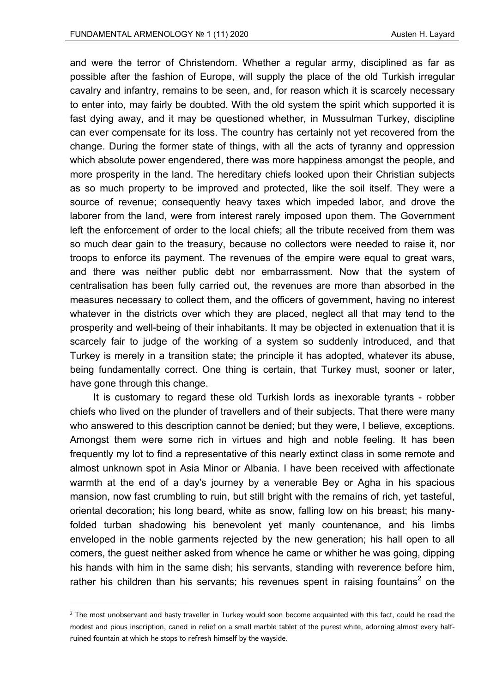and were the terror of Christendom. Whether a regular army, disciplined as far as possible after the fashion of Europe, will supply the place of the old Turkish irregular cavalry and infantry, remains to be seen, and, for reason which it is scarcely necessary to enter into, may fairly be doubted. With the old system the spirit which supported it is fast dying away, and it may be questioned whether, in Mussulman Turkey, discipline can ever compensate for its loss. The country has certainly not yet recovered from the change. During the former state of things, with all the acts of tyranny and oppression which absolute power engendered, there was more happiness amongst the people, and more prosperity in the land. The hereditary chiefs looked upon their Christian subjects as so much property to be improved and protected, like the soil itself. They were a source of revenue; consequently heavy taxes which impeded labor, and drove the laborer from the land, were from interest rarely imposed upon them. The Government left the enforcement of order to the local chiefs; all the tribute received from them was so much dear gain to the treasury, because no collectors were needed to raise it, nor troops to enforce its payment. The revenues of the empire were equal to great wars, and there was neither public debt nor embarrassment. Now that the system of centralisation has been fully carried out, the revenues are more than absorbed in the measures necessary to collect them, and the officers of government, having no interest whatever in the districts over which they are placed, neglect all that may tend to the prosperity and well-being of their inhabitants. It may be objected in extenuation that it is scarcely fair to judge of the working of a system so suddenly introduced, and that Turkey is merely in a transition state; the principle it has adopted, whatever its abuse, being fundamentally correct. One thing is certain, that Turkey must, sooner or later, have gone through this change.

It is customary to regard these old Turkish lords as inexorable tyrants - robber chiefs who lived on the plunder of travellers and of their subjects. That there were many who answered to this description cannot be denied; but they were, I believe, exceptions. Amongst them were some rich in virtues and high and noble feeling. It has been frequently my lot to find a representative of this nearly extinct class in some remote and almost unknown spot in Asia Minor or Albania. I have been received with affectionate warmth at the end of a day's journey by a venerable Bey or Agha in his spacious mansion, now fast crumbling to ruin, but still bright with the remains of rich, yet tasteful, oriental decoration; his long beard, white as snow, falling low on his breast; his manyfolded turban shadowing his benevolent yet manly countenance, and his limbs enveloped in the noble garments rejected by the new generation; his hall open to all comers, the guest neither asked from whence he came or whither he was going, dipping his hands with him in the same dish; his servants, standing with reverence before him, rather his children than his servants; his revenues spent in raising fountains<sup>2</sup> on the

 $^{\rm 2}$  The most unobservant and hasty traveller in Turkey would soon become acquainted with this fact, could he read the modest and pious inscription, caned in relief on a small marble tablet of the purest white, adorning almost every halfruined fountain at which he stops to refresh himself by the wayside.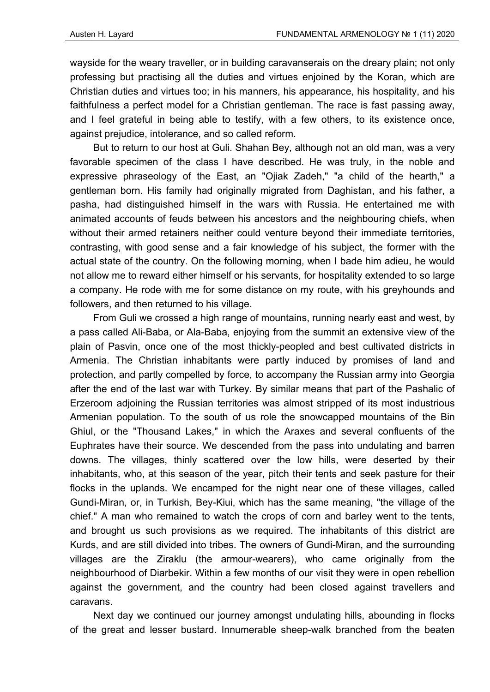wayside for the weary traveller, or in building caravanserais on the dreary plain; not only professing but practising all the duties and virtues enjoined by the Koran, which are Christian duties and virtues too; in his manners, his appearance, his hospitality, and his faithfulness a perfect model for a Christian gentleman. The race is fast passing away, and I feel grateful in being able to testify, with a few others, to its existence once, against prejudice, intolerance, and so called reform.

But to return to our host at Guli. Shahan Bey, although not an old man, was a very favorable specimen of the class I have described. He was truly, in the noble and expressive phraseology of the East, an "Ojiak Zadeh," "a child of the hearth," a gentleman born. His family had originally migrated from Daghistan, and his father, a pasha, had distinguished himself in the wars with Russia. He entertained me with animated accounts of feuds between his ancestors and the neighbouring chiefs, when without their armed retainers neither could venture beyond their immediate territories, contrasting, with good sense and a fair knowledge of his subject, the former with the actual state of the country. On the following morning, when I bade him adieu, he would not allow me to reward either himself or his servants, for hospitality extended to so large a company. He rode with me for some distance on my route, with his greyhounds and followers, and then returned to his village.

From Guli we crossed a high range of mountains, running nearly east and west, by a pass called Ali-Baba, or Ala-Baba, enjoying from the summit an extensive view of the plain of Pasvin, once one of the most thickly-peopled and best cultivated districts in Armenia. The Christian inhabitants were partly induced by promises of land and protection, and partly compelled by force, to accompany the Russian army into Georgia after the end of the last war with Turkey. By similar means that part of the Pashalic of Erzeroom adjoining the Russian territories was almost stripped of its most industrious Armenian population. To the south of us role the snowcapped mountains of the Bin Ghiul, or the "Thousand Lakes," in which the Araxes and several confluents of the Euphrates have their source. We descended from the pass into undulating and barren downs. The villages, thinly scattered over the low hills, were deserted by their inhabitants, who, at this season of the year, pitch their tents and seek pasture for their flocks in the uplands. We encamped for the night near one of these villages, called Gundi-Miran, or, in Turkish, Bey-Kiui, which has the same meaning, "the village of the chief." A man who remained to watch the crops of corn and barley went to the tents, and brought us such provisions as we required. The inhabitants of this district are Kurds, and are still divided into tribes. The owners of Gundi-Miran, and the surrounding villages are the Ziraklu (the armour-wearers), who came originally from the neighbourhood of Diarbekir. Within a few months of our visit they were in open rebellion against the government, and the country had been closed against travellers and caravans.

Next day we continued our journey amongst undulating hills, abounding in flocks of the great and lesser bustard. Innumerable sheep-walk branched from the beaten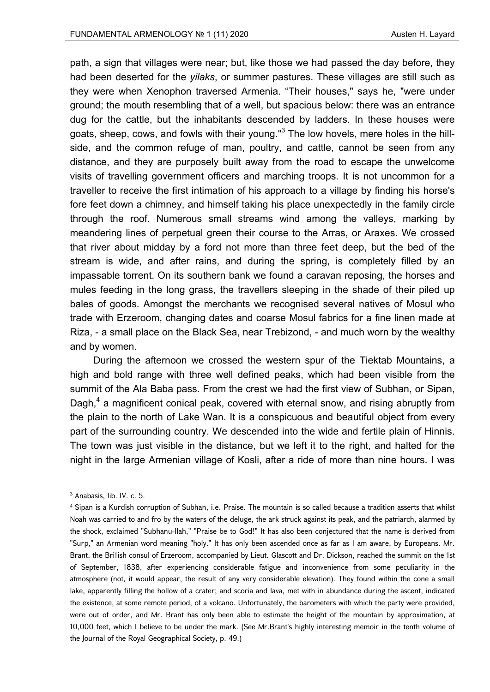path, a sign that villages were near; but, like those we had passed the day before, they had been deserted for the *yilaks*, or summer pastures. These villages are still such as they were when Xenophon traversed Armenia. "Their houses," says he, "were under ground; the mouth resembling that of a well, but spacious below: there was an entrance dug for the cattle, but the inhabitants descended by ladders. In these houses were goats, sheep, cows, and fowls with their young."<sup>3</sup> The low hovels, mere holes in the hillside, and the common refuge of man, poultry, and cattle, cannot be seen from any distance, and they are purposely built away from the road to escape the unwelcome visits of travelling government officers and marching troops. It is not uncommon for a traveller to receive the first intimation of his approach to a village by finding his horse's fore feet down a chimney, and himself taking his place unexpectedly in the family circle through the roof. Numerous small streams wind among the valleys, marking by meandering lines of perpetual green their course to the Arras, or Araxes. We crossed that river about midday by a ford not more than three feet deep, but the bed of the stream is wide, and after rains, and during the spring, is completely filled by an impassable torrent. On its southern bank we found a caravan reposing, the horses and mules feeding in the long grass, the travellers sleeping in the shade of their piled up bales of goods. Amongst the merchants we recognised several natives of Mosul who trade with Erzeroom, changing dates and coarse Mosul fabrics for a fine linen made at Riza, - a small place on the Black Sea, near Trebizond, - and much worn by the wealthy and by women.

During the afternoon we crossed the western spur of the Tiektab Mountains, a high and bold range with three well defined peaks, which had been visible from the summit of the Ala Baba pass. From the crest we had the first view of Subhan, or Sipan, Dagh,<sup>4</sup> a magnificent conical peak, covered with eternal snow, and rising abruptly from the plain to the north of Lake Wan. It is a conspicuous and beautiful object from every part of the surrounding country. We descended into the wide and fertile plain of Hinnis. The town was just visible in the distance, but we left it to the right, and halted for the night in the large Armenian village of Kosli, after a ride of more than nine hours. I was

<sup>3</sup> Anabasis, lib. IV. c. 5.

<sup>4</sup> Sipan is a Kurdish corruption of Subhan, i.e. Praise. The mountain is so called because a tradition asserts that whilst Noah was carried to and fro by the waters of the deluge, the ark struck against its peak, and the patriarch, alarmed by the shock, exclaimed "Subhanu-llah," "Praise be to God!" It has also been conjectured that the name is derived from "Surp," an Armenian word meaning "holy." It has only been ascended once as far as I am aware, by Europeans. Mr. Brant, the Bri1ish consul of Erzeroom, accompanied by Lieut. Glascott and Dr. Dickson, reached the summit on the 1st of September, 1838, after experiencing considerable fatigue and inconvenience from some peculiarity in the atmosphere (not, it would appear, the result of any very considerable elevation). They found within the cone a small lake, apparently filling the hollow of a crater; and scoria and lava, met with in abundance during the ascent, indicated the existence, at some remote period, of a volcano. Unfortunately, the barometers with which the party were provided, were out of order, and Mr. Brant has only been able to estimate the height of the mountain by approximation, at 10,000 feet, which I believe to be under the mark. (See Mr.Brant's highly interesting memoir in the tenth volume of the Journal of the Royal Geographical Society, p. 49.)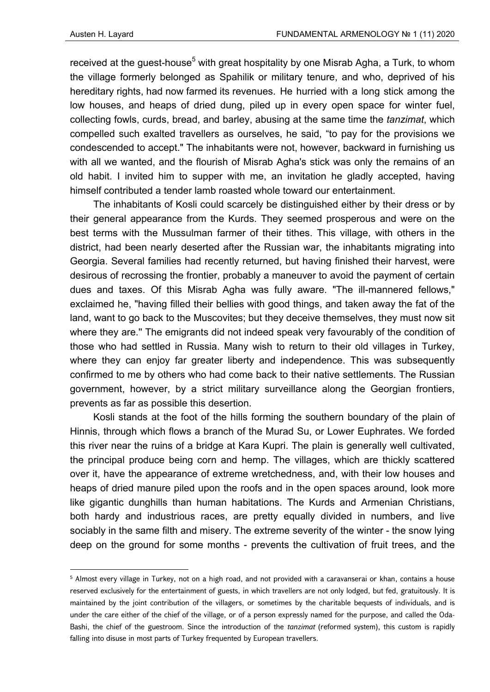received at the guest-house<sup>5</sup> with great hospitality by one Misrab Agha, a Turk, to whom the village formerly belonged as Spahilik or military tenure, and who, deprived of his hereditary rights, had now farmed its revenues. He hurried with a long stick among the low houses, and heaps of dried dung, piled up in every open space for winter fuel, collecting fowls, curds, bread, and barley, abusing at the same time the *tanzimat*, which compelled such exalted travellers as ourselves, he said, "to pay for the provisions we condescended to accept." The inhabitants were not, however, backward in furnishing us with all we wanted, and the flourish of Misrab Agha's stick was only the remains of an old habit. I invited him to supper with me, an invitation he gladly accepted, having himself contributed a tender lamb roasted whole toward our entertainment.

The inhabitants of Kosli could scarcely be distinguished either by their dress or by their general appearance from the Kurds. They seemed prosperous and were on the best terms with the Mussulman farmer of their tithes. This village, with others in the district, had been nearly deserted after the Russian war, the inhabitants migrating into Georgia. Several families had recently returned, but having finished their harvest, were desirous of recrossing the frontier, probably a maneuver to avoid the payment of certain dues and taxes. Of this Misrab Agha was fully aware. "The ill-mannered fellows," exclaimed he, "having filled their bellies with good things, and taken away the fat of the land, want to go back to the Muscovites; but they deceive themselves, they must now sit where they are.'' The emigrants did not indeed speak very favourably of the condition of those who had settled in Russia. Many wish to return to their old villages in Turkey, where they can enjoy far greater liberty and independence. This was subsequently confirmed to me by others who had come back to their native settlements. The Russian government, however, by a strict military surveillance along the Georgian frontiers, prevents as far as possible this desertion.

Kosli stands at the foot of the hills forming the southern boundary of the plain of Hinnis, through which flows a branch of the Murad Su, or Lower Euphrates. We forded this river near the ruins of a bridge at Kara Kupri. The plain is generally well cultivated, the principal produce being corn and hemp. The villages, which are thickly scattered over it, have the appearance of extreme wretchedness, and, with their low houses and heaps of dried manure piled upon the roofs and in the open spaces around, look more like gigantic dunghills than human habitations. The Kurds and Armenian Christians, both hardy and industrious races, are pretty equally divided in numbers, and live sociably in the same filth and misery. The extreme severity of the winter - the snow lying deep on the ground for some months - prevents the cultivation of fruit trees, and the

<sup>5</sup> Almost every village in Turkey, not on a high road, and not provided with a caravanserai or khan, contains a house reserved exclusively for the entertainment of guests, in which travellers are not only lodged, but fed, gratuitously. It is maintained by the joint contribution of the villagers, or sometimes by the charitable bequests of individuals, and is under the care either of the chief of the village, or of a person expressly named for the purpose, and called the Oda-Bashi, the chief of the guestroom. Since the introduction of the *tanzimat* (reformed system), this custom is rapidly falling into disuse in most parts of Turkey frequented by European travellers.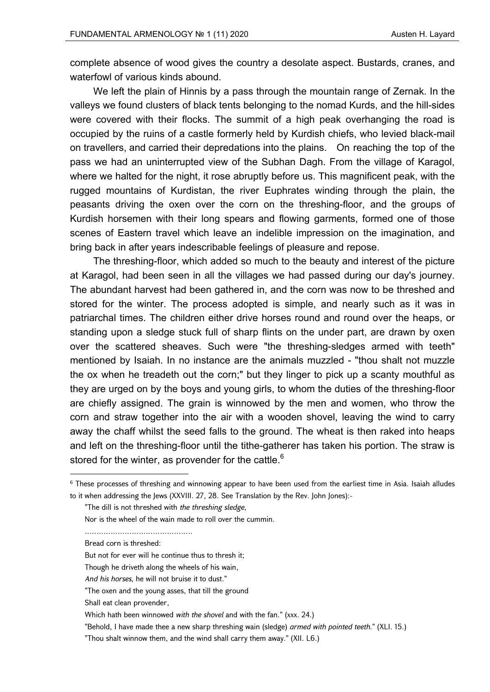complete absence of wood gives the country a desolate aspect. Bustards, cranes, and waterfowl of various kinds abound.

We left the plain of Hinnis by a pass through the mountain range of Zernak. In the valleys we found clusters of black tents belonging to the nomad Kurds, and the hill-sides were covered with their flocks. The summit of a high peak overhanging the road is occupied by the ruins of a castle formerly held by Kurdish chiefs, who levied black-mail on travellers, and carried their depredations into the plains. On reaching the top of the pass we had an uninterrupted view of the Subhan Dagh. From the village of Karagol, where we halted for the night, it rose abruptly before us. This magnificent peak, with the rugged mountains of Kurdistan, the river Euphrates winding through the plain, the peasants driving the oxen over the corn on the threshing-floor, and the groups of Kurdish horsemen with their long spears and flowing garments, formed one of those scenes of Eastern travel which leave an indelible impression on the imagination, and bring back in after years indescribable feelings of pleasure and repose.

The threshing-floor, which added so much to the beauty and interest of the picture at Karagol, had been seen in all the villages we had passed during our day's journey. The abundant harvest had been gathered in, and the corn was now to be threshed and stored for the winter. The process adopted is simple, and nearly such as it was in patriarchal times. The children either drive horses round and round over the heaps, or standing upon a sledge stuck full of sharp flints on the under part, are drawn by oxen over the scattered sheaves. Such were "the threshing-sledges armed with teeth" mentioned by Isaiah. In no instance are the animals muzzled - "thou shalt not muzzle the ox when he treadeth out the corn;" but they linger to pick up a scanty mouthful as they are urged on by the boys and young girls, to whom the duties of the threshing-floor are chiefly assigned. The grain is winnowed by the men and women, who throw the corn and straw together into the air with a wooden shovel, leaving the wind to carry away the chaff whilst the seed falls to the ground. The wheat is then raked into heaps and left on the threshing-floor until the tithe-gatherer has taken his portion. The straw is stored for the winter, as provender for the cattle.<sup>6</sup>

 $6$  These processes of threshing and winnowing appear to have been used from the earliest time in Asia. Isaiah alludes to it when addressing the Jews (XXVIII. 27, 28. See Translation by the Rev. John Jones):-

<sup>&</sup>quot;The dill is not threshed with *the threshing sledge*,

Nor is the wheel of the wain made to roll over the cummin.

<sup>………………………………………………</sup> 

Bread corn is threshed:

But not for ever will he continue thus to thresh it;

Though he driveth along the wheels of his wain,

*And his horses*, he will not bruise it to dust."

<sup>&</sup>quot;The oxen and the young asses, that till the ground

Shall eat clean provender,

Which hath been winnowed *with the shovel* and with the fan." (xxx. 24.)

<sup>&</sup>quot;Behold, I have made thee a new sharp threshing wain (sledge) *armed with pointed teeth*." (XLI. 15.)

<sup>&</sup>quot;Thou shalt winnow them, and the wind shall carry them away." (XII. L6.)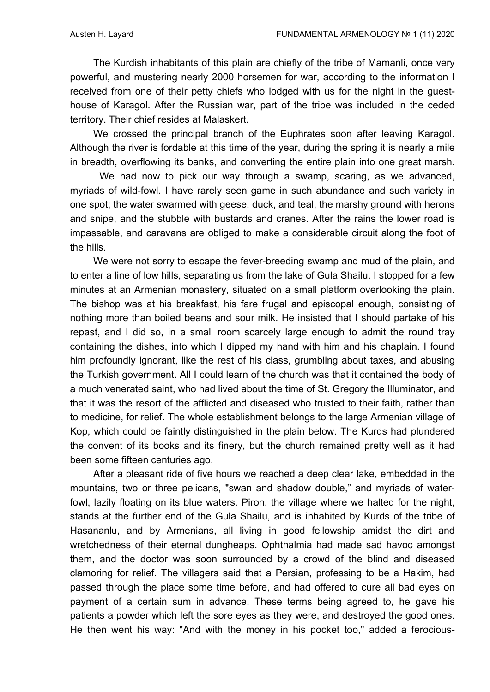The Kurdish inhabitants of this plain are chiefly of the tribe of Mamanli, once very powerful, and mustering nearly 2000 horsemen for war, according to the information I received from one of their petty chiefs who lodged with us for the night in the guesthouse of Karagol. After the Russian war, part of the tribe was included in the ceded territory. Their chief resides at Malaskert.

We crossed the principal branch of the Euphrates soon after leaving Karagol. Although the river is fordable at this time of the year, during the spring it is nearly a mile in breadth, overflowing its banks, and converting the entire plain into one great marsh.

 We had now to pick our way through a swamp, scaring, as we advanced, myriads of wild-fowl. I have rarely seen game in such abundance and such variety in one spot; the water swarmed with geese, duck, and teal, the marshy ground with herons and snipe, and the stubble with bustards and cranes. After the rains the lower road is impassable, and caravans are obliged to make a considerable circuit along the foot of the hills.

We were not sorry to escape the fever-breeding swamp and mud of the plain, and to enter a line of low hills, separating us from the lake of Gula Shailu. I stopped for a few minutes at an Armenian monastery, situated on a small platform overlooking the plain. The bishop was at his breakfast, his fare frugal and episcopal enough, consisting of nothing more than boiled beans and sour milk. He insisted that I should partake of his repast, and I did so, in a small room scarcely large enough to admit the round tray containing the dishes, into which I dipped my hand with him and his chaplain. I found him profoundly ignorant, like the rest of his class, grumbling about taxes, and abusing the Turkish government. All I could learn of the church was that it contained the body of a much venerated saint, who had lived about the time of St. Gregory the Illuminator, and that it was the resort of the afflicted and diseased who trusted to their faith, rather than to medicine, for relief. The whole establishment belongs to the large Armenian village of Kop, which could be faintly distinguished in the plain below. The Kurds had plundered the convent of its books and its finery, but the church remained pretty well as it had been some fifteen centuries ago.

After a pleasant ride of five hours we reached a deep clear lake, embedded in the mountains, two or three pelicans, "swan and shadow double," and myriads of waterfowl, lazily floating on its blue waters. Piron, the village where we halted for the night, stands at the further end of the Gula Shailu, and is inhabited by Kurds of the tribe of Hasananlu, and by Armenians, all living in good fellowship amidst the dirt and wretchedness of their eternal dungheaps. Ophthalmia had made sad havoc amongst them, and the doctor was soon surrounded by a crowd of the blind and diseased clamoring for relief. The villagers said that a Persian, professing to be a Hakim, had passed through the place some time before, and had offered to cure all bad eyes on payment of a certain sum in advance. These terms being agreed to, he gave his patients a powder which left the sore eyes as they were, and destroyed the good ones. He then went his way: "And with the money in his pocket too," added a ferocious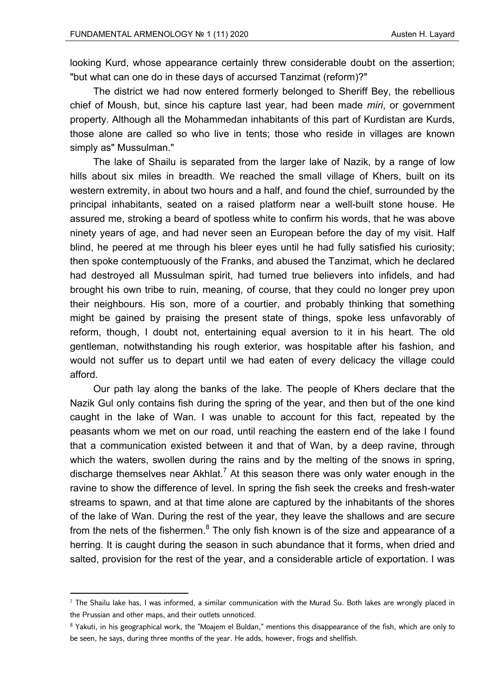looking Kurd, whose appearance certainly threw considerable doubt on the assertion; "but what can one do in these days of accursed Tanzimat (reform)?"

The district we had now entered formerly belonged to Sheriff Bey, the rebellious chief of Moush, but, since his capture last year, had been made *miri*, or government property. Although all the Mohammedan inhabitants of this part of Kurdistan are Kurds, those alone are called so who live in tents; those who reside in villages are known simply as" Mussulman."

The lake of Shailu is separated from the larger lake of Nazik, by a range of low hills about six miles in breadth. We reached the small village of Khers, built on its western extremity, in about two hours and a half, and found the chief, surrounded by the principal inhabitants, seated on a raised platform near a well-built stone house. He assured me, stroking a beard of spotless white to confirm his words, that he was above ninety years of age, and had never seen an European before the day of my visit. Half blind, he peered at me through his bleer eyes until he had fully satisfied his curiosity; then spoke contemptuously of the Franks, and abused the Tanzimat, which he declared had destroyed all Mussulman spirit, had turned true believers into infidels, and had brought his own tribe to ruin, meaning, of course, that they could no longer prey upon their neighbours. His son, more of a courtier, and probably thinking that something might be gained by praising the present state of things, spoke less unfavorably of reform, though, I doubt not, entertaining equal aversion to it in his heart. The old gentleman, notwithstanding his rough exterior, was hospitable after his fashion, and would not suffer us to depart until we had eaten of every delicacy the village could afford.

Our path lay along the banks of the lake. The people of Khers declare that the Nazik Gul only contains fish during the spring of the year, and then but of the one kind caught in the lake of Wan. I was unable to account for this fact, repeated by the peasants whom we met on our road, until reaching the eastern end of the lake I found that a communication existed between it and that of Wan, by a deep ravine, through which the waters, swollen during the rains and by the melting of the snows in spring, discharge themselves near Akhlat.<sup>7</sup> At this season there was only water enough in the ravine to show the difference of level. In spring the fish seek the creeks and fresh-water streams to spawn, and at that time alone are captured by the inhabitants of the shores of the lake of Wan. During the rest of the year, they leave the shallows and are secure from the nets of the fishermen. $^8$  The only fish known is of the size and appearance of a herring. It is caught during the season in such abundance that it forms, when dried and salted, provision for the rest of the year, and a considerable article of exportation. I was

<sup>7</sup> The Shailu lake has, I was informed, a similar communication with the Murad Su. Both lakes are wrongly placed in the Prussian and other maps, and their outlets unnoticed.

<sup>&</sup>lt;sup>8</sup> Yakuti, in his geographical work, the "Moajem el Buldan," mentions this disappearance of the fish, which are only to be seen, he says, during three months of the year. He adds, however, frogs and shellfish.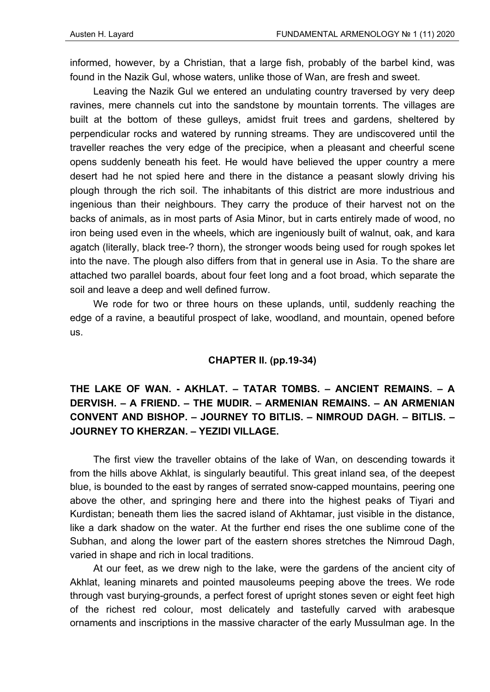informed, however, by a Christian, that a large fish, probably of the barbel kind, was found in the Nazik Gul, whose waters, unlike those of Wan, are fresh and sweet.

Leaving the Nazik Gul we entered an undulating country traversed by very deep ravines, mere channels cut into the sandstone by mountain torrents. The villages are built at the bottom of these gulleys, amidst fruit trees and gardens, sheltered by perpendicular rocks and watered by running streams. They are undiscovered until the traveller reaches the very edge of the precipice, when a pleasant and cheerful scene opens suddenly beneath his feet. He would have believed the upper country a mere desert had he not spied here and there in the distance a peasant slowly driving his plough through the rich soil. The inhabitants of this district are more industrious and ingenious than their neighbours. They carry the produce of their harvest not on the backs of animals, as in most parts of Asia Minor, but in carts entirely made of wood, no iron being used even in the wheels, which are ingeniously built of walnut, oak, and kara agatch (literally, black tree-? thorn), the stronger woods being used for rough spokes let into the nave. The plough also differs from that in general use in Asia. To the share are attached two parallel boards, about four feet long and a foot broad, which separate the soil and leave a deep and well defined furrow.

We rode for two or three hours on these uplands, until, suddenly reaching the edge of a ravine, a beautiful prospect of lake, woodland, and mountain, opened before us.

#### **CHAPTER II. (pp.19-34)**

## **THE LAKE OF WAN. - AKHLAT. – TATAR TOMBS. – ANCIENT REMAINS. – A DERVISH. – A FRIEND. – THE MUDIR. – ARMENIAN REMAINS. – AN ARMENIAN CONVENT AND BISHOP. – JOURNEY TO BITLIS. – NIMROUD DAGH. – BITLIS. – JOURNEY TO KHERZAN. – YEZIDI VILLAGE.**

The first view the traveller obtains of the lake of Wan, on descending towards it from the hills above Akhlat, is singularly beautiful. This great inland sea, of the deepest blue, is bounded to the east by ranges of serrated snow-capped mountains, peering one above the other, and springing here and there into the highest peaks of Tiyari and Kurdistan; beneath them lies the sacred island of Akhtamar, just visible in the distance, like a dark shadow on the water. At the further end rises the one sublime cone of the Subhan, and along the lower part of the eastern shores stretches the Nimroud Dagh, varied in shape and rich in local traditions.

At our feet, as we drew nigh to the lake, were the gardens of the ancient city of Akhlat, leaning minarets and pointed mausoleums peeping above the trees. We rode through vast burying-grounds, a perfect forest of upright stones seven or eight feet high of the richest red colour, most delicately and tastefully carved with arabesque ornaments and inscriptions in the massive character of the early Mussulman age. In the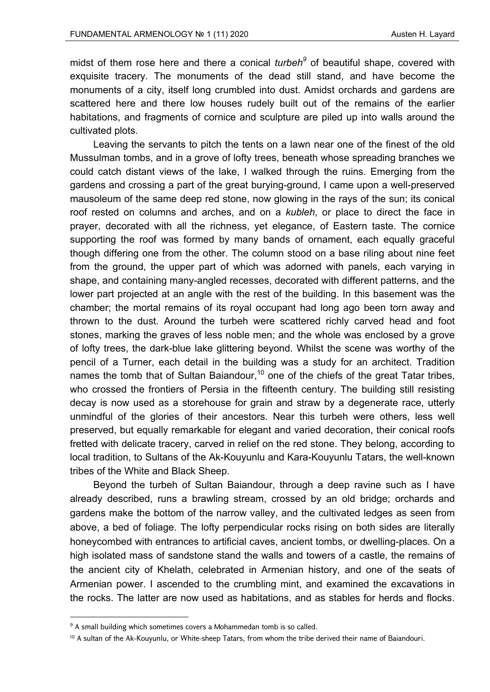midst of them rose here and there a conical *turbeh<sup>9</sup>* of beautiful shape, covered with exquisite tracery. The monuments of the dead still stand, and have become the monuments of a city, itself long crumbled into dust. Amidst orchards and gardens are scattered here and there low houses rudely built out of the remains of the earlier habitations, and fragments of cornice and sculpture are piled up into walls around the cultivated plots.

Leaving the servants to pitch the tents on a lawn near one of the finest of the old Mussulman tombs, and in a grove of lofty trees, beneath whose spreading branches we could catch distant views of the lake, I walked through the ruins. Emerging from the gardens and crossing a part of the great burying-ground, I came upon a well-preserved mausoleum of the same deep red stone, now glowing in the rays of the sun; its conical roof rested on columns and arches, and on a *kubleh*, or place to direct the face in prayer, decorated with all the richness, yet elegance, of Eastern taste. The cornice supporting the roof was formed by many bands of ornament, each equally graceful though differing one from the other. The column stood on a base riling about nine feet from the ground, the upper part of which was adorned with panels, each varying in shape, and containing many-angled recesses, decorated with different patterns, and the lower part projected at an angle with the rest of the building. In this basement was the chamber; the mortal remains of its royal occupant had long ago been torn away and thrown to the dust. Around the turbeh were scattered richly carved head and foot stones, marking the graves of less noble men; and the whole was enclosed by a grove of lofty trees, the dark-blue lake glittering beyond. Whilst the scene was worthy of the pencil of a Turner, each detail in the building was a study for an architect. Tradition names the tomb that of Sultan Baiandour.<sup>10</sup> one of the chiefs of the great Tatar tribes, who crossed the frontiers of Persia in the fifteenth century. The building still resisting decay is now used as a storehouse for grain and straw by a degenerate race, utterly unmindful of the glories of their ancestors. Near this turbeh were others, less well preserved, but equally remarkable for elegant and varied decoration, their conical roofs fretted with delicate tracery, carved in relief on the red stone. They belong, according to local tradition, to Sultans of the Ak-Kouyunlu and Kara-Kouyunlu Tatars, the well-known tribes of the White and Black Sheep.

Beyond the turbeh of Sultan Baiandour, through a deep ravine such as I have already described, runs a brawling stream, crossed by an old bridge; orchards and gardens make the bottom of the narrow valley, and the cultivated ledges as seen from above, a bed of foliage. The lofty perpendicular rocks rising on both sides are literally honeycombed with entrances to artificial caves, ancient tombs, or dwelling-places. On a high isolated mass of sandstone stand the walls and towers of a castle, the remains of the ancient city of Khelath, celebrated in Armenian history, and one of the seats of Armenian power. I ascended to the crumbling mint, and examined the excavations in the rocks. The latter are now used as habitations, and as stables for herds and flocks.

<sup>&</sup>lt;sup>9</sup> A small building which sometimes covers a Mohammedan tomb is so called.

<sup>&</sup>lt;sup>10</sup> A sultan of the Ak-Kouyunlu, or White-sheep Tatars, from whom the tribe derived their name of Baiandouri.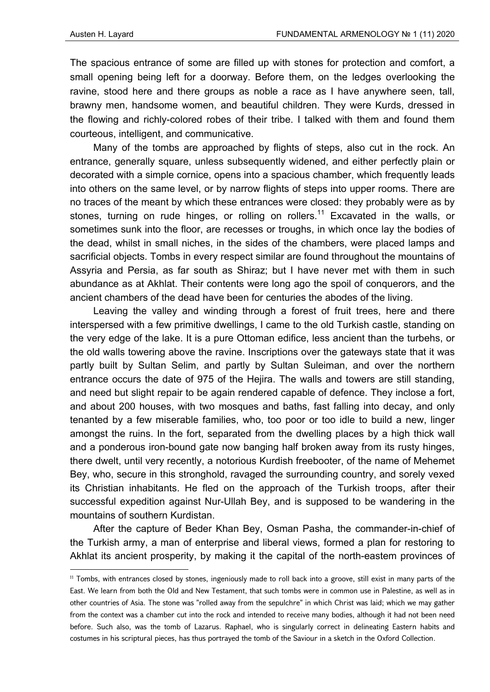The spacious entrance of some are filled up with stones for protection and comfort, a small opening being left for a doorway. Before them, on the ledges overlooking the ravine, stood here and there groups as noble a race as I have anywhere seen, tall, brawny men, handsome women, and beautiful children. They were Kurds, dressed in the flowing and richly-colored robes of their tribe. I talked with them and found them courteous, intelligent, and communicative.

Many of the tombs are approached by flights of steps, also cut in the rock. An entrance, generally square, unless subsequently widened, and either perfectly plain or decorated with a simple cornice, opens into a spacious chamber, which frequently leads into others on the same level, or by narrow flights of steps into upper rooms. There are no traces of the meant by which these entrances were closed: they probably were as by stones, turning on rude hinges, or rolling on rollers.<sup>11</sup> Excavated in the walls, or sometimes sunk into the floor, are recesses or troughs, in which once lay the bodies of the dead, whilst in small niches, in the sides of the chambers, were placed lamps and sacrificial objects. Tombs in every respect similar are found throughout the mountains of Assyria and Persia, as far south as Shiraz; but I have never met with them in such abundance as at Akhlat. Their contents were long ago the spoil of conquerors, and the ancient chambers of the dead have been for centuries the abodes of the living.

Leaving the valley and winding through a forest of fruit trees, here and there interspersed with a few primitive dwellings, I came to the old Turkish castle, standing on the very edge of the lake. It is a pure Ottoman edifice, less ancient than the turbehs, or the old walls towering above the ravine. Inscriptions over the gateways state that it was partly built by Sultan Selim, and partly by Sultan Suleiman, and over the northern entrance occurs the date of 975 of the Hejira. The walls and towers are still standing, and need but slight repair to be again rendered capable of defence. They inclose a fort, and about 200 houses, with two mosques and baths, fast falling into decay, and only tenanted by a few miserable families, who, too poor or too idle to build a new, linger amongst the ruins. In the fort, separated from the dwelling places by a high thick wall and a ponderous iron-bound gate now banging half broken away from its rusty hinges, there dwelt, until very recently, a notorious Kurdish freebooter, of the name of Mehemet Bey, who, secure in this stronghold, ravaged the surrounding country, and sorely vexed its Christian inhabitants. He fled on the approach of the Turkish troops, after their successful expedition against Nur-Ullah Bey, and is supposed to be wandering in the mountains of southern Kurdistan.

After the capture of Beder Khan Bey, Osman Pasha, the commander-in-chief of the Turkish army, a man of enterprise and liberal views, formed a plan for restoring to Akhlat its ancient prosperity, by making it the capital of the north-eastem provinces of

<sup>11</sup> Tombs, with entrances closed by stones, ingeniously made to roll back into a groove, still exist in many parts of the East. We learn from both the Old and New Testament, that such tombs were in common use in Palestine, as well as in other countries of Asia. The stone was "rolled away from the sepulchre" in which Christ was laid; which we may gather from the context was a chamber cut into the rock and intended to receive many bodies, although it had not been need before. Such also, was the tomb of Lazarus. Raphael, who is singularly correct in delineating Eastern habits and costumes in his scriptural pieces, has thus portrayed the tomb of the Saviour in a sketch in the Oxford Collection.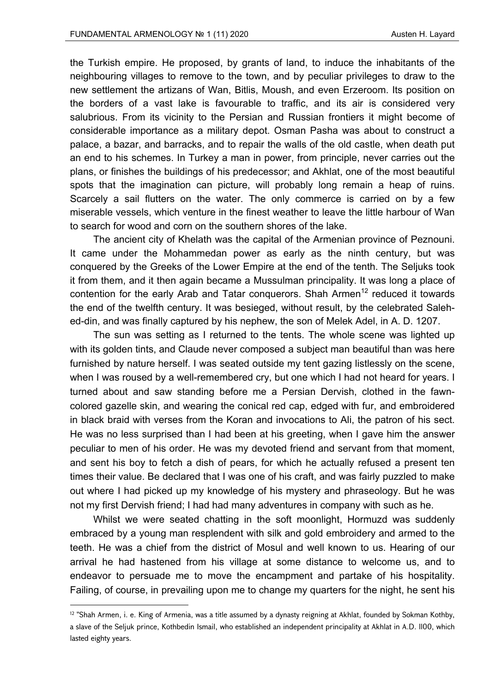the Turkish empire. He proposed, by grants of land, to induce the inhabitants of the neighbouring villages to remove to the town, and by peculiar privileges to draw to the new settlement the artizans of Wan, Bitlis, Moush, and even Erzeroom. Its position on the borders of a vast lake is favourable to traffic, and its air is considered very salubrious. From its vicinity to the Persian and Russian frontiers it might become of considerable importance as a military depot. Osman Pasha was about to construct a palace, a bazar, and barracks, and to repair the walls of the old castle, when death put an end to his schemes. In Turkey a man in power, from principle, never carries out the plans, or finishes the buildings of his predecessor; and Akhlat, one of the most beautiful spots that the imagination can picture, will probably long remain a heap of ruins. Scarcely a sail flutters on the water. The only commerce is carried on by a few miserable vessels, which venture in the finest weather to leave the little harbour of Wan to search for wood and corn on the southern shores of the lake.

The ancient city of Khelath was the capital of the Armenian province of Peznouni. It came under the Mohammedan power as early as the ninth century, but was conquered by the Greeks of the Lower Empire at the end of the tenth. The Seljuks took it from them, and it then again became a Mussulman principality. It was long a place of contention for the early Arab and Tatar conquerors. Shah Armen<sup>12</sup> reduced it towards the end of the twelfth century. It was besieged, without result, by the celebrated Salehed-din, and was finally captured by his nephew, the son of Melek Adel, in A. D. 1207.

The sun was setting as I returned to the tents. The whole scene was lighted up with its golden tints, and Claude never composed a subject man beautiful than was here furnished by nature herself. I was seated outside my tent gazing listlessly on the scene, when I was roused by a well-remembered cry, but one which I had not heard for years. I turned about and saw standing before me a Persian Dervish, clothed in the fawncolored gazelle skin, and wearing the conical red cap, edged with fur, and embroidered in black braid with verses from the Koran and invocations to Ali, the patron of his sect. He was no less surprised than I had been at his greeting, when I gave him the answer peculiar to men of his order. He was my devoted friend and servant from that moment, and sent his boy to fetch a dish of pears, for which he actually refused a present ten times their value. Be declared that I was one of his craft, and was fairly puzzled to make out where I had picked up my knowledge of his mystery and phraseology. But he was not my first Dervish friend; I had had many adventures in company with such as he.

Whilst we were seated chatting in the soft moonlight, Hormuzd was suddenly embraced by a young man resplendent with silk and gold embroidery and armed to the teeth. He was a chief from the district of Mosul and well known to us. Hearing of our arrival he had hastened from his village at some distance to welcome us, and to endeavor to persuade me to move the encampment and partake of his hospitality. Failing, of course, in prevailing upon me to change my quarters for the night, he sent his

<sup>&</sup>lt;sup>12</sup> "Shah Armen, i. e. King of Armenia, was a title assumed by a dynasty reigning at Akhlat, founded by Sokman Kothby, a slave of the Seljuk prince, Kothbedin Ismail, who established an independent principality at Akhlat in A.D. ll00, which lasted eighty years.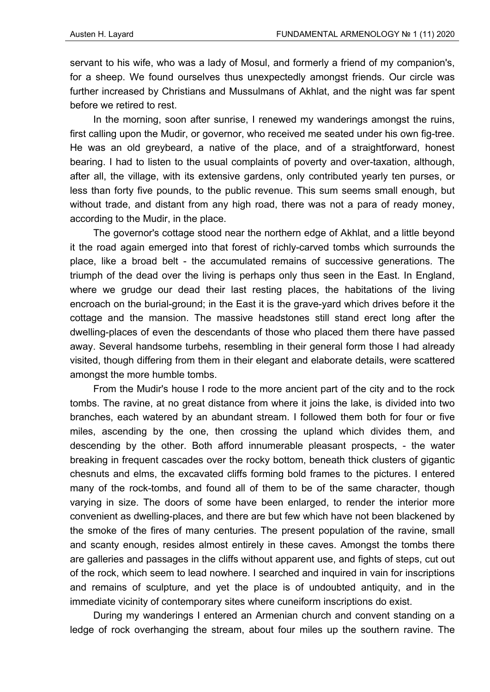servant to his wife, who was a lady of Mosul, and formerly a friend of my companion's, for a sheep. We found ourselves thus unexpectedly amongst friends. Our circle was further increased by Christians and Mussulmans of Akhlat, and the night was far spent before we retired to rest.

In the morning, soon after sunrise, I renewed my wanderings amongst the ruins, first calling upon the Mudir, or governor, who received me seated under his own fig-tree. He was an old greybeard, a native of the place, and of a straightforward, honest bearing. I had to listen to the usual complaints of poverty and over-taxation, although, after all, the village, with its extensive gardens, only contributed yearly ten purses, or less than forty five pounds, to the public revenue. This sum seems small enough, but without trade, and distant from any high road, there was not a para of ready money, according to the Mudir, in the place.

The governor's cottage stood near the northern edge of Akhlat, and a little beyond it the road again emerged into that forest of richly-carved tombs which surrounds the place, like a broad belt - the accumulated remains of successive generations. The triumph of the dead over the living is perhaps only thus seen in the East. In England, where we grudge our dead their last resting places, the habitations of the living encroach on the burial-ground; in the East it is the grave-yard which drives before it the cottage and the mansion. The massive headstones still stand erect long after the dwelling-places of even the descendants of those who placed them there have passed away. Several handsome turbehs, resembling in their general form those I had already visited, though differing from them in their elegant and elaborate details, were scattered amongst the more humble tombs.

From the Mudir's house I rode to the more ancient part of the city and to the rock tombs. The ravine, at no great distance from where it joins the lake, is divided into two branches, each watered by an abundant stream. I followed them both for four or five miles, ascending by the one, then crossing the upland which divides them, and descending by the other. Both afford innumerable pleasant prospects, - the water breaking in frequent cascades over the rocky bottom, beneath thick clusters of gigantic chesnuts and elms, the excavated cliffs forming bold frames to the pictures. I entered many of the rock-tombs, and found all of them to be of the same character, though varying in size. The doors of some have been enlarged, to render the interior more convenient as dwelling-places, and there are but few which have not been blackened by the smoke of the fires of many centuries. The present population of the ravine, small and scanty enough, resides almost entirely in these caves. Amongst the tombs there are galleries and passages in the cliffs without apparent use, and fights of steps, cut out of the rock, which seem to lead nowhere. I searched and inquired in vain for inscriptions and remains of sculpture, and yet the place is of undoubted antiquity, and in the immediate vicinity of contemporary sites where cuneiform inscriptions do exist.

During my wanderings I entered an Armenian church and convent standing on a ledge of rock overhanging the stream, about four miles up the southern ravine. The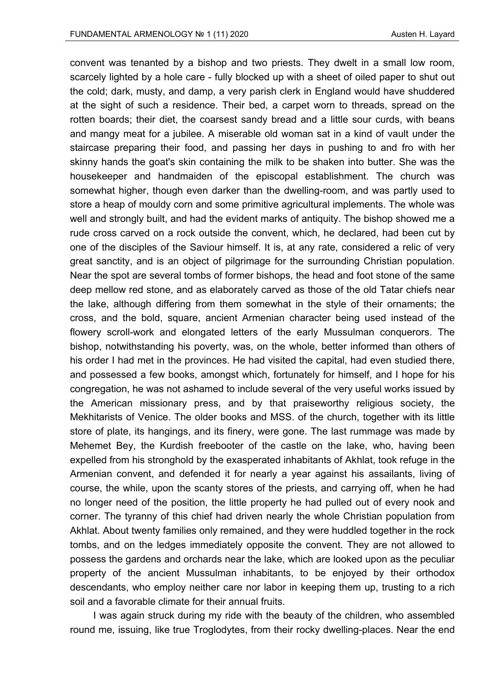convent was tenanted by a bishop and two priests. They dwelt in a small low room, scarcely lighted by a hole care - fully blocked up with a sheet of oiled paper to shut out the cold; dark, musty, and damp, a very parish clerk in England would have shuddered at the sight of such a residence. Their bed, a carpet worn to threads, spread on the rotten boards; their diet, the coarsest sandy bread and a little sour curds, with beans and mangy meat for a jubilee. A miserable old woman sat in a kind of vault under the staircase preparing their food, and passing her days in pushing to and fro with her skinny hands the goat's skin containing the milk to be shaken into butter. She was the housekeeper and handmaiden of the episcopal establishment. The church was somewhat higher, though even darker than the dwelling-room, and was partly used to store a heap of mouldy corn and some primitive agricultural implements. The whole was well and strongly built, and had the evident marks of antiquity. The bishop showed me a rude cross carved on a rock outside the convent, which, he declared, had been cut by one of the disciples of the Saviour himself. It is, at any rate, considered a relic of very great sanctity, and is an object of pilgrimage for the surrounding Christian population. Near the spot are several tombs of former bishops, the head and foot stone of the same deep mellow red stone, and as elaborately carved as those of the old Tatar chiefs near the lake, although differing from them somewhat in the style of their ornaments; the cross, and the bold, square, ancient Armenian character being used instead of the flowery scroll-work and elongated letters of the early Mussulman conquerors. The bishop, notwithstanding his poverty, was, on the whole, better informed than others of his order I had met in the provinces. He had visited the capital, had even studied there, and possessed a few books, amongst which, fortunately for himself, and I hope for his congregation, he was not ashamed to include several of the very useful works issued by the American missionary press, and by that praiseworthy religious society, the Mekhitarists of Venice. The older books and MSS. of the church, together with its little store of plate, its hangings, and its finery, were gone. The last rummage was made by Mehemet Bey, the Kurdish freebooter of the castle on the lake, who, having been expelled from his stronghold by the exasperated inhabitants of Akhlat, took refuge in the Armenian convent, and defended it for nearly a year against his assailants, living of course, the while, upon the scanty stores of the priests, and carrying off, when he had no longer need of the position, the little property he had pulled out of every nook and corner. The tyranny of this chief had driven nearly the whole Christian population from Akhlat. About twenty families only remained, and they were huddled together in the rock tombs, and on the ledges immediately opposite the convent. They are not allowed to possess the gardens and orchards near the lake, which are looked upon as the peculiar property of the ancient Mussulman inhabitants, to be enjoyed by their orthodox descendants, who employ neither care nor labor in keeping them up, trusting to a rich soil and a favorable climate for their annual fruits.

I was again struck during my ride with the beauty of the children, who assembled round me, issuing, like true Troglodytes, from their rocky dwelling-places. Near the end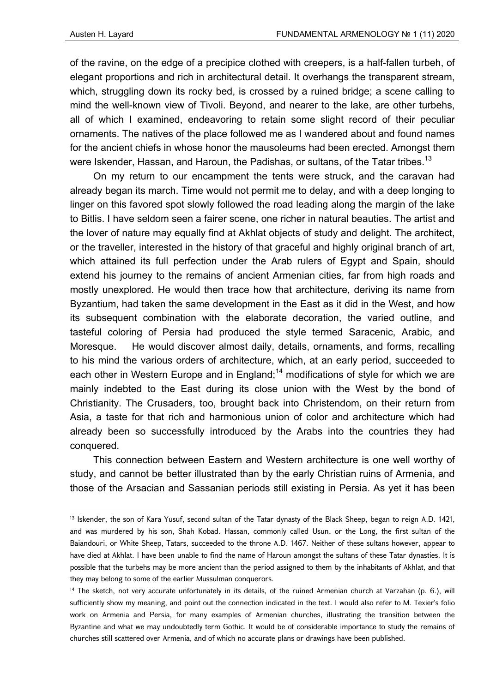of the ravine, on the edge of a precipice clothed with creepers, is a half-fallen turbeh, of elegant proportions and rich in architectural detail. It overhangs the transparent stream, which, struggling down its rocky bed, is crossed by a ruined bridge; a scene calling to mind the well-known view of Tivoli. Beyond, and nearer to the lake, are other turbehs, all of which I examined, endeavoring to retain some slight record of their peculiar ornaments. The natives of the place followed me as I wandered about and found names for the ancient chiefs in whose honor the mausoleums had been erected. Amongst them were Iskender, Hassan, and Haroun, the Padishas, or sultans, of the Tatar tribes.<sup>13</sup>

On my return to our encampment the tents were struck, and the caravan had already began its march. Time would not permit me to delay, and with a deep longing to linger on this favored spot slowly followed the road leading along the margin of the lake to Bitlis. I have seldom seen a fairer scene, one richer in natural beauties. The artist and the lover of nature may equally find at Akhlat objects of study and delight. The architect, or the traveller, interested in the history of that graceful and highly original branch of art, which attained its full perfection under the Arab rulers of Egypt and Spain, should extend his journey to the remains of ancient Armenian cities, far from high roads and mostly unexplored. He would then trace how that architecture, deriving its name from Byzantium, had taken the same development in the East as it did in the West, and how its subsequent combination with the elaborate decoration, the varied outline, and tasteful coloring of Persia had produced the style termed Saracenic, Arabic, and Moresque. He would discover almost daily, details, ornaments, and forms, recalling to his mind the various orders of architecture, which, at an early period, succeeded to each other in Western Europe and in England;<sup>14</sup> modifications of style for which we are mainly indebted to the East during its close union with the West by the bond of Christianity. The Crusaders, too, brought back into Christendom, on their return from Asia, a taste for that rich and harmonious union of color and architecture which had already been so successfully introduced by the Arabs into the countries they had conquered.

This connection between Eastern and Western architecture is one well worthy of study, and cannot be better illustrated than by the early Christian ruins of Armenia, and those of the Arsacian and Sassanian periods still existing in Persia. As yet it has been

<sup>&</sup>lt;sup>13</sup> Iskender, the son of Kara Yusuf, second sultan of the Tatar dynasty of the Black Sheep, began to reign A.D. 1421, and was murdered by his son, Shah Kobad. Hassan, commonly called Usun, or the Long, the first sultan of the Baiandouri, or White Sheep, Tatars, succeeded to the throne A.D. 1467. Neither of these sultans however, appear to have died at Akhlat. I have been unable to find the name of Haroun amongst the sultans of these Tatar dynasties. It is possible that the turbehs may be more ancient than the period assigned to them by the inhabitants of Akhlat, and that they may belong to some of the earlier Mussulman conquerors.

<sup>14</sup> The sketch, not very accurate unfortunately in its details, of the ruined Armenian church at Varzahan (p. 6.), will sufficiently show my meaning, and point out the connection indicated in the text. I would also refer to M. Texier's folio work on Armenia and Persia, for many examples of Armenian churches, illustrating the transition between the Byzantine and what we may undoubtedly term Gothic. It would be of considerable importance to study the remains of churches still scattered over Armenia, and of which no accurate plans or drawings have been published.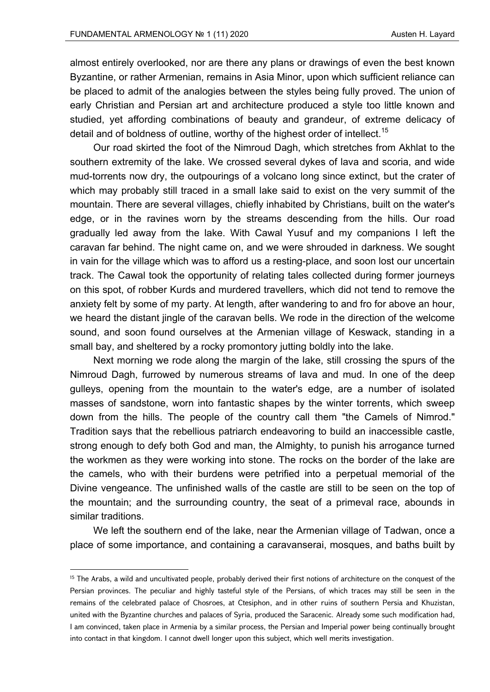almost entirely overlooked, nor are there any plans or drawings of even the best known Byzantine, or rather Armenian, remains in Asia Minor, upon which sufficient reliance can be placed to admit of the analogies between the styles being fully proved. The union of early Christian and Persian art and architecture produced a style too little known and studied, yet affording combinations of beauty and grandeur, of extreme delicacy of detail and of boldness of outline, worthy of the highest order of intellect.<sup>15</sup>

Our road skirted the foot of the Nimroud Dagh, which stretches from Akhlat to the southern extremity of the lake. We crossed several dykes of lava and scoria, and wide mud-torrents now dry, the outpourings of a volcano long since extinct, but the crater of which may probably still traced in a small lake said to exist on the very summit of the mountain. There are several villages, chiefly inhabited by Christians, built on the water's edge, or in the ravines worn by the streams descending from the hills. Our road gradually led away from the lake. With Cawal Yusuf and my companions I left the caravan far behind. The night came on, and we were shrouded in darkness. We sought in vain for the village which was to afford us a resting-place, and soon lost our uncertain track. The Cawal took the opportunity of relating tales collected during former journeys on this spot, of robber Kurds and murdered travellers, which did not tend to remove the anxiety felt by some of my party. At length, after wandering to and fro for above an hour, we heard the distant jingle of the caravan bells. We rode in the direction of the welcome sound, and soon found ourselves at the Armenian village of Keswack, standing in a small bay, and sheltered by a rocky promontory jutting boldly into the lake.

Next morning we rode along the margin of the lake, still crossing the spurs of the Nimroud Dagh, furrowed by numerous streams of lava and mud. In one of the deep gulleys, opening from the mountain to the water's edge, are a number of isolated masses of sandstone, worn into fantastic shapes by the winter torrents, which sweep down from the hills. The people of the country call them "the Camels of Nimrod." Tradition says that the rebellious patriarch endeavoring to build an inaccessible castle, strong enough to defy both God and man, the Almighty, to punish his arrogance turned the workmen as they were working into stone. The rocks on the border of the lake are the camels, who with their burdens were petrified into a perpetual memorial of the Divine vengeance. The unfinished walls of the castle are still to be seen on the top of the mountain; and the surrounding country, the seat of a primeval race, abounds in similar traditions.

We left the southern end of the lake, near the Armenian village of Tadwan, once a place of some importance, and containing a caravanserai, mosques, and baths built by

<sup>&</sup>lt;sup>15</sup> The Arabs, a wild and uncultivated people, probably derived their first notions of architecture on the conquest of the Persian provinces. The peculiar and highly tasteful style of the Persians, of which traces may still be seen in the remains of the celebrated palace of Chosroes, at Ctesiphon, and in other ruins of southern Persia and Khuzistan, united with the Byzantine churches and palaces of Syria, produced the Saracenic. Already some such modification had, I am convinced, taken place in Armenia by a similar process, the Persian and Imperial power being continually brought into contact in that kingdom. I cannot dwell longer upon this subject, which well merits investigation.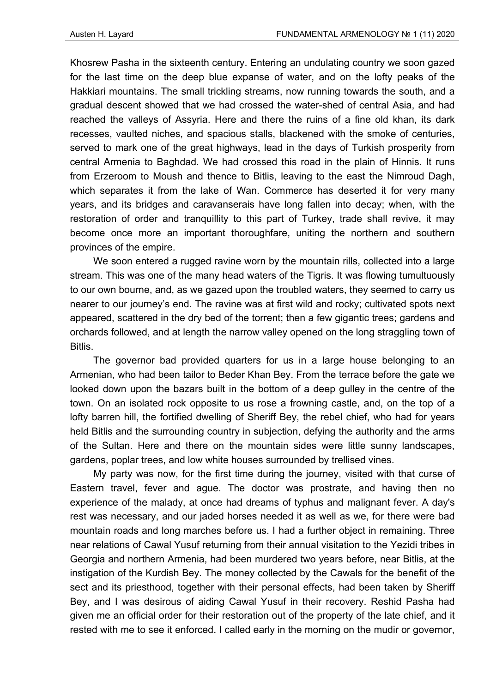Khosrew Pasha in the sixteenth century. Entering an undulating country we soon gazed for the last time on the deep blue expanse of water, and on the lofty peaks of the Hakkiari mountains. The small trickling streams, now running towards the south, and a gradual descent showed that we had crossed the water-shed of central Asia, and had reached the valleys of Assyria. Here and there the ruins of a fine old khan, its dark recesses, vaulted niches, and spacious stalls, blackened with the smoke of centuries, served to mark one of the great highways, lead in the days of Turkish prosperity from central Armenia to Baghdad. We had crossed this road in the plain of Hinnis. It runs from Erzeroom to Moush and thence to Bitlis, leaving to the east the Nimroud Dagh, which separates it from the lake of Wan. Commerce has deserted it for very many years, and its bridges and caravanserais have long fallen into decay; when, with the restoration of order and tranquillity to this part of Turkey, trade shall revive, it may become once more an important thoroughfare, uniting the northern and southern provinces of the empire.

We soon entered a rugged ravine worn by the mountain rills, collected into a large stream. This was one of the many head waters of the Tigris. It was flowing tumultuously to our own bourne, and, as we gazed upon the troubled waters, they seemed to carry us nearer to our journey's end. The ravine was at first wild and rocky; cultivated spots next appeared, scattered in the dry bed of the torrent; then a few gigantic trees; gardens and orchards followed, and at length the narrow valley opened on the long straggling town of Bitlis.

The governor bad provided quarters for us in a large house belonging to an Armenian, who had been tailor to Beder Khan Bey. From the terrace before the gate we looked down upon the bazars built in the bottom of a deep gulley in the centre of the town. On an isolated rock opposite to us rose a frowning castle, and, on the top of a lofty barren hill, the fortified dwelling of Sheriff Bey, the rebel chief, who had for years held Bitlis and the surrounding country in subjection, defying the authority and the arms of the Sultan. Here and there on the mountain sides were little sunny landscapes, gardens, poplar trees, and low white houses surrounded by trellised vines.

My party was now, for the first time during the journey, visited with that curse of Eastern travel, fever and ague. The doctor was prostrate, and having then no experience of the malady, at once had dreams of typhus and malignant fever. A day's rest was necessary, and our jaded horses needed it as well as we, for there were bad mountain roads and long marches before us. I had a further object in remaining. Three near relations of Cawal Yusuf returning from their annual visitation to the Yezidi tribes in Georgia and northern Armenia, had been murdered two years before, near Bitlis, at the instigation of the Kurdish Bey. The money collected by the Cawals for the benefit of the sect and its priesthood, together with their personal effects, had been taken by Sheriff Bey, and I was desirous of aiding Cawal Yusuf in their recovery. Reshid Pasha had given me an official order for their restoration out of the property of the late chief, and it rested with me to see it enforced. I called early in the morning on the mudir or governor,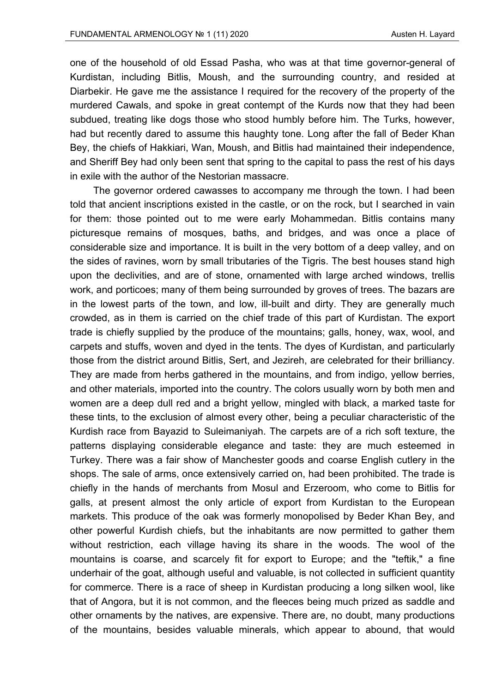one of the household of old Essad Pasha, who was at that time governor-general of Kurdistan, including Bitlis, Moush, and the surrounding country, and resided at Diarbekir. He gave me the assistance I required for the recovery of the property of the murdered Cawals, and spoke in great contempt of the Kurds now that they had been subdued, treating like dogs those who stood humbly before him. The Turks, however, had but recently dared to assume this haughty tone. Long after the fall of Beder Khan Bey, the chiefs of Hakkiari, Wan, Moush, and Bitlis had maintained their independence, and Sheriff Bey had only been sent that spring to the capital to pass the rest of his days in exile with the author of the Nestorian massacre.

The governor ordered cawasses to accompany me through the town. I had been told that ancient inscriptions existed in the castle, or on the rock, but I searched in vain for them: those pointed out to me were early Mohammedan. Bitlis contains many picturesque remains of mosques, baths, and bridges, and was once a place of considerable size and importance. It is built in the very bottom of a deep valley, and on the sides of ravines, worn by small tributaries of the Tigris. The best houses stand high upon the declivities, and are of stone, ornamented with large arched windows, trellis work, and porticoes; many of them being surrounded by groves of trees. The bazars are in the lowest parts of the town, and low, ill-built and dirty. They are generally much crowded, as in them is carried on the chief trade of this part of Kurdistan. The export trade is chiefly supplied by the produce of the mountains; galls, honey, wax, wool, and carpets and stuffs, woven and dyed in the tents. The dyes of Kurdistan, and particularly those from the district around Bitlis, Sert, and Jezireh, are celebrated for their brilliancy. They are made from herbs gathered in the mountains, and from indigo, yellow berries, and other materials, imported into the country. The colors usually worn by both men and women are a deep dull red and a bright yellow, mingled with black, a marked taste for these tints, to the exclusion of almost every other, being a peculiar characteristic of the Kurdish race from Bayazid to Suleimaniyah. The carpets are of a rich soft texture, the patterns displaying considerable elegance and taste: they are much esteemed in Turkey. There was a fair show of Manchester goods and coarse English cutlery in the shops. The sale of arms, once extensively carried on, had been prohibited. The trade is chiefly in the hands of merchants from Mosul and Erzeroom, who come to Bitlis for galls, at present almost the only article of export from Kurdistan to the European markets. This produce of the oak was formerly monopolised by Beder Khan Bey, and other powerful Kurdish chiefs, but the inhabitants are now permitted to gather them without restriction, each village having its share in the woods. The wool of the mountains is coarse, and scarcely fit for export to Europe; and the "teftik," a fine underhair of the goat, although useful and valuable, is not collected in sufficient quantity for commerce. There is a race of sheep in Kurdistan producing a long silken wool, like that of Angora, but it is not common, and the fleeces being much prized as saddle and other ornaments by the natives, are expensive. There are, no doubt, many productions of the mountains, besides valuable minerals, which appear to abound, that would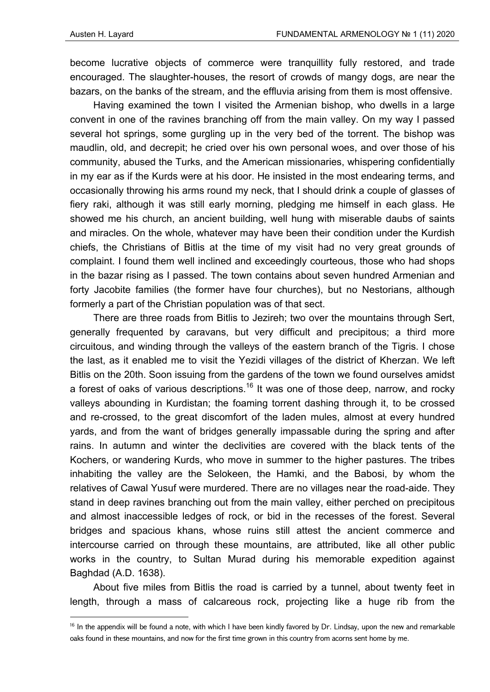become lucrative objects of commerce were tranquillity fully restored, and trade encouraged. The slaughter-houses, the resort of crowds of mangy dogs, are near the bazars, on the banks of the stream, and the effluvia arising from them is most offensive.

Having examined the town I visited the Armenian bishop, who dwells in a large convent in one of the ravines branching off from the main valley. On my way I passed several hot springs, some gurgling up in the very bed of the torrent. The bishop was maudlin, old, and decrepit; he cried over his own personal woes, and over those of his community, abused the Turks, and the American missionaries, whispering confidentially in my ear as if the Kurds were at his door. He insisted in the most endearing terms, and occasionally throwing his arms round my neck, that I should drink a couple of glasses of fiery raki, although it was still early morning, pledging me himself in each glass. He showed me his church, an ancient building, well hung with miserable daubs of saints and miracles. On the whole, whatever may have been their condition under the Kurdish chiefs, the Christians of Bitlis at the time of my visit had no very great grounds of complaint. I found them well inclined and exceedingly courteous, those who had shops in the bazar rising as I passed. The town contains about seven hundred Armenian and forty Jacobite families (the former have four churches), but no Nestorians, although formerly a part of the Christian population was of that sect.

There are three roads from Bitlis to Jezireh; two over the mountains through Sert, generally frequented by caravans, but very difficult and precipitous; a third more circuitous, and winding through the valleys of the eastern branch of the Tigris. I chose the last, as it enabled me to visit the Yezidi villages of the district of Kherzan. We left Bitlis on the 20th. Soon issuing from the gardens of the town we found ourselves amidst a forest of oaks of various descriptions.<sup>16</sup> It was one of those deep, narrow, and rocky valleys abounding in Kurdistan; the foaming torrent dashing through it, to be crossed and re-crossed, to the great discomfort of the laden mules, almost at every hundred yards, and from the want of bridges generally impassable during the spring and after rains. In autumn and winter the declivities are covered with the black tents of the Kochers, or wandering Kurds, who move in summer to the higher pastures. The tribes inhabiting the valley are the Selokeen, the Hamki, and the Babosi, by whom the relatives of Cawal Yusuf were murdered. There are no villages near the road-aide. They stand in deep ravines branching out from the main valley, either perched on precipitous and almost inaccessible ledges of rock, or bid in the recesses of the forest. Several bridges and spacious khans, whose ruins still attest the ancient commerce and intercourse carried on through these mountains, are attributed, like all other public works in the country, to Sultan Murad during his memorable expedition against Baghdad (A.D. 1638).

About five miles from Bitlis the road is carried by a tunnel, about twenty feet in length, through a mass of calcareous rock, projecting like a huge rib from the

 $16$  In the appendix will be found a note, with which I have been kindly favored by Dr. Lindsay, upon the new and remarkable oaks found in these mountains, and now for the first time grown in this country from acorns sent home by me.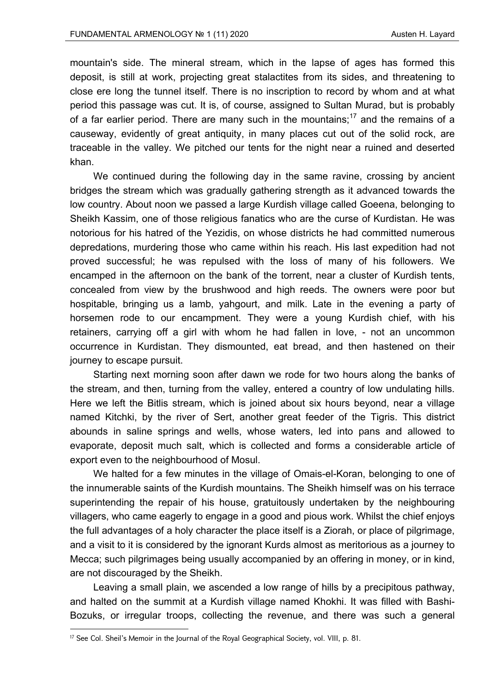mountain's side. The mineral stream, which in the lapse of ages has formed this deposit, is still at work, projecting great stalactites from its sides, and threatening to close ere long the tunnel itself. There is no inscription to record by whom and at what period this passage was cut. It is, of course, assigned to Sultan Murad, but is probably of a far earlier period. There are many such in the mountains;<sup>17</sup> and the remains of a causeway, evidently of great antiquity, in many places cut out of the solid rock, are traceable in the valley. We pitched our tents for the night near a ruined and deserted khan.

We continued during the following day in the same ravine, crossing by ancient bridges the stream which was gradually gathering strength as it advanced towards the low country. About noon we passed a large Kurdish village called Goeena, belonging to Sheikh Kassim, one of those religious fanatics who are the curse of Kurdistan. He was notorious for his hatred of the Yezidis, on whose districts he had committed numerous depredations, murdering those who came within his reach. His last expedition had not proved successful; he was repulsed with the loss of many of his followers. We encamped in the afternoon on the bank of the torrent, near a cluster of Kurdish tents, concealed from view by the brushwood and high reeds. The owners were poor but hospitable, bringing us a lamb, yahgourt, and milk. Late in the evening a party of horsemen rode to our encampment. They were a young Kurdish chief, with his retainers, carrying off a girl with whom he had fallen in love, - not an uncommon occurrence in Kurdistan. They dismounted, eat bread, and then hastened on their journey to escape pursuit.

Starting next morning soon after dawn we rode for two hours along the banks of the stream, and then, turning from the valley, entered a country of low undulating hills. Here we left the Bitlis stream, which is joined about six hours beyond, near a village named Kitchki, by the river of Sert, another great feeder of the Tigris. This district abounds in saline springs and wells, whose waters, led into pans and allowed to evaporate, deposit much salt, which is collected and forms a considerable article of export even to the neighbourhood of Mosul.

We halted for a few minutes in the village of Omais-el-Koran, belonging to one of the innumerable saints of the Kurdish mountains. The Sheikh himself was on his terrace superintending the repair of his house, gratuitously undertaken by the neighbouring villagers, who came eagerly to engage in a good and pious work. Whilst the chief enjoys the full advantages of a holy character the place itself is a Ziorah, or place of pilgrimage, and a visit to it is considered by the ignorant Kurds almost as meritorious as a journey to Mecca; such pilgrimages being usually accompanied by an offering in money, or in kind, are not discouraged by the Sheikh.

Leaving a small plain, we ascended a low range of hills by a precipitous pathway, and halted on the summit at a Kurdish village named Khokhi. It was filled with Bashi-Bozuks, or irregular troops, collecting the revenue, and there was such a general

<sup>&</sup>lt;sup>17</sup> See Col. Sheil's Memoir in the Journal of the Royal Geographical Society, vol. VIII, p. 81.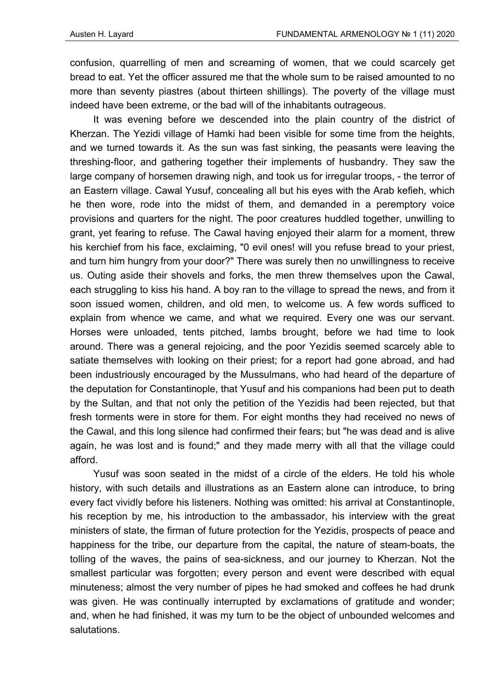confusion, quarrelling of men and screaming of women, that we could scarcely get bread to eat. Yet the officer assured me that the whole sum to be raised amounted to no more than seventy piastres (about thirteen shillings). The poverty of the village must indeed have been extreme, or the bad will of the inhabitants outrageous.

It was evening before we descended into the plain country of the district of Kherzan. The Yezidi village of Hamki had been visible for some time from the heights, and we turned towards it. As the sun was fast sinking, the peasants were leaving the threshing-floor, and gathering together their implements of husbandry. They saw the large company of horsemen drawing nigh, and took us for irregular troops, - the terror of an Eastern village. Cawal Yusuf, concealing all but his eyes with the Arab kefieh, which he then wore, rode into the midst of them, and demanded in a peremptory voice provisions and quarters for the night. The poor creatures huddled together, unwilling to grant, yet fearing to refuse. The Cawal having enjoyed their alarm for a moment, threw his kerchief from his face, exclaiming, "0 evil ones! will you refuse bread to your priest, and turn him hungry from your door?" There was surely then no unwillingness to receive us. Outing aside their shovels and forks, the men threw themselves upon the Cawal, each struggling to kiss his hand. A boy ran to the village to spread the news, and from it soon issued women, children, and old men, to welcome us. A few words sufficed to explain from whence we came, and what we required. Every one was our servant. Horses were unloaded, tents pitched, lambs brought, before we had time to look around. There was a general rejoicing, and the poor Yezidis seemed scarcely able to satiate themselves with looking on their priest; for a report had gone abroad, and had been industriously encouraged by the Mussulmans, who had heard of the departure of the deputation for Constantinople, that Yusuf and his companions had been put to death by the Sultan, and that not only the petition of the Yezidis had been rejected, but that fresh torments were in store for them. For eight months they had received no news of the Cawal, and this long silence had confirmed their fears; but "he was dead and is alive again, he was lost and is found;" and they made merry with all that the village could afford.

Yusuf was soon seated in the midst of a circle of the elders. He told his whole history, with such details and illustrations as an Eastern alone can introduce, to bring every fact vividly before his listeners. Nothing was omitted: his arrival at Constantinople, his reception by me, his introduction to the ambassador, his interview with the great ministers of state, the firman of future protection for the Yezidis, prospects of peace and happiness for the tribe, our departure from the capital, the nature of steam-boats, the tolling of the waves, the pains of sea-sickness, and our journey to Kherzan. Not the smallest particular was forgotten; every person and event were described with equal minuteness; almost the very number of pipes he had smoked and coffees he had drunk was given. He was continually interrupted by exclamations of gratitude and wonder; and, when he had finished, it was my turn to be the object of unbounded welcomes and salutations.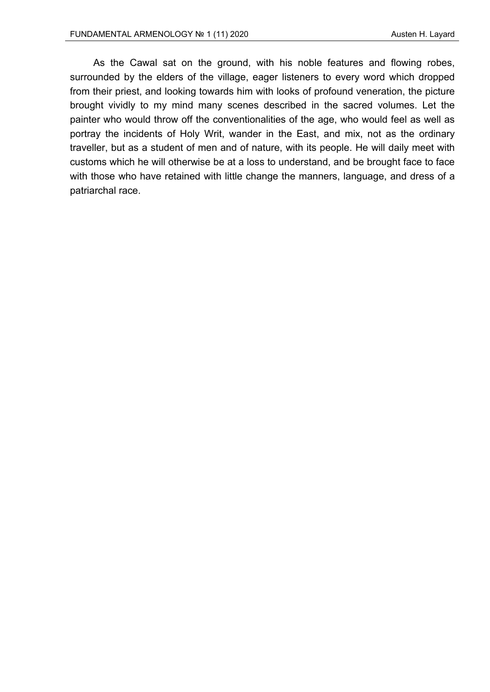As the Cawal sat on the ground, with his noble features and flowing robes, surrounded by the elders of the village, eager listeners to every word which dropped from their priest, and looking towards him with looks of profound veneration, the picture brought vividly to my mind many scenes described in the sacred volumes. Let the painter who would throw off the conventionalities of the age, who would feel as well as portray the incidents of Holy Writ, wander in the East, and mix, not as the ordinary traveller, but as a student of men and of nature, with its people. He will daily meet with customs which he will otherwise be at a loss to understand, and be brought face to face with those who have retained with little change the manners, language, and dress of a patriarchal race.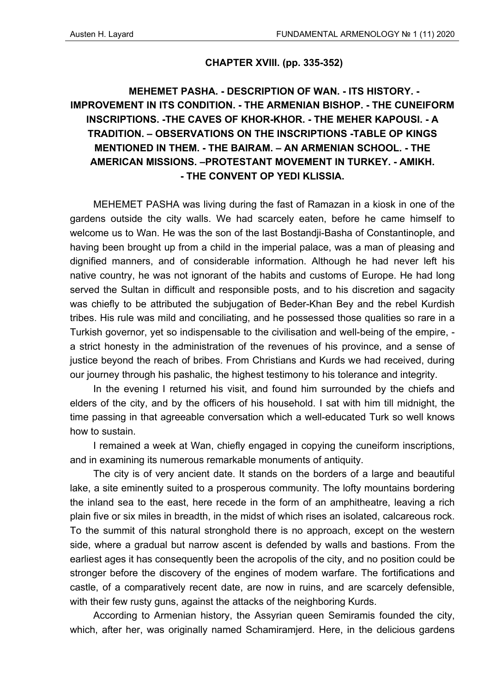#### **CHAPTER XVIII. (pp. 335-352)**

## **MEHEMET PASHA. - DESCRIPTION OF WAN. - ITS HISTORY. - IMPROVEMENT IN ITS CONDITION. - THE ARMENIAN BISHOP. - THE CUNEIFORM INSCRIPTIONS. -THE CAVES OF KHOR-KHOR. - THE MEHER KAPOUSI. - A TRADITION. – OBSERVATIONS ON THE INSCRIPTIONS -TABLE OP KINGS MENTIONED IN THEM. - THE BAIRAM. – AN ARMENIAN SCHOOL. - THE AMERICAN MISSIONS. –PROTESTANT MOVEMENT IN TURKEY. - AMIKH. - THE CONVENT OP YEDI KLISSIA.**

MEHEMET PASHA was living during the fast of Ramazan in a kiosk in one of the gardens outside the city walls. We had scarcely eaten, before he came himself to welcome us to Wan. He was the son of the last Bostandji-Basha of Constantinople, and having been brought up from a child in the imperial palace, was a man of pleasing and dignified manners, and of considerable information. Although he had never left his native country, he was not ignorant of the habits and customs of Europe. He had long served the Sultan in difficult and responsible posts, and to his discretion and sagacity was chiefly to be attributed the subjugation of Beder-Khan Bey and the rebel Kurdish tribes. His rule was mild and conciliating, and he possessed those qualities so rare in a Turkish governor, yet so indispensable to the civilisation and well-being of the empire, a strict honesty in the administration of the revenues of his province, and a sense of justice beyond the reach of bribes. From Christians and Kurds we had received, during our journey through his pashalic, the highest testimony to his tolerance and integrity.

In the evening I returned his visit, and found him surrounded by the chiefs and elders of the city, and by the officers of his household. I sat with him till midnight, the time passing in that agreeable conversation which a well-educated Turk so well knows how to sustain.

I remained a week at Wan, chiefly engaged in copying the cuneiform inscriptions, and in examining its numerous remarkable monuments of antiquity.

The city is of very ancient date. It stands on the borders of a large and beautiful lake, a site eminently suited to a prosperous community. The lofty mountains bordering the inland sea to the east, here recede in the form of an amphitheatre, leaving a rich plain five or six miles in breadth, in the midst of which rises an isolated, calcareous rock. To the summit of this natural stronghold there is no approach, except on the western side, where a gradual but narrow ascent is defended by walls and bastions. From the earliest ages it has consequently been the acropolis of the city, and no position could be stronger before the discovery of the engines of modem warfare. The fortifications and castle, of a comparatively recent date, are now in ruins, and are scarcely defensible, with their few rusty guns, against the attacks of the neighboring Kurds.

According to Armenian history, the Assyrian queen Semiramis founded the city, which, after her, was originally named Schamiramjerd. Here, in the delicious gardens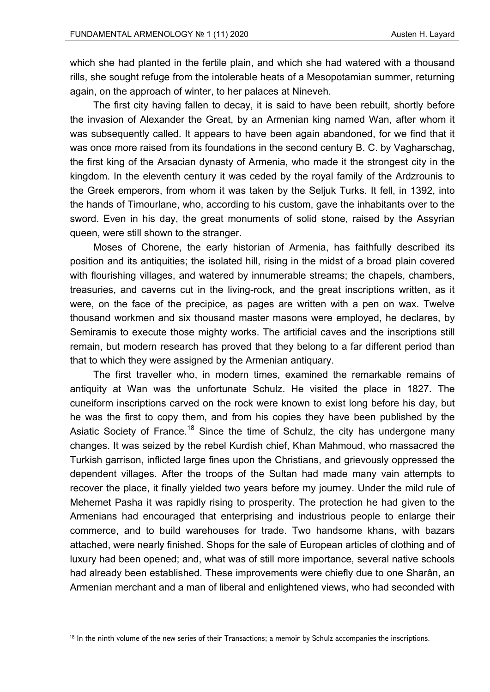which she had planted in the fertile plain, and which she had watered with a thousand rills, she sought refuge from the intolerable heats of a Mesopotamian summer, returning again, on the approach of winter, to her palaces at Nineveh.

The first city having fallen to decay, it is said to have been rebuilt, shortly before the invasion of Alexander the Great, by an Armenian king named Wan, after whom it was subsequently called. It appears to have been again abandoned, for we find that it was once more raised from its foundations in the second century B. C. by Vagharschag, the first king of the Arsacian dynasty of Armenia, who made it the strongest city in the kingdom. In the eleventh century it was ceded by the royal family of the Ardzrounis to the Greek emperors, from whom it was taken by the Seljuk Turks. It fell, in 1392, into the hands of Timourlane, who, according to his custom, gave the inhabitants over to the sword. Even in his day, the great monuments of solid stone, raised by the Assyrian queen, were still shown to the stranger.

Moses of Chorene, the early historian of Armenia, has faithfully described its position and its antiquities; the isolated hill, rising in the midst of a broad plain covered with flourishing villages, and watered by innumerable streams; the chapels, chambers, treasuries, and caverns cut in the living-rock, and the great inscriptions written, as it were, on the face of the precipice, as pages are written with a pen on wax. Twelve thousand workmen and six thousand master masons were employed, he declares, by Semiramis to execute those mighty works. The artificial caves and the inscriptions still remain, but modern research has proved that they belong to a far different period than that to which they were assigned by the Armenian antiquary.

The first traveller who, in modern times, examined the remarkable remains of antiquity at Wan was the unfortunate Schulz. He visited the place in 1827. The cuneiform inscriptions carved on the rock were known to exist long before his day, but he was the first to copy them, and from his copies they have been published by the Asiatic Society of France.<sup>18</sup> Since the time of Schulz, the city has undergone many changes. It was seized by the rebel Kurdish chief, Khan Mahmoud, who massacred the Turkish garrison, inflicted large fines upon the Christians, and grievously oppressed the dependent villages. After the troops of the Sultan had made many vain attempts to recover the place, it finally yielded two years before my journey. Under the mild rule of Mehemet Pasha it was rapidly rising to prosperity. The protection he had given to the Armenians had encouraged that enterprising and industrious people to enlarge their commerce, and to build warehouses for trade. Two handsome khans, with bazars attached, were nearly finished. Shops for the sale of European articles of clothing and of luxury had been opened; and, what was of still more importance, several native schools had already been established. These improvements were chiefly due to one Sharân, an Armenian merchant and a man of liberal and enlightened views, who had seconded with

<sup>&</sup>lt;sup>18</sup> In the ninth volume of the new series of their Transactions; a memoir by Schulz accompanies the inscriptions.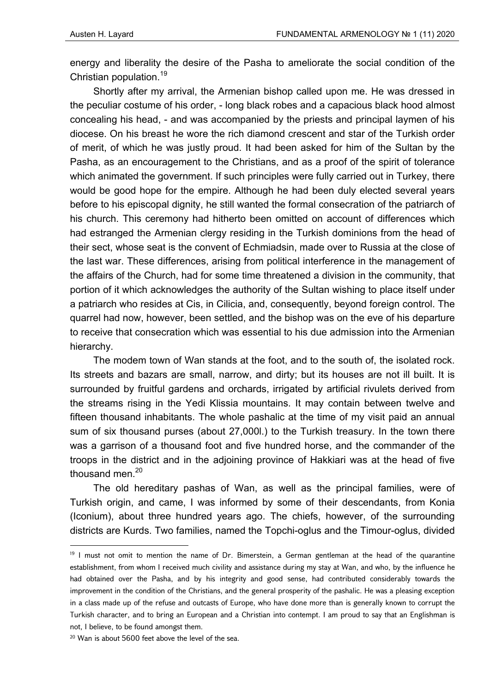energy and liberality the desire of the Pasha to ameliorate the social condition of the Christian population.19

Shortly after my arrival, the Armenian bishop called upon me. He was dressed in the peculiar costume of his order, - long black robes and a capacious black hood almost concealing his head, - and was accompanied by the priests and principal laymen of his diocese. On his breast he wore the rich diamond crescent and star of the Turkish order of merit, of which he was justly proud. It had been asked for him of the Sultan by the Pasha, as an encouragement to the Christians, and as a proof of the spirit of tolerance which animated the government. If such principles were fully carried out in Turkey, there would be good hope for the empire. Although he had been duly elected several years before to his episcopal dignity, he still wanted the formal consecration of the patriarch of his church. This ceremony had hitherto been omitted on account of differences which had estranged the Armenian clergy residing in the Turkish dominions from the head of their sect, whose seat is the convent of Echmiadsin, made over to Russia at the close of the last war. These differences, arising from political interference in the management of the affairs of the Church, had for some time threatened a division in the community, that portion of it which acknowledges the authority of the Sultan wishing to place itself under a patriarch who resides at Cis, in Cilicia, and, consequently, beyond foreign control. The quarrel had now, however, been settled, and the bishop was on the eve of his departure to receive that consecration which was essential to his due admission into the Armenian hierarchy.

The modem town of Wan stands at the foot, and to the south of, the isolated rock. Its streets and bazars are small, narrow, and dirty; but its houses are not ill built. It is surrounded by fruitful gardens and orchards, irrigated by artificial rivulets derived from the streams rising in the Yedi Klissia mountains. It may contain between twelve and fifteen thousand inhabitants. The whole pashalic at the time of my visit paid an annual sum of six thousand purses (about 27,000l.) to the Turkish treasury. In the town there was a garrison of a thousand foot and five hundred horse, and the commander of the troops in the district and in the adjoining province of Hakkiari was at the head of five thousand men.<sup>20</sup>

The old hereditary pashas of Wan, as well as the principal families, were of Turkish origin, and came, I was informed by some of their descendants, from Konia (Iconium), about three hundred years ago. The chiefs, however, of the surrounding districts are Kurds. Two families, named the Topchi-oglus and the Timour-oglus, divided

 $19$  I must not omit to mention the name of Dr. Bimerstein, a German gentleman at the head of the quarantine establishment, from whom I received much civility and assistance during my stay at Wan, and who, by the influence he had obtained over the Pasha, and by his integrity and good sense, had contributed considerably towards the improvement in the condition of the Christians, and the general prosperity of the pashalic. He was a pleasing exception in a class made up of the refuse and outcasts of Europe, who have done more than is generally known to corrupt the Turkish character, and to bring an European and a Christian into contempt. I am proud to say that an Englishman is not, I believe, to be found amongst them.

<sup>20</sup> Wan is about 5600 feet above the level of the sea.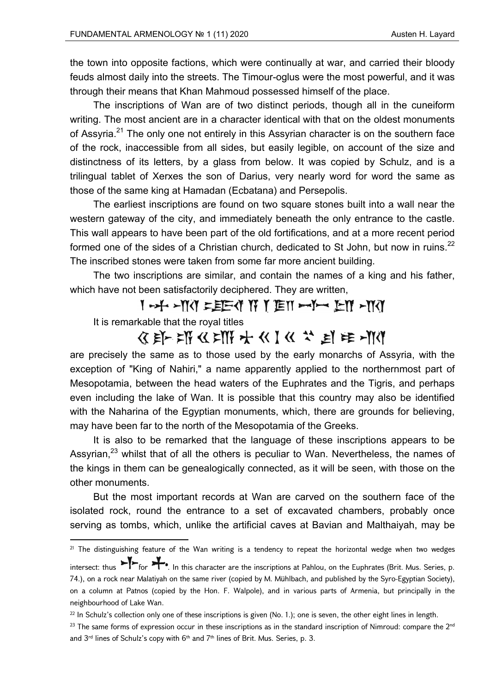the town into opposite factions, which were continually at war, and carried their bloody feuds almost daily into the streets. The Timour-oglus were the most powerful, and it was through their means that Khan Mahmoud possessed himself of the place.

The inscriptions of Wan are of two distinct periods, though all in the cuneiform writing. The most ancient are in a character identical with that on the oldest monuments of Assyria.<sup>21</sup> The only one not entirely in this Assyrian character is on the southern face of the rock, inaccessible from all sides, but easily legible, on account of the size and distinctness of its letters, by a glass from below. It was copied by Schulz, and is a trilingual tablet of Xerxes the son of Darius, very nearly word for word the same as those of the same king at Hamadan (Ecbatana) and Persepolis.

The earliest inscriptions are found on two square stones built into a wall near the western gateway of the city, and immediately beneath the only entrance to the castle. This wall appears to have been part of the old fortifications, and at a more recent period formed one of the sides of a Christian church, dedicated to St John, but now in ruins.<sup>22</sup> The inscribed stones were taken from some far more ancient building.

The two inscriptions are similar, and contain the names of a king and his father, which have not been satisfactorily deciphered. They are written,

I-X-MY = EE-Y IY Y TEII -Y-Y EYI -YYY

It is remarkable that the royal titles

## **BE-ENGEMENT CONTROLLER**

are precisely the same as to those used by the early monarchs of Assyria, with the exception of "King of Nahiri," a name apparently applied to the northernmost part of Mesopotamia, between the head waters of the Euphrates and the Tigris, and perhaps even including the lake of Wan. It is possible that this country may also be identified with the Naharina of the Egyptian monuments, which, there are grounds for believing, may have been far to the north of the Mesopotamia of the Greeks.

It is also to be remarked that the language of these inscriptions appears to be Assyrian, $^{23}$  whilst that of all the others is peculiar to Wan. Nevertheless, the names of the kings in them can be genealogically connected, as it will be seen, with those on the other monuments.

But the most important records at Wan are carved on the southern face of the isolated rock, round the entrance to a set of excavated chambers, probably once serving as tombs, which, unlike the artificial caves at Bavian and Malthaiyah, may be

 $^{21}$  The distinguishing feature of the Wan writing is a tendency to repeat the horizontal wedge when two wedges

intersect: thus  $\blacktriangleright$  for  $\blacktriangleright$ . In this character are the inscriptions at Pahlou, on the Euphrates (Brit. Mus. Series, p. 74.), on a rock near Malatiyah on the same river (copied by M. Mühlbach, and published by the Syro-Egyptian Society), on a column at Patnos (copied by the Hon. F. Walpole), and in various parts of Armenia, but principally in the neighbourhood of Lake Wan.

 $22 \text{ In Schulz's collection only one of these inscriptions is given (No. 1.); one is seven, the other eight lines in length.}$ 

 $23$  The same forms of expression occur in these inscriptions as in the standard inscription of Nimroud: compare the  $2^{nd}$ and  $3^{rd}$  lines of Schulz's copy with  $6^{th}$  and  $7^{th}$  lines of Brit. Mus. Series, p. 3.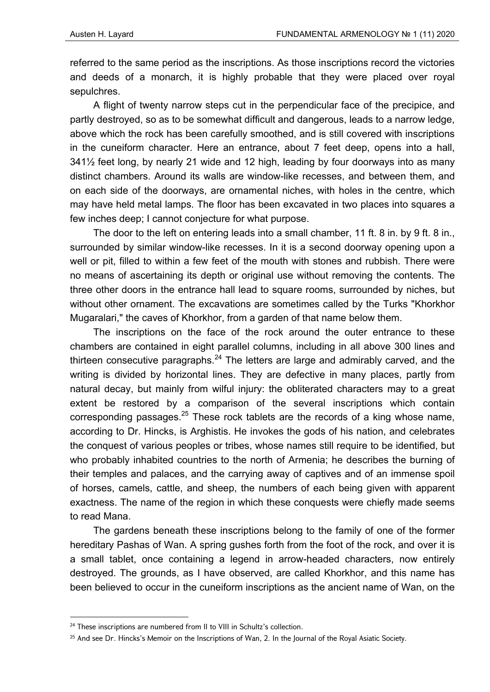referred to the same period as the inscriptions. As those inscriptions record the victories and deeds of a monarch, it is highly probable that they were placed over royal sepulchres.

A flight of twenty narrow steps cut in the perpendicular face of the precipice, and partly destroyed, so as to be somewhat difficult and dangerous, leads to a narrow ledge, above which the rock has been carefully smoothed, and is still covered with inscriptions in the cuneiform character. Here an entrance, about 7 feet deep, opens into a hall, 341½ feet long, by nearly 21 wide and 12 high, leading by four doorways into as many distinct chambers. Around its walls are window-like recesses, and between them, and on each side of the doorways, are ornamental niches, with holes in the centre, which may have held metal lamps. The floor has been excavated in two places into squares a few inches deep; I cannot conjecture for what purpose.

The door to the left on entering leads into a small chamber, 11 ft. 8 in. by 9 ft. 8 in., surrounded by similar window-like recesses. In it is a second doorway opening upon a well or pit, filled to within a few feet of the mouth with stones and rubbish. There were no means of ascertaining its depth or original use without removing the contents. The three other doors in the entrance hall lead to square rooms, surrounded by niches, but without other ornament. The excavations are sometimes called by the Turks "Khorkhor Mugaralari," the caves of Khorkhor, from a garden of that name below them.

The inscriptions on the face of the rock around the outer entrance to these chambers are contained in eight parallel columns, including in all above 300 lines and thirteen consecutive paragraphs. $^{24}$  The letters are large and admirably carved, and the writing is divided by horizontal lines. They are defective in many places, partly from natural decay, but mainly from wilful injury: the obliterated characters may to a great extent be restored by a comparison of the several inscriptions which contain corresponding passages.<sup>25</sup> These rock tablets are the records of a king whose name, according to Dr. Hincks, is Arghistis. He invokes the gods of his nation, and celebrates the conquest of various peoples or tribes, whose names still require to be identified, but who probably inhabited countries to the north of Armenia; he describes the burning of their temples and palaces, and the carrying away of captives and of an immense spoil of horses, camels, cattle, and sheep, the numbers of each being given with apparent exactness. The name of the region in which these conquests were chiefly made seems to read Mana.

The gardens beneath these inscriptions belong to the family of one of the former hereditary Pashas of Wan. A spring gushes forth from the foot of the rock, and over it is a small tablet, once containing a legend in arrow-headed characters, now entirely destroyed. The grounds, as I have observed, are called Khorkhor, and this name has been believed to occur in the cuneiform inscriptions as the ancient name of Wan, on the

 $24$  These inscriptions are numbered from II to VIII in Schultz's collection.

<sup>&</sup>lt;sup>25</sup> And see Dr. Hincks's Memoir on the Inscriptions of Wan, 2. In the Journal of the Royal Asiatic Society.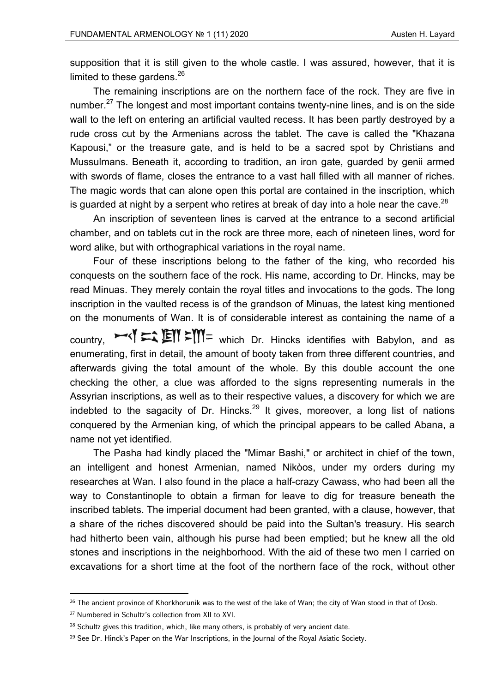supposition that it is still given to the whole castle. I was assured, however, that it is limited to these gardens. $^{26}$ 

The remaining inscriptions are on the northern face of the rock. They are five in number.<sup>27</sup> The longest and most important contains twenty-nine lines, and is on the side wall to the left on entering an artificial vaulted recess. It has been partly destroyed by a rude cross cut by the Armenians across the tablet. The cave is called the "Khazana Kapousi," or the treasure gate, and is held to be a sacred spot by Christians and Mussulmans. Beneath it, according to tradition, an iron gate, guarded by genii armed with swords of flame, closes the entrance to a vast hall filled with all manner of riches. The magic words that can alone open this portal are contained in the inscription, which is guarded at night by a serpent who retires at break of day into a hole near the cave.<sup>28</sup>

An inscription of seventeen lines is carved at the entrance to a second artificial chamber, and on tablets cut in the rock are three more, each of nineteen lines, word for word alike, but with orthographical variations in the royal name.

Four of these inscriptions belong to the father of the king, who recorded his conquests on the southern face of the rock. His name, according to Dr. Hincks, may be read Minuas. They merely contain the royal titles and invocations to the gods. The long inscription in the vaulted recess is of the grandson of Minuas, the latest king mentioned on the monuments of Wan. It is of considerable interest as containing the name of a country.  $\blacktriangleright$   $\blacktriangle$   $\blacktriangleright$   $\blacktriangleright$   $\blacktriangleright$   $\blacktriangleright$   $\blacktriangleright$   $\blacktriangleright$   $\blacktriangleright$   $\blacktriangleright$   $\blacktriangleright$   $\blacktriangleright$   $\blacktriangleright$   $\blacktriangleright$   $\blacktriangleright$   $\blacktriangleright$   $\blacktriangleright$   $\blacktriangleright$   $\blacktriangleright$   $\blacktriangleright$   $\blacktriangleright$   $\blacktriangleright$   $\blacktriangleright$   $\blacktriangleright$   $\blacktriangleright$   $\blacktriangleright$   $\blacktriangleright$ enumerating, first in detail, the amount of booty taken from three different countries, and afterwards giving the total amount of the whole. By this double account the one checking the other, a clue was afforded to the signs representing numerals in the Assyrian inscriptions, as well as to their respective values, a discovery for which we are indebted to the sagacity of Dr. Hincks.<sup>29</sup> It gives, moreover, a long list of nations conquered by the Armenian king, of which the principal appears to be called Abana, a name not yet identified.

The Pasha had kindly placed the "Mimar Bashi," or architect in chief of the town, an intelligent and honest Armenian, named Nikòos, under my orders during my researches at Wan. I also found in the place a half-crazy Cawass, who had been all the way to Constantinople to obtain a firman for leave to dig for treasure beneath the inscribed tablets. The imperial document had been granted, with a clause, however, that a share of the riches discovered should be paid into the Sultan's treasury. His search had hitherto been vain, although his purse had been emptied; but he knew all the old stones and inscriptions in the neighborhood. With the aid of these two men I carried on excavations for a short time at the foot of the northern face of the rock, without other

<sup>&</sup>lt;sup>26</sup> The ancient province of Khorkhorunik was to the west of the lake of Wan; the city of Wan stood in that of Dosb.

<sup>27</sup> Numbered in Schultz's collection from XII to XVI.

 $28$  Schultz gives this tradition, which, like many others, is probably of very ancient date.

 $29$  See Dr. Hinck's Paper on the War Inscriptions, in the Journal of the Royal Asiatic Society.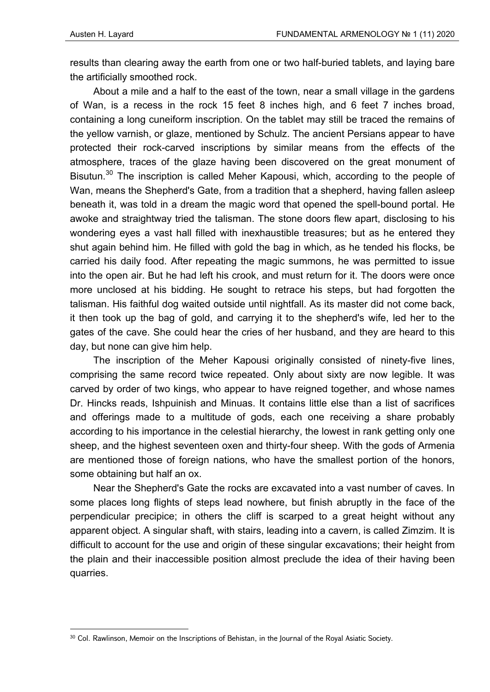results than clearing away the earth from one or two half-buried tablets, and laying bare the artificially smoothed rock.

About a mile and a half to the east of the town, near a small village in the gardens of Wan, is a recess in the rock 15 feet 8 inches high, and 6 feet 7 inches broad, containing a long cuneiform inscription. On the tablet may still be traced the remains of the yellow varnish, or glaze, mentioned by Schulz. The ancient Persians appear to have protected their rock-carved inscriptions by similar means from the effects of the atmosphere, traces of the glaze having been discovered on the great monument of Bisutun.<sup>30</sup> The inscription is called Meher Kapousi, which, according to the people of Wan, means the Shepherd's Gate, from a tradition that a shepherd, having fallen asleep beneath it, was told in a dream the magic word that opened the spell-bound portal. He awoke and straightway tried the talisman. The stone doors flew apart, disclosing to his wondering eyes a vast hall filled with inexhaustible treasures; but as he entered they shut again behind him. He filled with gold the bag in which, as he tended his flocks, be carried his daily food. After repeating the magic summons, he was permitted to issue into the open air. But he had left his crook, and must return for it. The doors were once more unclosed at his bidding. He sought to retrace his steps, but had forgotten the talisman. His faithful dog waited outside until nightfall. As its master did not come back, it then took up the bag of gold, and carrying it to the shepherd's wife, led her to the gates of the cave. She could hear the cries of her husband, and they are heard to this day, but none can give him help.

The inscription of the Meher Kapousi originally consisted of ninety-five lines, comprising the same record twice repeated. Only about sixty are now legible. It was carved by order of two kings, who appear to have reigned together, and whose names Dr. Hincks reads, Ishpuinish and Minuas. It contains little else than a list of sacrifices and offerings made to a multitude of gods, each one receiving a share probably according to his importance in the celestial hierarchy, the lowest in rank getting only one sheep, and the highest seventeen oxen and thirty-four sheep. With the gods of Armenia are mentioned those of foreign nations, who have the smallest portion of the honors, some obtaining but half an ox.

Near the Shepherd's Gate the rocks are excavated into a vast number of caves. In some places long flights of steps lead nowhere, but finish abruptly in the face of the perpendicular precipice; in others the cliff is scarped to a great height without any apparent object. A singular shaft, with stairs, leading into a cavern, is called Zimzim. It is difficult to account for the use and origin of these singular excavations; their height from the plain and their inaccessible position almost preclude the idea of their having been quarries.

<sup>30</sup> Col. Rawlinson, Memoir on the Inscriptions of Behistan, in the Journal of the Royal Asiatic Society.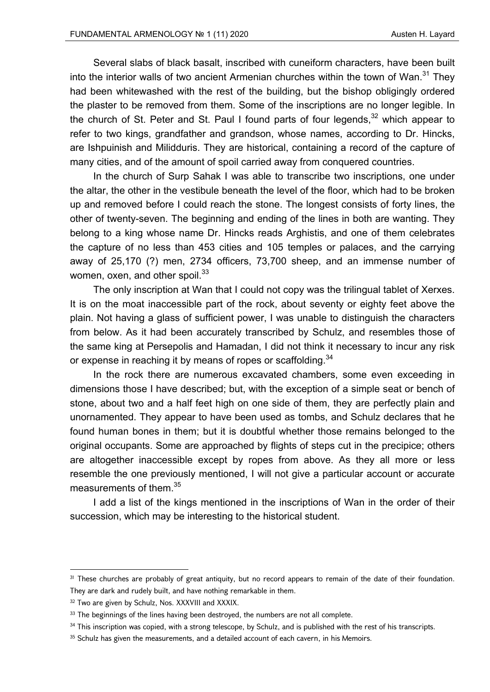Several slabs of black basalt, inscribed with cuneiform characters, have been built into the interior walls of two ancient Armenian churches within the town of Wan. $31$  They had been whitewashed with the rest of the building, but the bishop obligingly ordered the plaster to be removed from them. Some of the inscriptions are no longer legible. In the church of St. Peter and St. Paul I found parts of four legends,  $32$  which appear to refer to two kings, grandfather and grandson, whose names, according to Dr. Hincks, are Ishpuinish and Milidduris. They are historical, containing a record of the capture of many cities, and of the amount of spoil carried away from conquered countries.

In the church of Surp Sahak I was able to transcribe two inscriptions, one under the altar, the other in the vestibule beneath the level of the floor, which had to be broken up and removed before I could reach the stone. The longest consists of forty lines, the other of twenty-seven. The beginning and ending of the lines in both are wanting. They belong to a king whose name Dr. Hincks reads Arghistis, and one of them celebrates the capture of no less than 453 cities and 105 temples or palaces, and the carrying away of 25,170 (?) men, 2734 officers, 73,700 sheep, and an immense number of women, oxen, and other spoil.<sup>33</sup>

The only inscription at Wan that I could not copy was the trilingual tablet of Xerxes. It is on the moat inaccessible part of the rock, about seventy or eighty feet above the plain. Not having a glass of sufficient power, I was unable to distinguish the characters from below. As it had been accurately transcribed by Schulz, and resembles those of the same king at Persepolis and Hamadan, I did not think it necessary to incur any risk or expense in reaching it by means of ropes or scaffolding.<sup>34</sup>

In the rock there are numerous excavated chambers, some even exceeding in dimensions those I have described; but, with the exception of a simple seat or bench of stone, about two and a half feet high on one side of them, they are perfectly plain and unornamented. They appear to have been used as tombs, and Schulz declares that he found human bones in them; but it is doubtful whether those remains belonged to the original occupants. Some are approached by flights of steps cut in the precipice; others are altogether inaccessible except by ropes from above. As they all more or less resemble the one previously mentioned, I will not give a particular account or accurate measurements of them.<sup>35</sup>

I add a list of the kings mentioned in the inscriptions of Wan in the order of their succession, which may be interesting to the historical student.

<sup>&</sup>lt;sup>31</sup> These churches are probably of great antiquity, but no record appears to remain of the date of their foundation. They are dark and rudely built, and have nothing remarkable in them.

<sup>&</sup>lt;sup>32</sup> Two are given by Schulz, Nos. XXXVIII and XXXIX.

<sup>&</sup>lt;sup>33</sup> The beginnings of the lines having been destroyed, the numbers are not all complete.

 $34$  This inscription was copied, with a strong telescope, by Schulz, and is published with the rest of his transcripts.

<sup>&</sup>lt;sup>35</sup> Schulz has given the measurements, and a detailed account of each cavern, in his Memoirs.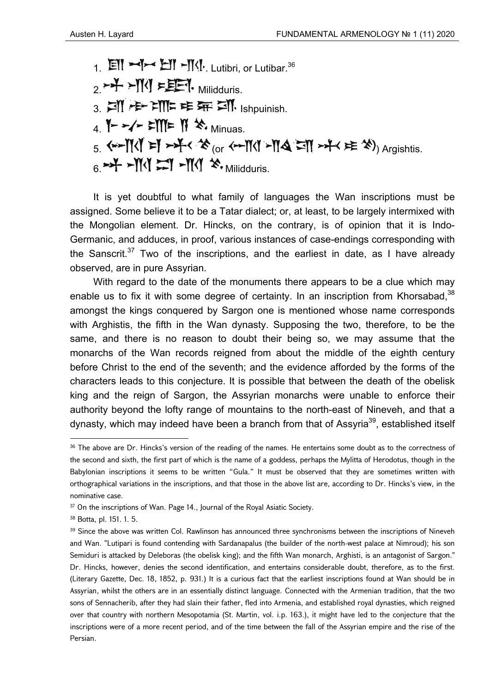$1.$   $\mathbb{E}$   $\mathbb{I}$   $\mathbb{I}$   $\mathbb{I}$   $\mathbb{I}$   $\mathbb{I}$   $\mathbb{I}$   $\mathbb{I}$   $\mathbb{I}$   $\mathbb{I}$ , Lutibri, or Lutibar.<sup>36</sup>  $2.7 + 1$  Milidduris. 3. IN 卡 IN F 车 ST IN Ishpuinish.  $4.$  Y - - / - = M = N  $\cdot$  Minuas.  $5.$   $\leftarrow$   $\left[\left[\left(\begin{array}{cc} x \\ y \end{array}\right) \right]$   $\leftarrow$   $\left[\left(\begin{array}{cc} x \\ y \end{array}\right) \right]$   $\leftarrow$   $\left[\left(\begin{array}{cc} x \\ y \end{array}\right) \right]$   $\left[\left(\begin{array}{cc} x \\ y \end{array}\right) \right]$   $\left[\left(\begin{array}{cc} x \\ y \end{array}\right) \right]$   $\left[\left(\begin{array}{cc} x \\ y \end{array}\right) \right]$   $\left[\left(\begin{array}{cc} x \\ y \end{array}\right) \right]$   $\left[\left(\begin$  $6 \rightarrow 4$  - $M_1$   $\rightarrow 1$  - $M_2$   $\rightarrow$   $M_3$   $\rightarrow$   $M_4$ 

It is yet doubtful to what family of languages the Wan inscriptions must be assigned. Some believe it to be a Tatar dialect; or, at least, to be largely intermixed with the Mongolian element. Dr. Hincks, on the contrary, is of opinion that it is Indo-Germanic, and adduces, in proof, various instances of case-endings corresponding with the Sanscrit.<sup>37</sup> Two of the inscriptions, and the earliest in date, as I have already observed, are in pure Assyrian.

With regard to the date of the monuments there appears to be a clue which may enable us to fix it with some degree of certainty. In an inscription from Khorsabad.<sup>38</sup> amongst the kings conquered by Sargon one is mentioned whose name corresponds with Arghistis, the fifth in the Wan dynasty. Supposing the two, therefore, to be the same, and there is no reason to doubt their being so, we may assume that the monarchs of the Wan records reigned from about the middle of the eighth century before Christ to the end of the seventh; and the evidence afforded by the forms of the characters leads to this conjecture. It is possible that between the death of the obelisk king and the reign of Sargon, the Assyrian monarchs were unable to enforce their authority beyond the lofty range of mountains to the north-east of Nineveh, and that a dynasty, which may indeed have been a branch from that of Assyria<sup>39</sup>, established itself

<sup>&</sup>lt;sup>36</sup> The above are Dr. Hincks's version of the reading of the names. He entertains some doubt as to the correctness of the second and sixth, the first part of which is the name of a goddess, perhaps the Mylitta of Herodotus, though in the Babylonian inscriptions it seems to be written "Gula." It must be observed that they are sometimes written with orthographical variations in the inscriptions, and that those in the above list are, according to Dr. Hincks's view, in the nominative case.

<sup>&</sup>lt;sup>37</sup> On the inscriptions of Wan. Page 14., Journal of the Royal Asiatic Society.

<sup>38</sup> Botta, pl. 151, 1, 5.

<sup>&</sup>lt;sup>39</sup> Since the above was written Col. Rawlinson has announced three synchronisms between the inscriptions of Nineveh and Wan. "Lutipari is found contending with Sardanapalus (the builder of the north-west palace at Nimroud); his son Semiduri is attacked by Deleboras (the obelisk king); and the fifth Wan monarch, Arghisti, is an antagonist of Sargon." Dr. Hincks, however, denies the second identification, and entertains considerable doubt, therefore, as to the first. (Literary Gazette, Dec. 18, 1852, p. 931.) It is a curious fact that the earliest inscriptions found at Wan should be in Assyrian, whilst the others are in an essentially distinct language. Connected with the Armenian tradition, that the two sons of Sennacherib, after they had slain their father, fled into Armenia, and established royal dynasties, which reigned over that country with northern Mesopotamia (St. Martin, vol. i.p. 163.), it might have led to the conjecture that the inscriptions were of a more recent period, and of the time between the fall of the Assyrian empire and the rise of the Persian.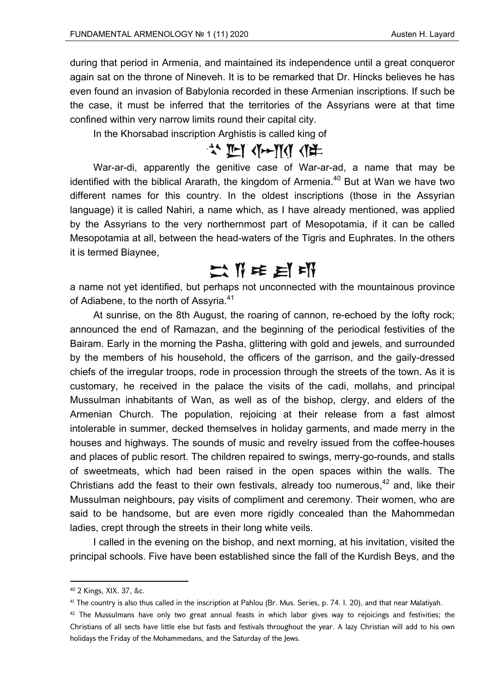during that period in Armenia, and maintained its independence until a great conqueror again sat on the throne of Nineveh. It is to be remarked that Dr. Hincks believes he has even found an invasion of Babylonia recorded in these Armenian inscriptions. If such be the case, it must be inferred that the territories of the Assyrians were at that time confined within very narrow limits round their capital city.

In the Khorsabad inscription Arghistis is called king of

## ☆ 『 《 ~ 》 《 》

War-ar-di, apparently the genitive case of War-ar-ad, a name that may be identified with the biblical Ararath, the kingdom of Armenia.<sup>40</sup> But at Wan we have two different names for this country. In the oldest inscriptions (those in the Assyrian language) it is called Nahiri, a name which, as I have already mentioned, was applied by the Assyrians to the very northernmost part of Mesopotamia, if it can be called Mesopotamia at all, between the head-waters of the Tigris and Euphrates. In the others it is termed Biaynee,

# 二节车目邮

a name not yet identified, but perhaps not unconnected with the mountainous province of Adiabene, to the north of Assyria.<sup>41</sup>

At sunrise, on the 8th August, the roaring of cannon, re-echoed by the lofty rock; announced the end of Ramazan, and the beginning of the periodical festivities of the Bairam. Early in the morning the Pasha, glittering with gold and jewels, and surrounded by the members of his household, the officers of the garrison, and the gaily-dressed chiefs of the irregular troops, rode in procession through the streets of the town. As it is customary, he received in the palace the visits of the cadi, mollahs, and principal Mussulman inhabitants of Wan, as well as of the bishop, clergy, and elders of the Armenian Church. The population, rejoicing at their release from a fast almost intolerable in summer, decked themselves in holiday garments, and made merry in the houses and highways. The sounds of music and revelry issued from the coffee-houses and places of public resort. The children repaired to swings, merry-go-rounds, and stalls of sweetmeats, which had been raised in the open spaces within the walls. The Christians add the feast to their own festivals, already too numerous,  $42$  and, like their Mussulman neighbours, pay visits of compliment and ceremony. Their women, who are said to be handsome, but are even more rigidly concealed than the Mahommedan ladies, crept through the streets in their long white veils.

I called in the evening on the bishop, and next morning, at his invitation, visited the principal schools. Five have been established since the fall of the Kurdish Beys, and the

<sup>40 2</sup> Kings, XIX. 37, &c.

<sup>&</sup>lt;sup>41</sup> The country is also thus called in the inscription at Pahlou (Br. Mus. Series, p. 74. I. 20), and that near Malatiyah.

 $42$  The Mussulmans have only two great annual feasts in which labor gives way to rejoicings and festivities; the Christians of all sects have little else but fasts and festivals throughout the year. A lazy Christian will add to his own holidays the Friday of the Mohammedans, and the Saturday of the Jews.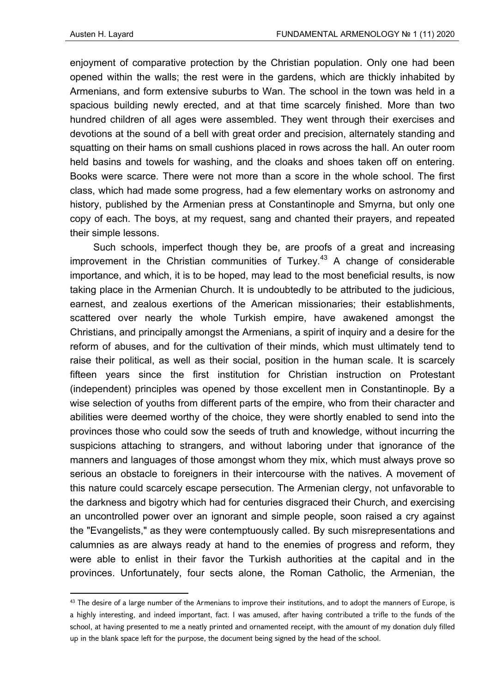enjoyment of comparative protection by the Christian population. Only one had been opened within the walls; the rest were in the gardens, which are thickly inhabited by Armenians, and form extensive suburbs to Wan. The school in the town was held in a spacious building newly erected, and at that time scarcely finished. More than two hundred children of all ages were assembled. They went through their exercises and devotions at the sound of a bell with great order and precision, alternately standing and squatting on their hams on small cushions placed in rows across the hall. An outer room held basins and towels for washing, and the cloaks and shoes taken off on entering. Books were scarce. There were not more than a score in the whole school. The first class, which had made some progress, had a few elementary works on astronomy and history, published by the Armenian press at Constantinople and Smyrna, but only one copy of each. The boys, at my request, sang and chanted their prayers, and repeated their simple lessons.

Such schools, imperfect though they be, are proofs of a great and increasing improvement in the Christian communities of Turkey.<sup>43</sup> A change of considerable importance, and which, it is to be hoped, may lead to the most beneficial results, is now taking place in the Armenian Church. It is undoubtedly to be attributed to the judicious, earnest, and zealous exertions of the American missionaries; their establishments, scattered over nearly the whole Turkish empire, have awakened amongst the Christians, and principally amongst the Armenians, a spirit of inquiry and a desire for the reform of abuses, and for the cultivation of their minds, which must ultimately tend to raise their political, as well as their social, position in the human scale. It is scarcely fifteen years since the first institution for Christian instruction on Protestant (independent) principles was opened by those excellent men in Constantinople. By a wise selection of youths from different parts of the empire, who from their character and abilities were deemed worthy of the choice, they were shortly enabled to send into the provinces those who could sow the seeds of truth and knowledge, without incurring the suspicions attaching to strangers, and without laboring under that ignorance of the manners and languages of those amongst whom they mix, which must always prove so serious an obstacle to foreigners in their intercourse with the natives. A movement of this nature could scarcely escape persecution. The Armenian clergy, not unfavorable to the darkness and bigotry which had for centuries disgraced their Church, and exercising an uncontrolled power over an ignorant and simple people, soon raised a cry against the "Evangelists," as they were contemptuously called. By such misrepresentations and calumnies as are always ready at hand to the enemies of progress and reform, they were able to enlist in their favor the Turkish authorities at the capital and in the provinces. Unfortunately, four sects alone, the Roman Catholic, the Armenian, the

<sup>&</sup>lt;sup>43</sup> The desire of a large number of the Armenians to improve their institutions, and to adopt the manners of Europe, is a highly interesting, and indeed important, fact. I was amused, after having contributed a trifle to the funds of the school, at having presented to me a neatly printed and ornamented receipt, with the amount of my donation duly filled up in the blank space left for the purpose, the document being signed by the head of the school.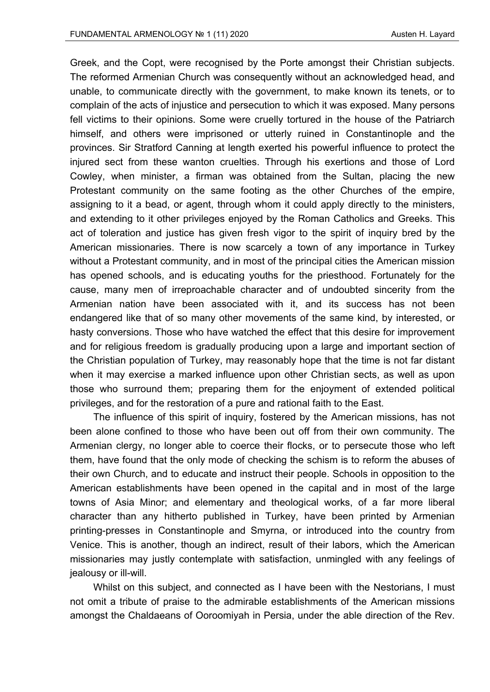Greek, and the Copt, were recognised by the Porte amongst their Christian subjects. The reformed Armenian Church was consequently without an acknowledged head, and unable, to communicate directly with the government, to make known its tenets, or to complain of the acts of injustice and persecution to which it was exposed. Many persons fell victims to their opinions. Some were cruelly tortured in the house of the Patriarch himself, and others were imprisoned or utterly ruined in Constantinople and the provinces. Sir Stratford Canning at length exerted his powerful influence to protect the injured sect from these wanton cruelties. Through his exertions and those of Lord Cowley, when minister, a firman was obtained from the Sultan, placing the new Protestant community on the same footing as the other Churches of the empire, assigning to it a bead, or agent, through whom it could apply directly to the ministers, and extending to it other privileges enjoyed by the Roman Catholics and Greeks. This act of toleration and justice has given fresh vigor to the spirit of inquiry bred by the American missionaries. There is now scarcely a town of any importance in Turkey without a Protestant community, and in most of the principal cities the American mission has opened schools, and is educating youths for the priesthood. Fortunately for the cause, many men of irreproachable character and of undoubted sincerity from the Armenian nation have been associated with it, and its success has not been endangered like that of so many other movements of the same kind, by interested, or hasty conversions. Those who have watched the effect that this desire for improvement and for religious freedom is gradually producing upon a large and important section of the Christian population of Turkey, may reasonably hope that the time is not far distant when it may exercise a marked influence upon other Christian sects, as well as upon those who surround them; preparing them for the enjoyment of extended political privileges, and for the restoration of a pure and rational faith to the East.

The influence of this spirit of inquiry, fostered by the American missions, has not been alone confined to those who have been out off from their own community. The Armenian clergy, no longer able to coerce their flocks, or to persecute those who left them, have found that the only mode of checking the schism is to reform the abuses of their own Church, and to educate and instruct their people. Schools in opposition to the American establishments have been opened in the capital and in most of the large towns of Asia Minor; and elementary and theological works, of a far more liberal character than any hitherto published in Turkey, have been printed by Armenian printing-presses in Constantinople and Smyrna, or introduced into the country from Venice. This is another, though an indirect, result of their labors, which the American missionaries may justly contemplate with satisfaction, unmingled with any feelings of jealousy or ill-will.

Whilst on this subject, and connected as I have been with the Nestorians, I must not omit a tribute of praise to the admirable establishments of the American missions amongst the Chaldaeans of Ooroomiyah in Persia, under the able direction of the Rev.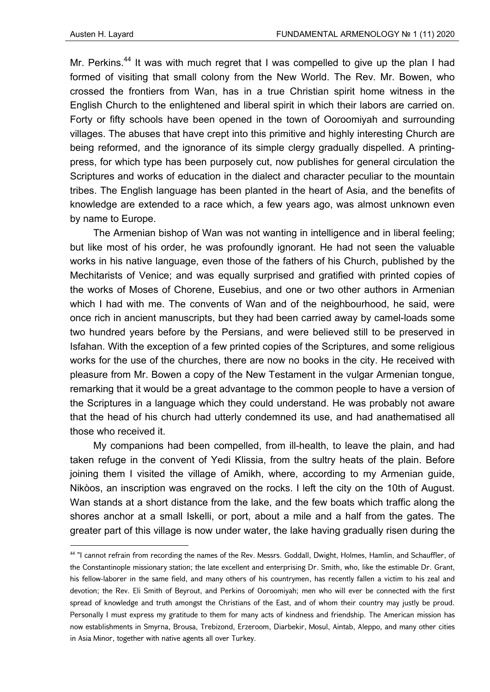Mr. Perkins.<sup>44</sup> It was with much regret that I was compelled to give up the plan I had formed of visiting that small colony from the New World. The Rev. Mr. Bowen, who crossed the frontiers from Wan, has in a true Christian spirit home witness in the English Church to the enlightened and liberal spirit in which their labors are carried on. Forty or fifty schools have been opened in the town of Ooroomiyah and surrounding villages. The abuses that have crept into this primitive and highly interesting Church are being reformed, and the ignorance of its simple clergy gradually dispelled. A printingpress, for which type has been purposely cut, now publishes for general circulation the Scriptures and works of education in the dialect and character peculiar to the mountain tribes. The English language has been planted in the heart of Asia, and the benefits of knowledge are extended to a race which, a few years ago, was almost unknown even by name to Europe.

The Armenian bishop of Wan was not wanting in intelligence and in liberal feeling; but like most of his order, he was profoundly ignorant. He had not seen the valuable works in his native language, even those of the fathers of his Church, published by the Mechitarists of Venice; and was equally surprised and gratified with printed copies of the works of Moses of Chorene, Eusebius, and one or two other authors in Armenian which I had with me. The convents of Wan and of the neighbourhood, he said, were once rich in ancient manuscripts, but they had been carried away by camel-loads some two hundred years before by the Persians, and were believed still to be preserved in Isfahan. With the exception of a few printed copies of the Scriptures, and some religious works for the use of the churches, there are now no books in the city. He received with pleasure from Mr. Bowen a copy of the New Testament in the vulgar Armenian tongue, remarking that it would be a great advantage to the common people to have a version of the Scriptures in a language which they could understand. He was probably not aware that the head of his church had utterly condemned its use, and had anathematised all those who received it.

My companions had been compelled, from ill-health, to leave the plain, and had taken refuge in the convent of Yedi Klissia, from the sultry heats of the plain. Before joining them I visited the village of Amikh, where, according to my Armenian guide, Nikòos, an inscription was engraved on the rocks. I left the city on the 10th of August. Wan stands at a short distance from the lake, and the few boats which traffic along the shores anchor at a small Iskelli, or port, about a mile and a half from the gates. The greater part of this village is now under water, the lake having gradually risen during the

<sup>44 &</sup>quot;I cannot refrain from recording the names of the Rev. Messrs. Goddall, Dwight, Holmes, Hamlin, and Schauffler, of the Constantinople missionary station; the late excellent and enterprising Dr. Smith, who, like the estimable Dr. Grant, his fellow-laborer in the same field, and many others of his countrymen, has recently fallen a victim to his zeal and devotion; the Rev. Eli Smith of Beyrout, and Perkins of Ooroomiyah; men who will ever be connected with the first spread of knowledge and truth amongst the Christians of the East, and of whom their country may justly be proud. Personally I must express my gratitude to them for many acts of kindness and friendship. The American mission has now establishments in Smyrna, Brousa, Trebizond, Erzeroom, Diarbekir, Mosul, Aintab, Aleppo, and many other cities in Asia Minor, together with native agents all over Turkey.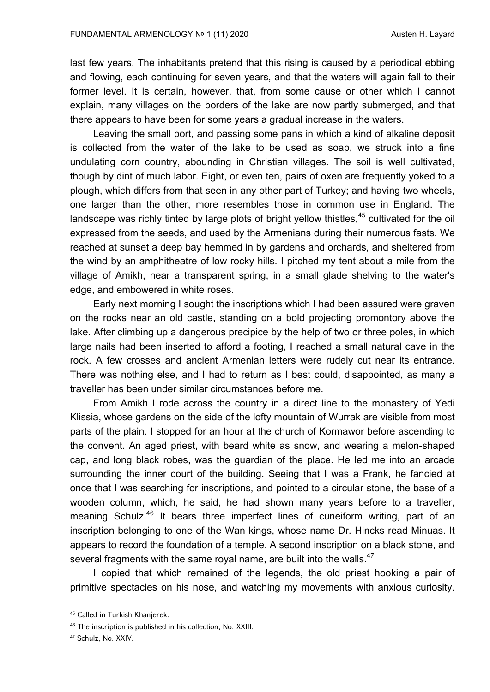last few years. The inhabitants pretend that this rising is caused by a periodical ebbing and flowing, each continuing for seven years, and that the waters will again fall to their former level. It is certain, however, that, from some cause or other which I cannot explain, many villages on the borders of the lake are now partly submerged, and that there appears to have been for some years a gradual increase in the waters.

Leaving the small port, and passing some pans in which a kind of alkaline deposit is collected from the water of the lake to be used as soap, we struck into a fine undulating corn country, abounding in Christian villages. The soil is well cultivated, though by dint of much labor. Eight, or even ten, pairs of oxen are frequently yoked to a plough, which differs from that seen in any other part of Turkey; and having two wheels, one larger than the other, more resembles those in common use in England. The landscape was richly tinted by large plots of bright yellow thistles, $45$  cultivated for the oil expressed from the seeds, and used by the Armenians during their numerous fasts. We reached at sunset a deep bay hemmed in by gardens and orchards, and sheltered from the wind by an amphitheatre of low rocky hills. I pitched my tent about a mile from the village of Amikh, near a transparent spring, in a small glade shelving to the water's edge, and embowered in white roses.

Early next morning I sought the inscriptions which I had been assured were graven on the rocks near an old castle, standing on a bold projecting promontory above the lake. After climbing up a dangerous precipice by the help of two or three poles, in which large nails had been inserted to afford a footing, I reached a small natural cave in the rock. A few crosses and ancient Armenian letters were rudely cut near its entrance. There was nothing else, and I had to return as I best could, disappointed, as many a traveller has been under similar circumstances before me.

From Amikh I rode across the country in a direct line to the monastery of Yedi Klissia, whose gardens on the side of the lofty mountain of Wurrak are visible from most parts of the plain. I stopped for an hour at the church of Kormawor before ascending to the convent. An aged priest, with beard white as snow, and wearing a melon-shaped cap, and long black robes, was the guardian of the place. He led me into an arcade surrounding the inner court of the building. Seeing that I was a Frank, he fancied at once that I was searching for inscriptions, and pointed to a circular stone, the base of a wooden column, which, he said, he had shown many years before to a traveller, meaning Schulz.<sup>46</sup> It bears three imperfect lines of cuneiform writing, part of an inscription belonging to one of the Wan kings, whose name Dr. Hincks read Minuas. It appears to record the foundation of a temple. A second inscription on a black stone, and several fragments with the same royal name, are built into the walls. $47$ 

I copied that which remained of the legends, the old priest hooking a pair of primitive spectacles on his nose, and watching my movements with anxious curiosity.

<sup>45</sup> Called in Turkish Khanjerek.

<sup>46</sup> The inscription is published in his collection, No. XXIII.

<sup>47</sup> Schulz, No. XXIV.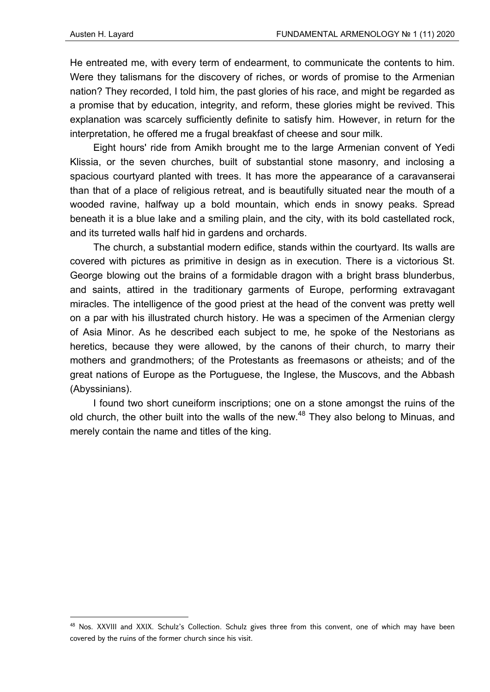He entreated me, with every term of endearment, to communicate the contents to him. Were they talismans for the discovery of riches, or words of promise to the Armenian nation? They recorded, I told him, the past glories of his race, and might be regarded as a promise that by education, integrity, and reform, these glories might be revived. This explanation was scarcely sufficiently definite to satisfy him. However, in return for the interpretation, he offered me a frugal breakfast of cheese and sour milk.

Eight hours' ride from Amikh brought me to the large Armenian convent of Yedi Klissia, or the seven churches, built of substantial stone masonry, and inclosing a spacious courtyard planted with trees. It has more the appearance of a caravanserai than that of a place of religious retreat, and is beautifully situated near the mouth of a wooded ravine, halfway up a bold mountain, which ends in snowy peaks. Spread beneath it is a blue lake and a smiling plain, and the city, with its bold castellated rock, and its turreted walls half hid in gardens and orchards.

The church, a substantial modern edifice, stands within the courtyard. Its walls are covered with pictures as primitive in design as in execution. There is a victorious St. George blowing out the brains of a formidable dragon with a bright brass blunderbus, and saints, attired in the traditionary garments of Europe, performing extravagant miracles. The intelligence of the good priest at the head of the convent was pretty well on a par with his illustrated church history. He was a specimen of the Armenian clergy of Asia Minor. As he described each subject to me, he spoke of the Nestorians as heretics, because they were allowed, by the canons of their church, to marry their mothers and grandmothers; of the Protestants as freemasons or atheists; and of the great nations of Europe as the Portuguese, the Inglese, the Muscovs, and the Abbash (Abyssinians).

I found two short cuneiform inscriptions; one on a stone amongst the ruins of the old church, the other built into the walls of the new. $^{48}$  They also belong to Minuas, and merely contain the name and titles of the king.

<sup>&</sup>lt;sup>48</sup> Nos. XXVIII and XXIX. Schulz's Collection. Schulz gives three from this convent, one of which may have been covered by the ruins of the former church since his visit.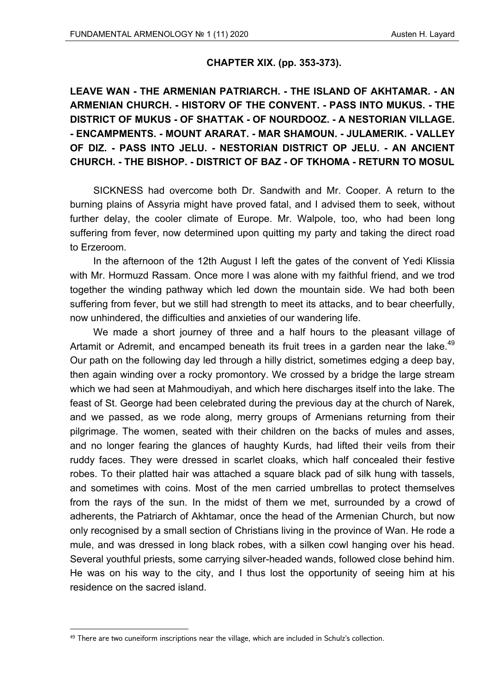### **CHAPTER XIX. (pp. 353-373).**

**LEAVE WAN - THE ARMENIAN PATRIARCH. - THE ISLAND OF AKHTAMAR. - AN ARMENIAN CHURCH. - HlSTORV OF THE CONVENT. - PASS INTO MUKUS. - THE DISTRICT OF MUKUS - OF SHATTAK - OF NOURDOOZ. - A NESTORIAN VILLAGE. - ENCAMPMENTS. - MOUNT ARARAT. - MAR SHAMOUN. - JULAMERIK. - VALLEY OF DIZ. - PASS INTO JELU. - NESTORIAN DISTRICT OP JELU. - AN ANCIENT CHURCH. - THE BISHOP. - DISTRICT OF BAZ - OF TKHOMA - RETURN TO MOSUL** 

SICKNESS had overcome both Dr. Sandwith and Mr. Cooper. A return to the burning plains of Assyria might have proved fatal, and I advised them to seek, without further delay, the cooler climate of Europe. Mr. Walpole, too, who had been long suffering from fever, now determined upon quitting my party and taking the direct road to Erzeroom.

In the afternoon of the 12th August I left the gates of the convent of Yedi Klissia with Mr. Hormuzd Rassam. Once more l was alone with my faithful friend, and we trod together the winding pathway which led down the mountain side. We had both been suffering from fever, but we still had strength to meet its attacks, and to bear cheerfully, now unhindered, the difficulties and anxieties of our wandering life.

We made a short journey of three and a half hours to the pleasant village of Artamit or Adremit, and encamped beneath its fruit trees in a garden near the lake.<sup>49</sup> Our path on the following day led through a hilly district, sometimes edging a deep bay, then again winding over a rocky promontory. We crossed by a bridge the large stream which we had seen at Mahmoudiyah, and which here discharges itself into the lake. The feast of St. George had been celebrated during the previous day at the church of Narek, and we passed, as we rode along, merry groups of Armenians returning from their pilgrimage. The women, seated with their children on the backs of mules and asses, and no longer fearing the glances of haughty Kurds, had lifted their veils from their ruddy faces. They were dressed in scarlet cloaks, which half concealed their festive robes. To their platted hair was attached a square black pad of silk hung with tassels, and sometimes with coins. Most of the men carried umbrellas to protect themselves from the rays of the sun. In the midst of them we met, surrounded by a crowd of adherents, the Patriarch of Akhtamar, once the head of the Armenian Church, but now only recognised by a small section of Christians living in the province of Wan. He rode a mule, and was dressed in long black robes, with a silken cowl hanging over his head. Several youthful priests, some carrying silver-headed wands, followed close behind him. He was on his way to the city, and I thus lost the opportunity of seeing him at his residence on the sacred island.

<sup>&</sup>lt;sup>49</sup> There are two cuneiform inscriptions near the village, which are included in Schulz's collection.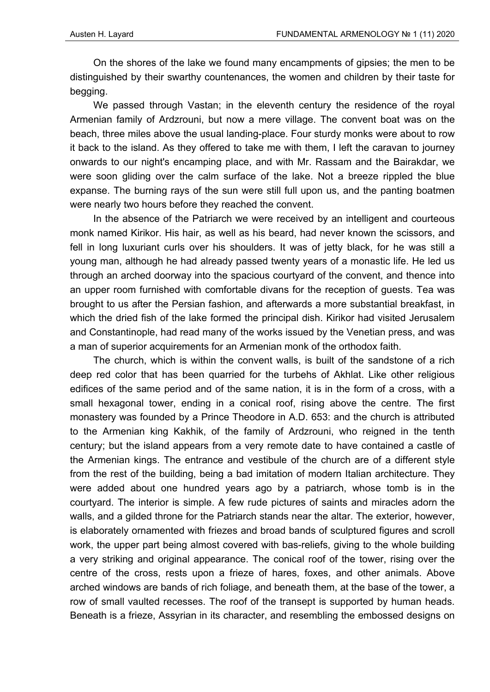On the shores of the lake we found many encampments of gipsies; the men to be distinguished by their swarthy countenances, the women and children by their taste for begging.

We passed through Vastan; in the eleventh century the residence of the royal Armenian family of Ardzrouni, but now a mere village. The convent boat was on the beach, three miles above the usual landing-place. Four sturdy monks were about to row it back to the island. As they offered to take me with them, I left the caravan to journey onwards to our night's encamping place, and with Mr. Rassam and the Bairakdar, we were soon gliding over the calm surface of the lake. Not a breeze rippled the blue expanse. The burning rays of the sun were still full upon us, and the panting boatmen were nearly two hours before they reached the convent.

In the absence of the Patriarch we were received by an intelligent and courteous monk named Kirikor. His hair, as well as his beard, had never known the scissors, and fell in long luxuriant curls over his shoulders. It was of jetty black, for he was still a young man, although he had already passed twenty years of a monastic life. He led us through an arched doorway into the spacious courtyard of the convent, and thence into an upper room furnished with comfortable divans for the reception of guests. Tea was brought to us after the Persian fashion, and afterwards a more substantial breakfast, in which the dried fish of the lake formed the principal dish. Kirikor had visited Jerusalem and Constantinople, had read many of the works issued by the Venetian press, and was a man of superior acquirements for an Armenian monk of the orthodox faith.

The church, which is within the convent walls, is built of the sandstone of a rich deep red color that has been quarried for the turbehs of Akhlat. Like other religious edifices of the same period and of the same nation, it is in the form of a cross, with a small hexagonal tower, ending in a conical roof, rising above the centre. The first monastery was founded by a Prince Theodore in A.D. 653: and the church is attributed to the Armenian king Kakhik, of the family of Ardzrouni, who reigned in the tenth century; but the island appears from a very remote date to have contained a castle of the Armenian kings. The entrance and vestibule of the church are of a different style from the rest of the building, being a bad imitation of modern Italian architecture. They were added about one hundred years ago by a patriarch, whose tomb is in the courtyard. The interior is simple. A few rude pictures of saints and miracles adorn the walls, and a gilded throne for the Patriarch stands near the altar. The exterior, however, is elaborately ornamented with friezes and broad bands of sculptured figures and scroll work, the upper part being almost covered with bas-reliefs, giving to the whole building a very striking and original appearance. The conical roof of the tower, rising over the centre of the cross, rests upon a frieze of hares, foxes, and other animals. Above arched windows are bands of rich foliage, and beneath them, at the base of the tower, a row of small vaulted recesses. The roof of the transept is supported by human heads. Beneath is a frieze, Assyrian in its character, and resembling the embossed designs on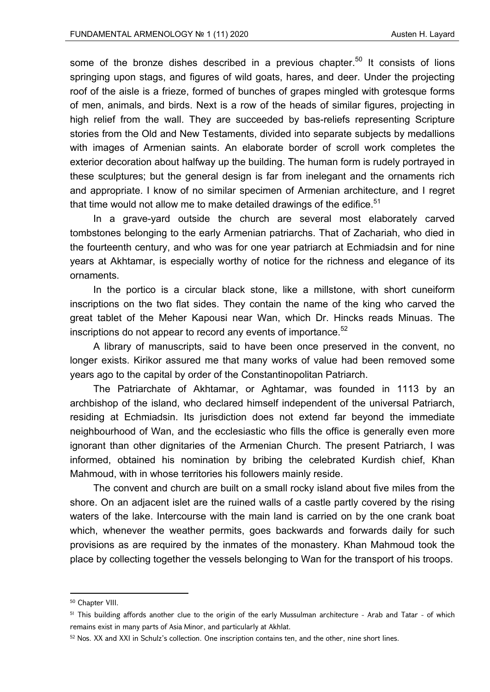some of the bronze dishes described in a previous chapter.<sup>50</sup> It consists of lions springing upon stags, and figures of wild goats, hares, and deer. Under the projecting roof of the aisle is a frieze, formed of bunches of grapes mingled with grotesque forms of men, animals, and birds. Next is a row of the heads of similar figures, projecting in high relief from the wall. They are succeeded by bas-reliefs representing Scripture stories from the Old and New Testaments, divided into separate subjects by medallions with images of Armenian saints. An elaborate border of scroll work completes the exterior decoration about halfway up the building. The human form is rudely portrayed in these sculptures; but the general design is far from inelegant and the ornaments rich and appropriate. I know of no similar specimen of Armenian architecture, and I regret that time would not allow me to make detailed drawings of the edifice.<sup>51</sup>

In a grave-yard outside the church are several most elaborately carved tombstones belonging to the early Armenian patriarchs. That of Zachariah, who died in the fourteenth century, and who was for one year patriarch at Echmiadsin and for nine years at Akhtamar, is especially worthy of notice for the richness and elegance of its ornaments.

In the portico is a circular black stone, like a millstone, with short cuneiform inscriptions on the two flat sides. They contain the name of the king who carved the great tablet of the Meher Kapousi near Wan, which Dr. Hincks reads Minuas. The inscriptions do not appear to record any events of importance.<sup>52</sup>

A library of manuscripts, said to have been once preserved in the convent, no longer exists. Kirikor assured me that many works of value had been removed some years ago to the capital by order of the Constantinopolitan Patriarch.

The Patriarchate of Akhtamar, or Aghtamar, was founded in 1113 by an archbishop of the island, who declared himself independent of the universal Patriarch, residing at Echmiadsin. Its jurisdiction does not extend far beyond the immediate neighbourhood of Wan, and the ecclesiastic who fills the office is generally even more ignorant than other dignitaries of the Armenian Church. The present Patriarch, I was informed, obtained his nomination by bribing the celebrated Kurdish chief, Khan Mahmoud, with in whose territories his followers mainly reside.

The convent and church are built on a small rocky island about five miles from the shore. On an adjacent islet are the ruined walls of a castle partly covered by the rising waters of the lake. Intercourse with the main land is carried on by the one crank boat which, whenever the weather permits, goes backwards and forwards daily for such provisions as are required by the inmates of the monastery. Khan Mahmoud took the place by collecting together the vessels belonging to Wan for the transport of his troops.

<sup>50</sup> Chapter VIII.

<sup>&</sup>lt;sup>51</sup> This building affords another clue to the origin of the early Mussulman architecture - Arab and Tatar - of which remains exist in many parts of Asia Minor, and particularly at Akhlat.

<sup>52</sup> Nos. XX and XXI in Schulz's collection. One inscription contains ten, and the other, nine short lines.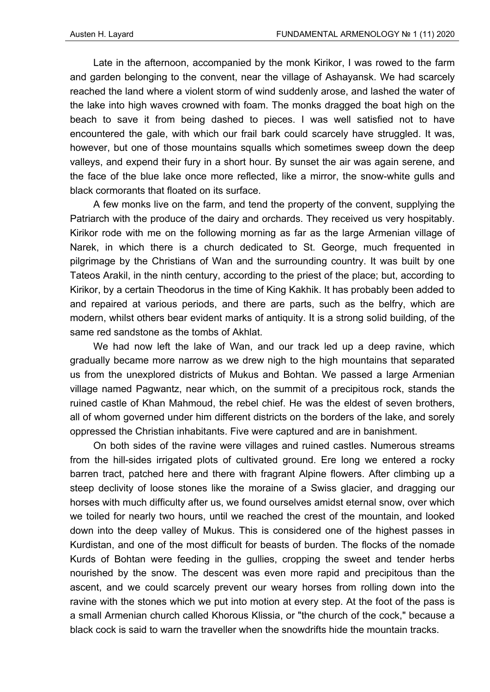Late in the afternoon, accompanied by the monk Kirikor, I was rowed to the farm and garden belonging to the convent, near the village of Ashayansk. We had scarcely reached the land where a violent storm of wind suddenly arose, and lashed the water of the lake into high waves crowned with foam. The monks dragged the boat high on the beach to save it from being dashed to pieces. I was well satisfied not to have encountered the gale, with which our frail bark could scarcely have struggled. It was, however, but one of those mountains squalls which sometimes sweep down the deep valleys, and expend their fury in a short hour. By sunset the air was again serene, and the face of the blue lake once more reflected, like a mirror, the snow-white gulls and black cormorants that floated on its surface.

A few monks live on the farm, and tend the property of the convent, supplying the Patriarch with the produce of the dairy and orchards. They received us very hospitably. Kirikor rode with me on the following morning as far as the large Armenian village of Narek, in which there is a church dedicated to St. George, much frequented in pilgrimage by the Christians of Wan and the surrounding country. It was built by one Tateos Arakil, in the ninth century, according to the priest of the place; but, according to Kirikor, by a certain Theodorus in the time of King Kakhik. It has probably been added to and repaired at various periods, and there are parts, such as the belfry, which are modern, whilst others bear evident marks of antiquity. It is a strong solid building, of the same red sandstone as the tombs of Akhlat.

We had now left the lake of Wan, and our track led up a deep ravine, which gradually became more narrow as we drew nigh to the high mountains that separated us from the unexplored districts of Mukus and Bohtan. We passed a large Armenian village named Pagwantz, near which, on the summit of a precipitous rock, stands the ruined castle of Khan Mahmoud, the rebel chief. He was the eldest of seven brothers, all of whom governed under him different districts on the borders of the lake, and sorely oppressed the Christian inhabitants. Five were captured and are in banishment.

On both sides of the ravine were villages and ruined castles. Numerous streams from the hill-sides irrigated plots of cultivated ground. Ere long we entered a rocky barren tract, patched here and there with fragrant Alpine flowers. After climbing up a steep declivity of loose stones like the moraine of a Swiss glacier, and dragging our horses with much difficulty after us, we found ourselves amidst eternal snow, over which we toiled for nearly two hours, until we reached the crest of the mountain, and looked down into the deep valley of Mukus. This is considered one of the highest passes in Kurdistan, and one of the most difficult for beasts of burden. The flocks of the nomade Kurds of Bohtan were feeding in the gullies, cropping the sweet and tender herbs nourished by the snow. The descent was even more rapid and precipitous than the ascent, and we could scarcely prevent our weary horses from rolling down into the ravine with the stones which we put into motion at every step. At the foot of the pass is a small Armenian church called Khorous Klissia, or "the church of the cock," because a black cock is said to warn the traveller when the snowdrifts hide the mountain tracks.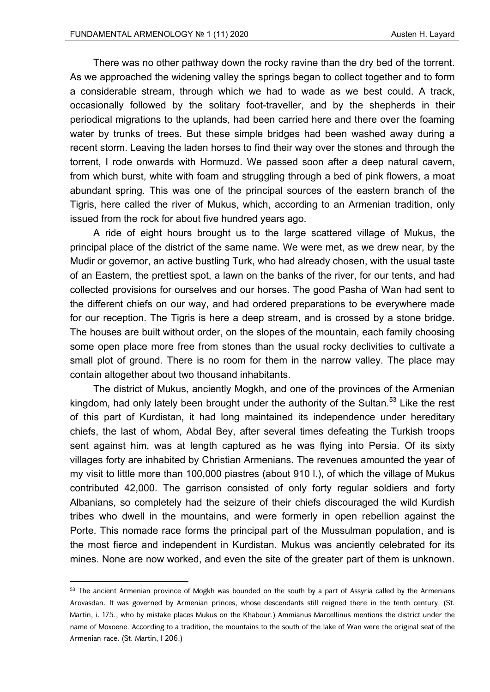There was no other pathway down the rocky ravine than the dry bed of the torrent. As we approached the widening valley the springs began to collect together and to form a considerable stream, through which we had to wade as we best could. A track, occasionally followed by the solitary foot-traveller, and by the shepherds in their periodical migrations to the uplands, had been carried here and there over the foaming water by trunks of trees. But these simple bridges had been washed away during a recent storm. Leaving the laden horses to find their way over the stones and through the torrent, I rode onwards with Hormuzd. We passed soon after a deep natural cavern, from which burst, white with foam and struggling through a bed of pink flowers, a moat abundant spring. This was one of the principal sources of the eastern branch of the Tigris, here called the river of Mukus, which, according to an Armenian tradition, only issued from the rock for about five hundred years ago.

A ride of eight hours brought us to the large scattered village of Mukus, the principal place of the district of the same name. We were met, as we drew near, by the Mudir or governor, an active bustling Turk, who had already chosen, with the usual taste of an Eastern, the prettiest spot, a lawn on the banks of the river, for our tents, and had collected provisions for ourselves and our horses. The good Pasha of Wan had sent to the different chiefs on our way, and had ordered preparations to be everywhere made for our reception. The Tigris is here a deep stream, and is crossed by a stone bridge. The houses are built without order, on the slopes of the mountain, each family choosing some open place more free from stones than the usual rocky declivities to cultivate a small plot of ground. There is no room for them in the narrow valley. The place may contain altogether about two thousand inhabitants.

The district of Mukus, anciently Mogkh, and one of the provinces of the Armenian kingdom, had only lately been brought under the authority of the Sultan. $^{53}$  Like the rest of this part of Kurdistan, it had long maintained its independence under hereditary chiefs, the last of whom, Abdal Bey, after several times defeating the Turkish troops sent against him, was at length captured as he was flying into Persia. Of its sixty villages forty are inhabited by Christian Armenians. The revenues amounted the year of my visit to little more than 100,000 piastres (about 910 l.), of which the village of Mukus contributed 42,000. The garrison consisted of only forty regular soldiers and forty Albanians, so completely had the seizure of their chiefs discouraged the wild Kurdish tribes who dwell in the mountains, and were formerly in open rebellion against the Porte. This nomade race forms the principal part of the Mussulman population, and is the most fierce and independent in Kurdistan. Mukus was anciently celebrated for its mines. None are now worked, and even the site of the greater part of them is unknown.

<sup>53</sup> The ancient Armenian province of Mogkh was bounded on the south by a part of Assyria called by the Armenians Arovasdan. It was governed by Armenian princes, whose descendants still reigned there in the tenth century. (St. Martin, i. 175., who by mistake places Mukus on the Khabour.) Ammianus Marcellinus mentions the district under the name of Moxoene. According to a tradition, the mountains to the south of the lake of Wan were the original seat of the Armenian race. (St. Martin, I 206.)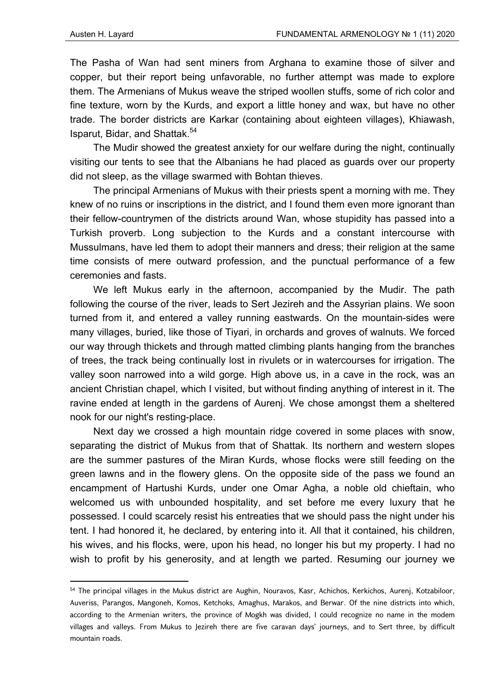The Pasha of Wan had sent miners from Arghana to examine those of silver and copper, but their report being unfavorable, no further attempt was made to explore them. The Armenians of Mukus weave the striped woollen stuffs, some of rich color and fine texture, worn by the Kurds, and export a little honey and wax, but have no other trade. The border districts are Karkar (containing about eighteen villages), Khiawash, Isparut, Bidar, and Shattak.54

The Mudir showed the greatest anxiety for our welfare during the night, continually visiting our tents to see that the Albanians he had placed as guards over our property did not sleep, as the village swarmed with Bohtan thieves.

The principal Armenians of Mukus with their priests spent a morning with me. They knew of no ruins or inscriptions in the district, and I found them even more ignorant than their fellow-countrymen of the districts around Wan, whose stupidity has passed into a Turkish proverb. Long subjection to the Kurds and a constant intercourse with Mussulmans, have led them to adopt their manners and dress; their religion at the same time consists of mere outward profession, and the punctual performance of a few ceremonies and fasts.

We left Mukus early in the afternoon, accompanied by the Mudir. The path following the course of the river, leads to Sert Jezireh and the Assyrian plains. We soon turned from it, and entered a valley running eastwards. On the mountain-sides were many villages, buried, like those of Tiyari, in orchards and groves of walnuts. We forced our way through thickets and through matted climbing plants hanging from the branches of trees, the track being continually lost in rivulets or in watercourses for irrigation. The valley soon narrowed into a wild gorge. High above us, in a cave in the rock, was an ancient Christian chapel, which I visited, but without finding anything of interest in it. The ravine ended at length in the gardens of Aurenj. We chose amongst them a sheltered nook for our night's resting-place.

Next day we crossed a high mountain ridge covered in some places with snow, separating the district of Mukus from that of Shattak. Its northern and western slopes are the summer pastures of the Miran Kurds, whose flocks were still feeding on the green lawns and in the flowery glens. On the opposite side of the pass we found an encampment of Hartushi Kurds, under one Omar Agha, a noble old chieftain, who welcomed us with unbounded hospitality, and set before me every luxury that he possessed. I could scarcely resist his entreaties that we should pass the night under his tent. I had honored it, he declared, by entering into it. All that it contained, his children, his wives, and his flocks, were, upon his head, no longer his but my property. I had no wish to profit by his generosity, and at length we parted. Resuming our journey we

<sup>54</sup> The principal villages in the Mukus district are Aughin, Nouravos, Kasr, Achichos, Kerkichos, Aurenj, Kotzabiloor, Auveriss, Parangos, Mangoneh, Komos, Ketchoks, Amaghus, Marakos, and Berwar. Of the nine districts into which, according to the Armenian writers, the province of Mogkh was divided, I could recognize no name in the modem villages and valleys. From Mukus to Jezireh there are five caravan days' journeys, and to Sert three, by difficult mountain roads.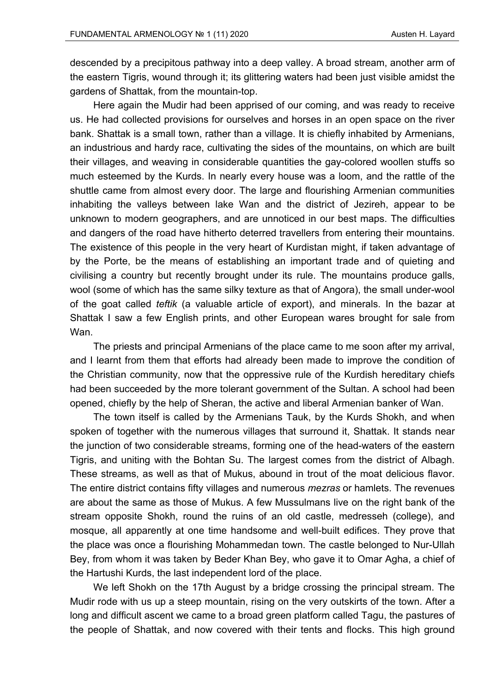descended by a precipitous pathway into a deep valley. A broad stream, another arm of the eastern Tigris, wound through it; its glittering waters had been just visible amidst the gardens of Shattak, from the mountain-top.

Here again the Mudir had been apprised of our coming, and was ready to receive us. He had collected provisions for ourselves and horses in an open space on the river bank. Shattak is a small town, rather than a village. It is chiefly inhabited by Armenians, an industrious and hardy race, cultivating the sides of the mountains, on which are built their villages, and weaving in considerable quantities the gay-colored woollen stuffs so much esteemed by the Kurds. In nearly every house was a loom, and the rattle of the shuttle came from almost every door. The large and flourishing Armenian communities inhabiting the valleys between lake Wan and the district of Jezireh, appear to be unknown to modern geographers, and are unnoticed in our best maps. The difficulties and dangers of the road have hitherto deterred travellers from entering their mountains. The existence of this people in the very heart of Kurdistan might, if taken advantage of by the Porte, be the means of establishing an important trade and of quieting and civilising a country but recently brought under its rule. The mountains produce galls, wool (some of which has the same silky texture as that of Angora), the small under-wool of the goat called *teftik* (a valuable article of export), and minerals. In the bazar at Shattak I saw a few English prints, and other European wares brought for sale from Wan.

The priests and principal Armenians of the place came to me soon after my arrival, and I learnt from them that efforts had already been made to improve the condition of the Christian community, now that the oppressive rule of the Kurdish hereditary chiefs had been succeeded by the more tolerant government of the Sultan. A school had been opened, chiefly by the help of Sheran, the active and liberal Armenian banker of Wan.

The town itself is called by the Armenians Tauk, by the Kurds Shokh, and when spoken of together with the numerous villages that surround it, Shattak. It stands near the junction of two considerable streams, forming one of the head-waters of the eastern Tigris, and uniting with the Bohtan Su. The largest comes from the district of Albagh. These streams, as well as that of Mukus, abound in trout of the moat delicious flavor. The entire district contains fifty villages and numerous *mezras* or hamlets. The revenues are about the same as those of Mukus. A few Mussulmans live on the right bank of the stream opposite Shokh, round the ruins of an old castle, medresseh (college), and mosque, all apparently at one time handsome and well-built edifices. They prove that the place was once a flourishing Mohammedan town. The castle belonged to Nur-Ullah Bey, from whom it was taken by Beder Khan Bey, who gave it to Omar Agha, a chief of the Hartushi Kurds, the last independent lord of the place.

We left Shokh on the 17th August by a bridge crossing the principal stream. The Mudir rode with us up a steep mountain, rising on the very outskirts of the town. After a long and difficult ascent we came to a broad green platform called Tagu, the pastures of the people of Shattak, and now covered with their tents and flocks. This high ground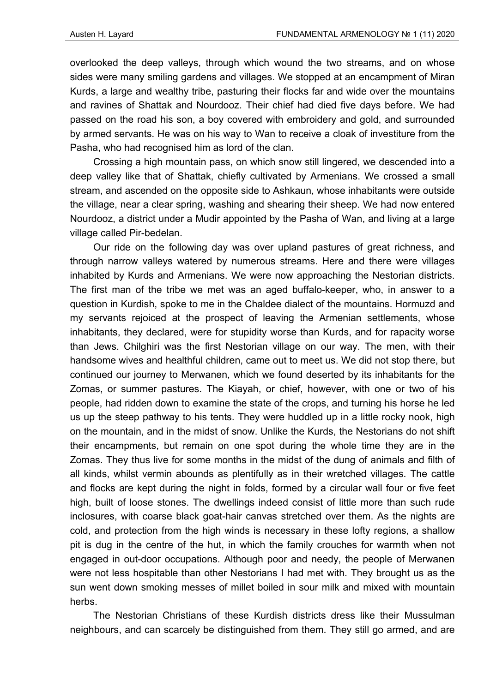overlooked the deep valleys, through which wound the two streams, and on whose sides were many smiling gardens and villages. We stopped at an encampment of Miran Kurds, a large and wealthy tribe, pasturing their flocks far and wide over the mountains and ravines of Shattak and Nourdooz. Their chief had died five days before. We had passed on the road his son, a boy covered with embroidery and gold, and surrounded by armed servants. He was on his way to Wan to receive a cloak of investiture from the Pasha, who had recognised him as lord of the clan.

Crossing a high mountain pass, on which snow still lingered, we descended into a deep valley like that of Shattak, chiefly cultivated by Armenians. We crossed a small stream, and ascended on the opposite side to Ashkaun, whose inhabitants were outside the village, near a clear spring, washing and shearing their sheep. We had now entered Nourdooz, a district under a Mudir appointed by the Pasha of Wan, and living at a large village called Pir-bedelan.

Our ride on the following day was over upland pastures of great richness, and through narrow valleys watered by numerous streams. Here and there were villages inhabited by Kurds and Armenians. We were now approaching the Nestorian districts. The first man of the tribe we met was an aged buffalo-keeper, who, in answer to a question in Kurdish, spoke to me in the Chaldee dialect of the mountains. Hormuzd and my servants rejoiced at the prospect of leaving the Armenian settlements, whose inhabitants, they declared, were for stupidity worse than Kurds, and for rapacity worse than Jews. Chilghiri was the first Nestorian village on our way. The men, with their handsome wives and healthful children, came out to meet us. We did not stop there, but continued our journey to Merwanen, which we found deserted by its inhabitants for the Zomas, or summer pastures. The Kiayah, or chief, however, with one or two of his people, had ridden down to examine the state of the crops, and turning his horse he led us up the steep pathway to his tents. They were huddled up in a little rocky nook, high on the mountain, and in the midst of snow. Unlike the Kurds, the Nestorians do not shift their encampments, but remain on one spot during the whole time they are in the Zomas. They thus live for some months in the midst of the dung of animals and filth of all kinds, whilst vermin abounds as plentifully as in their wretched villages. The cattle and flocks are kept during the night in folds, formed by a circular wall four or five feet high, built of loose stones. The dwellings indeed consist of little more than such rude inclosures, with coarse black goat-hair canvas stretched over them. As the nights are cold, and protection from the high winds is necessary in these lofty regions, a shallow pit is dug in the centre of the hut, in which the family crouches for warmth when not engaged in out-door occupations. Although poor and needy, the people of Merwanen were not less hospitable than other Nestorians I had met with. They brought us as the sun went down smoking messes of millet boiled in sour milk and mixed with mountain herbs.

The Nestorian Christians of these Kurdish districts dress like their Mussulman neighbours, and can scarcely be distinguished from them. They still go armed, and are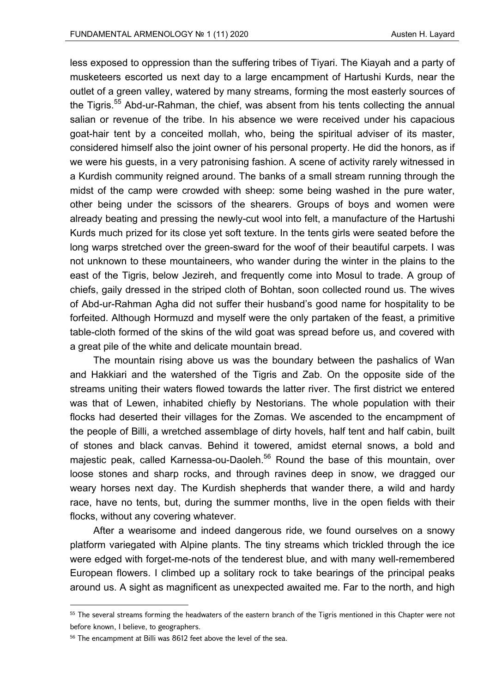less exposed to oppression than the suffering tribes of Tiyari. The Kiayah and a party of musketeers escorted us next day to a large encampment of Hartushi Kurds, near the outlet of a green valley, watered by many streams, forming the most easterly sources of the Tigris.<sup>55</sup> Abd-ur-Rahman, the chief, was absent from his tents collecting the annual salian or revenue of the tribe. In his absence we were received under his capacious goat-hair tent by a conceited mollah, who, being the spiritual adviser of its master, considered himself also the joint owner of his personal property. He did the honors, as if we were his guests, in a very patronising fashion. A scene of activity rarely witnessed in a Kurdish community reigned around. The banks of a small stream running through the midst of the camp were crowded with sheep: some being washed in the pure water, other being under the scissors of the shearers. Groups of boys and women were already beating and pressing the newly-cut wool into felt, a manufacture of the Hartushi Kurds much prized for its close yet soft texture. In the tents girls were seated before the long warps stretched over the green-sward for the woof of their beautiful carpets. I was not unknown to these mountaineers, who wander during the winter in the plains to the east of the Tigris, below Jezireh, and frequently come into Mosul to trade. A group of chiefs, gaily dressed in the striped cloth of Bohtan, soon collected round us. The wives of Abd-ur-Rahman Agha did not suffer their husband's good name for hospitality to be forfeited. Although Hormuzd and myself were the only partaken of the feast, a primitive table-cloth formed of the skins of the wild goat was spread before us, and covered with a great pile of the white and delicate mountain bread.

The mountain rising above us was the boundary between the pashalics of Wan and Hakkiari and the watershed of the Tigris and Zab. On the opposite side of the streams uniting their waters flowed towards the latter river. The first district we entered was that of Lewen, inhabited chiefly by Nestorians. The whole population with their flocks had deserted their villages for the Zomas. We ascended to the encampment of the people of Billi, a wretched assemblage of dirty hovels, half tent and half cabin, built of stones and black canvas. Behind it towered, amidst eternal snows, a bold and majestic peak, called Karnessa-ou-Daoleh.<sup>56</sup> Round the base of this mountain, over loose stones and sharp rocks, and through ravines deep in snow, we dragged our weary horses next day. The Kurdish shepherds that wander there, a wild and hardy race, have no tents, but, during the summer months, live in the open fields with their flocks, without any covering whatever.

After a wearisome and indeed dangerous ride, we found ourselves on a snowy platform variegated with Alpine plants. The tiny streams which trickled through the ice were edged with forget-me-nots of the tenderest blue, and with many well-remembered European flowers. I climbed up a solitary rock to take bearings of the principal peaks around us. A sight as magnificent as unexpected awaited me. Far to the north, and high

<sup>&</sup>lt;sup>55</sup> The several streams forming the headwaters of the eastern branch of the Tigris mentioned in this Chapter were not before known, I believe, to geographers.

<sup>56</sup> The encampment at Billi was 8612 feet above the level of the sea.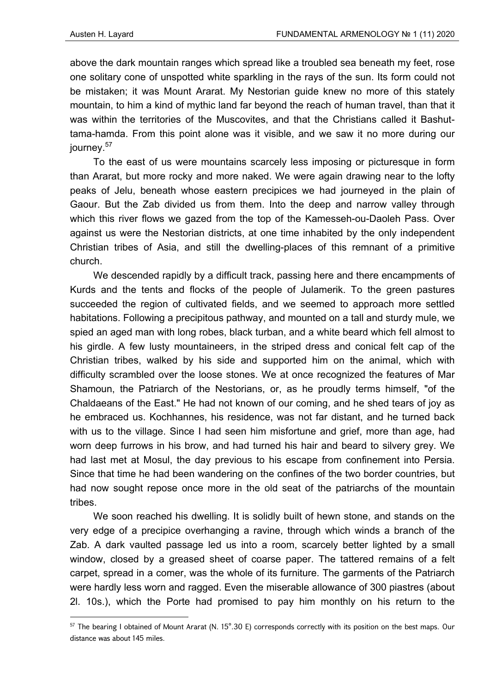above the dark mountain ranges which spread like a troubled sea beneath my feet, rose one solitary cone of unspotted white sparkling in the rays of the sun. Its form could not be mistaken; it was Mount Ararat. My Nestorian guide knew no more of this stately mountain, to him a kind of mythic land far beyond the reach of human travel, than that it was within the territories of the Muscovites, and that the Christians called it Bashuttama-hamda. From this point alone was it visible, and we saw it no more during our journey.<sup>57</sup>

To the east of us were mountains scarcely less imposing or picturesque in form than Ararat, but more rocky and more naked. We were again drawing near to the lofty peaks of Jelu, beneath whose eastern precipices we had journeyed in the plain of Gaour. But the Zab divided us from them. Into the deep and narrow valley through which this river flows we gazed from the top of the Kamesseh-ou-Daoleh Pass. Over against us were the Nestorian districts, at one time inhabited by the only independent Christian tribes of Asia, and still the dwelling-places of this remnant of a primitive church.

We descended rapidly by a difficult track, passing here and there encampments of Kurds and the tents and flocks of the people of Julamerik. To the green pastures succeeded the region of cultivated fields, and we seemed to approach more settled habitations. Following a precipitous pathway, and mounted on a tall and sturdy mule, we spied an aged man with long robes, black turban, and a white beard which fell almost to his girdle. A few lusty mountaineers, in the striped dress and conical felt cap of the Christian tribes, walked by his side and supported him on the animal, which with difficulty scrambled over the loose stones. We at once recognized the features of Mar Shamoun, the Patriarch of the Nestorians, or, as he proudly terms himself, "of the Chaldaeans of the East." He had not known of our coming, and he shed tears of joy as he embraced us. Kochhannes, his residence, was not far distant, and he turned back with us to the village. Since I had seen him misfortune and grief, more than age, had worn deep furrows in his brow, and had turned his hair and beard to silvery grey. We had last met at Mosul, the day previous to his escape from confinement into Persia. Since that time he had been wandering on the confines of the two border countries, but had now sought repose once more in the old seat of the patriarchs of the mountain tribes.

We soon reached his dwelling. It is solidly built of hewn stone, and stands on the very edge of a precipice overhanging a ravine, through which winds a branch of the Zab. A dark vaulted passage led us into a room, scarcely better lighted by a small window, closed by a greased sheet of coarse paper. The tattered remains of a felt carpet, spread in a comer, was the whole of its furniture. The garments of the Patriarch were hardly less worn and ragged. Even the miserable allowance of 300 piastres (about 2l. 10s.), which the Porte had promised to pay him monthly on his return to the

<sup>&</sup>lt;sup>57</sup> The bearing I obtained of Mount Ararat (N. 15°.30 E) corresponds correctly with its position on the best maps. Our distance was about 145 miles.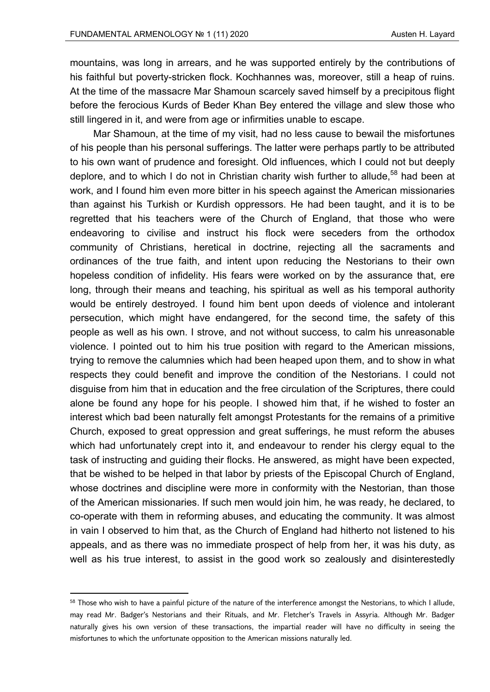mountains, was long in arrears, and he was supported entirely by the contributions of his faithful but poverty-stricken flock. Kochhannes was, moreover, still a heap of ruins. At the time of the massacre Mar Shamoun scarcely saved himself by a precipitous flight before the ferocious Kurds of Beder Khan Bey entered the village and slew those who still lingered in it, and were from age or infirmities unable to escape.

Mar Shamoun, at the time of my visit, had no less cause to bewail the misfortunes of his people than his personal sufferings. The latter were perhaps partly to be attributed to his own want of prudence and foresight. Old influences, which I could not but deeply deplore, and to which I do not in Christian charity wish further to allude,<sup>58</sup> had been at work, and I found him even more bitter in his speech against the American missionaries than against his Turkish or Kurdish oppressors. He had been taught, and it is to be regretted that his teachers were of the Church of England, that those who were endeavoring to civilise and instruct his flock were seceders from the orthodox community of Christians, heretical in doctrine, rejecting all the sacraments and ordinances of the true faith, and intent upon reducing the Nestorians to their own hopeless condition of infidelity. His fears were worked on by the assurance that, ere long, through their means and teaching, his spiritual as well as his temporal authority would be entirely destroyed. I found him bent upon deeds of violence and intolerant persecution, which might have endangered, for the second time, the safety of this people as well as his own. I strove, and not without success, to calm his unreasonable violence. I pointed out to him his true position with regard to the American missions, trying to remove the calumnies which had been heaped upon them, and to show in what respects they could benefit and improve the condition of the Nestorians. I could not disguise from him that in education and the free circulation of the Scriptures, there could alone be found any hope for his people. I showed him that, if he wished to foster an interest which bad been naturally felt amongst Protestants for the remains of a primitive Church, exposed to great oppression and great sufferings, he must reform the abuses which had unfortunately crept into it, and endeavour to render his clergy equal to the task of instructing and guiding their flocks. He answered, as might have been expected, that be wished to be helped in that labor by priests of the Episcopal Church of England, whose doctrines and discipline were more in conformity with the Nestorian, than those of the American missionaries. If such men would join him, he was ready, he declared, to co-operate with them in reforming abuses, and educating the community. It was almost in vain I observed to him that, as the Church of England had hitherto not listened to his appeals, and as there was no immediate prospect of help from her, it was his duty, as well as his true interest, to assist in the good work so zealously and disinterestedly

<sup>&</sup>lt;sup>58</sup> Those who wish to have a painful picture of the nature of the interference amongst the Nestorians, to which I allude, may read Mr. Badger's Nestorians and their Rituals, and Mr. Fletcher's Travels in Assyria. Although Mr. Badger naturally gives his own version of these transactions, the impartial reader will have no difficulty in seeing the misfortunes to which the unfortunate opposition to the American missions naturally led.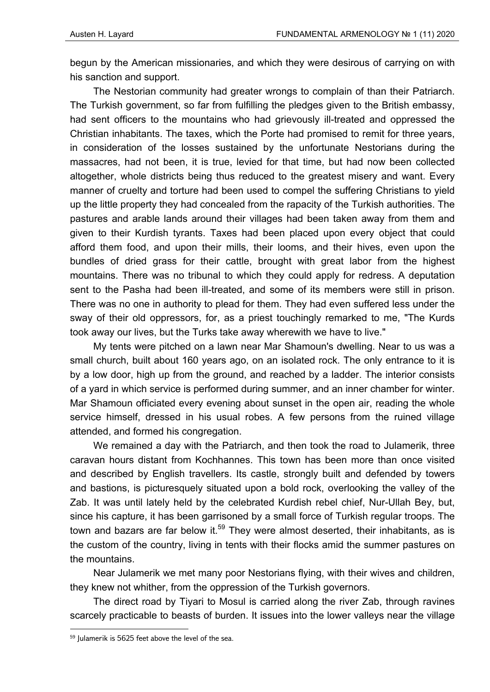begun by the American missionaries, and which they were desirous of carrying on with his sanction and support.

The Nestorian community had greater wrongs to complain of than their Patriarch. The Turkish government, so far from fulfilling the pledges given to the British embassy, had sent officers to the mountains who had grievously ill-treated and oppressed the Christian inhabitants. The taxes, which the Porte had promised to remit for three years, in consideration of the losses sustained by the unfortunate Nestorians during the massacres, had not been, it is true, levied for that time, but had now been collected altogether, whole districts being thus reduced to the greatest misery and want. Every manner of cruelty and torture had been used to compel the suffering Christians to yield up the little property they had concealed from the rapacity of the Turkish authorities. The pastures and arable lands around their villages had been taken away from them and given to their Kurdish tyrants. Taxes had been placed upon every object that could afford them food, and upon their mills, their looms, and their hives, even upon the bundles of dried grass for their cattle, brought with great labor from the highest mountains. There was no tribunal to which they could apply for redress. A deputation sent to the Pasha had been ill-treated, and some of its members were still in prison. There was no one in authority to plead for them. They had even suffered less under the sway of their old oppressors, for, as a priest touchingly remarked to me, "The Kurds took away our lives, but the Turks take away wherewith we have to live."

My tents were pitched on a lawn near Mar Shamoun's dwelling. Near to us was a small church, built about 160 years ago, on an isolated rock. The only entrance to it is by a low door, high up from the ground, and reached by a ladder. The interior consists of a yard in which service is performed during summer, and an inner chamber for winter. Mar Shamoun officiated every evening about sunset in the open air, reading the whole service himself, dressed in his usual robes. A few persons from the ruined village attended, and formed his congregation.

We remained a day with the Patriarch, and then took the road to Julamerik, three caravan hours distant from Kochhannes. This town has been more than once visited and described by English travellers. Its castle, strongly built and defended by towers and bastions, is picturesquely situated upon a bold rock, overlooking the valley of the Zab. It was until lately held by the celebrated Kurdish rebel chief, Nur-Ullah Bey, but, since his capture, it has been garrisoned by a small force of Turkish regular troops. The town and bazars are far below it.<sup>59</sup> They were almost deserted, their inhabitants, as is the custom of the country, living in tents with their flocks amid the summer pastures on the mountains.

Near Julamerik we met many poor Nestorians flying, with their wives and children, they knew not whither, from the oppression of the Turkish governors.

The direct road by Tiyari to Mosul is carried along the river Zab, through ravines scarcely practicable to beasts of burden. It issues into the lower valleys near the village

<sup>59</sup> Julamerik is 5625 feet above the level of the sea.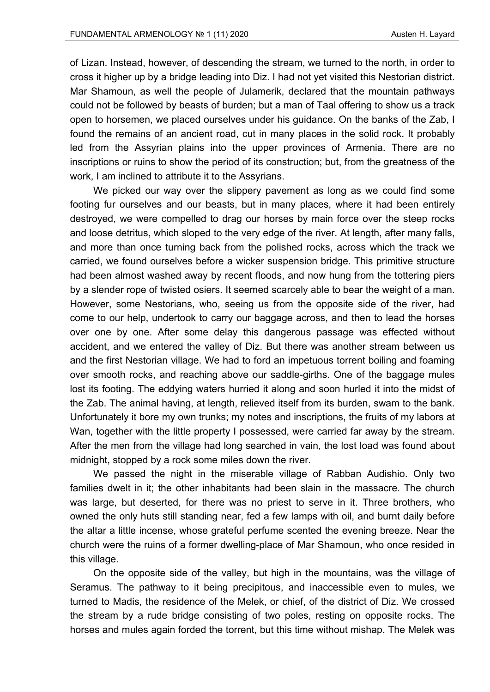of Lizan. Instead, however, of descending the stream, we turned to the north, in order to cross it higher up by a bridge leading into Diz. I had not yet visited this Nestorian district. Mar Shamoun, as well the people of Julamerik, declared that the mountain pathways could not be followed by beasts of burden; but a man of Taal offering to show us a track open to horsemen, we placed ourselves under his guidance. On the banks of the Zab, I found the remains of an ancient road, cut in many places in the solid rock. It probably led from the Assyrian plains into the upper provinces of Armenia. There are no inscriptions or ruins to show the period of its construction; but, from the greatness of the work, I am inclined to attribute it to the Assyrians.

We picked our way over the slippery pavement as long as we could find some footing fur ourselves and our beasts, but in many places, where it had been entirely destroyed, we were compelled to drag our horses by main force over the steep rocks and loose detritus, which sloped to the very edge of the river. At length, after many falls, and more than once turning back from the polished rocks, across which the track we carried, we found ourselves before a wicker suspension bridge. This primitive structure had been almost washed away by recent floods, and now hung from the tottering piers by a slender rope of twisted osiers. It seemed scarcely able to bear the weight of a man. However, some Nestorians, who, seeing us from the opposite side of the river, had come to our help, undertook to carry our baggage across, and then to lead the horses over one by one. After some delay this dangerous passage was effected without accident, and we entered the valley of Diz. But there was another stream between us and the first Nestorian village. We had to ford an impetuous torrent boiling and foaming over smooth rocks, and reaching above our saddle-girths. One of the baggage mules lost its footing. The eddying waters hurried it along and soon hurled it into the midst of the Zab. The animal having, at length, relieved itself from its burden, swam to the bank. Unfortunately it bore my own trunks; my notes and inscriptions, the fruits of my labors at Wan, together with the little property I possessed, were carried far away by the stream. After the men from the village had long searched in vain, the lost load was found about midnight, stopped by a rock some miles down the river.

We passed the night in the miserable village of Rabban Audishio. Only two families dwelt in it; the other inhabitants had been slain in the massacre. The church was large, but deserted, for there was no priest to serve in it. Three brothers, who owned the only huts still standing near, fed a few lamps with oil, and burnt daily before the altar a little incense, whose grateful perfume scented the evening breeze. Near the church were the ruins of a former dwelling-place of Mar Shamoun, who once resided in this village.

On the opposite side of the valley, but high in the mountains, was the village of Seramus. The pathway to it being precipitous, and inaccessible even to mules, we turned to Madis, the residence of the Melek, or chief, of the district of Diz. We crossed the stream by a rude bridge consisting of two poles, resting on opposite rocks. The horses and mules again forded the torrent, but this time without mishap. The Melek was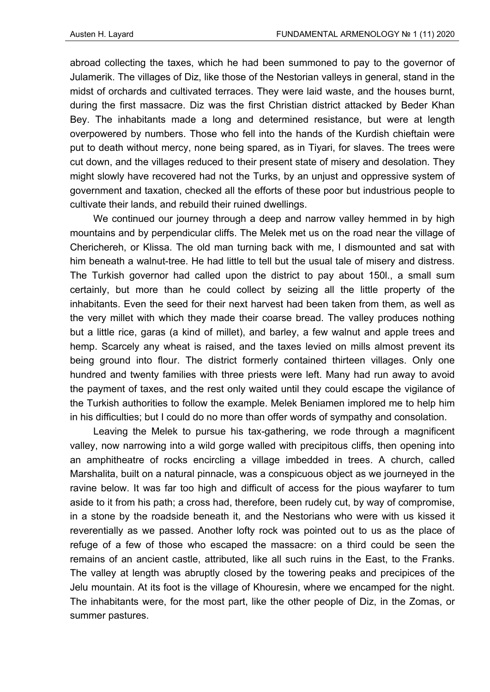abroad collecting the taxes, which he had been summoned to pay to the governor of Julamerik. The villages of Diz, like those of the Nestorian valleys in general, stand in the midst of orchards and cultivated terraces. They were laid waste, and the houses burnt, during the first massacre. Diz was the first Christian district attacked by Beder Khan Bey. The inhabitants made a long and determined resistance, but were at length overpowered by numbers. Those who fell into the hands of the Kurdish chieftain were put to death without mercy, none being spared, as in Tiyari, for slaves. The trees were cut down, and the villages reduced to their present state of misery and desolation. They might slowly have recovered had not the Turks, by an unjust and oppressive system of government and taxation, checked all the efforts of these poor but industrious people to cultivate their lands, and rebuild their ruined dwellings.

We continued our journey through a deep and narrow valley hemmed in by high mountains and by perpendicular cliffs. The Melek met us on the road near the village of Cherichereh, or Klissa. The old man turning back with me, I dismounted and sat with him beneath a walnut-tree. He had little to tell but the usual tale of misery and distress. The Turkish governor had called upon the district to pay about 150l., a small sum certainly, but more than he could collect by seizing all the little property of the inhabitants. Even the seed for their next harvest had been taken from them, as well as the very millet with which they made their coarse bread. The valley produces nothing but a little rice, garas (a kind of millet), and barley, a few walnut and apple trees and hemp. Scarcely any wheat is raised, and the taxes levied on mills almost prevent its being ground into flour. The district formerly contained thirteen villages. Only one hundred and twenty families with three priests were left. Many had run away to avoid the payment of taxes, and the rest only waited until they could escape the vigilance of the Turkish authorities to follow the example. Melek Beniamen implored me to help him in his difficulties; but I could do no more than offer words of sympathy and consolation.

Leaving the Melek to pursue his tax-gathering, we rode through a magnificent valley, now narrowing into a wild gorge walled with precipitous cliffs, then opening into an amphitheatre of rocks encircling a village imbedded in trees. A church, called Marshalita, built on a natural pinnacle, was a conspicuous object as we journeyed in the ravine below. It was far too high and difficult of access for the pious wayfarer to tum aside to it from his path; a cross had, therefore, been rudely cut, by way of compromise, in a stone by the roadside beneath it, and the Nestorians who were with us kissed it reverentially as we passed. Another lofty rock was pointed out to us as the place of refuge of a few of those who escaped the massacre: on a third could be seen the remains of an ancient castle, attributed, like all such ruins in the East, to the Franks. The valley at length was abruptly closed by the towering peaks and precipices of the Jelu mountain. At its foot is the village of Khouresin, where we encamped for the night. The inhabitants were, for the most part, like the other people of Diz, in the Zomas, or summer pastures.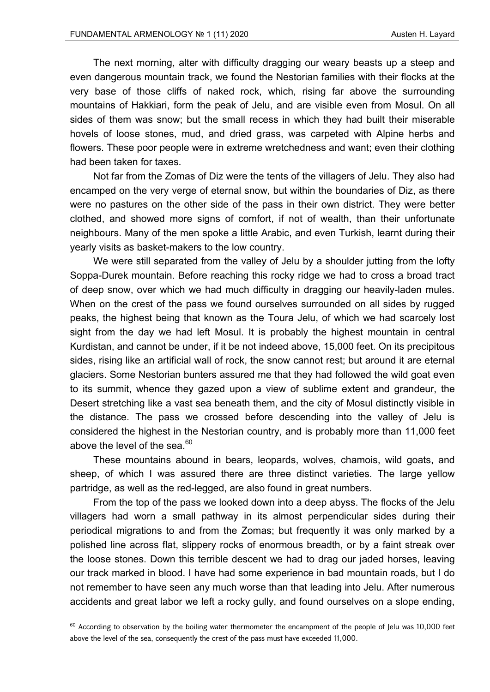The next morning, alter with difficulty dragging our weary beasts up a steep and even dangerous mountain track, we found the Nestorian families with their flocks at the very base of those cliffs of naked rock, which, rising far above the surrounding mountains of Hakkiari, form the peak of Jelu, and are visible even from Mosul. On all sides of them was snow; but the small recess in which they had built their miserable hovels of loose stones, mud, and dried grass, was carpeted with Alpine herbs and flowers. These poor people were in extreme wretchedness and want; even their clothing had been taken for taxes.

Not far from the Zomas of Diz were the tents of the villagers of Jelu. They also had encamped on the very verge of eternal snow, but within the boundaries of Diz, as there were no pastures on the other side of the pass in their own district. They were better clothed, and showed more signs of comfort, if not of wealth, than their unfortunate neighbours. Many of the men spoke a little Arabic, and even Turkish, learnt during their yearly visits as basket-makers to the low country.

We were still separated from the valley of Jelu by a shoulder jutting from the lofty Soppa-Durek mountain. Before reaching this rocky ridge we had to cross a broad tract of deep snow, over which we had much difficulty in dragging our heavily-laden mules. When on the crest of the pass we found ourselves surrounded on all sides by rugged peaks, the highest being that known as the Toura Jelu, of which we had scarcely lost sight from the day we had left Mosul. It is probably the highest mountain in central Kurdistan, and cannot be under, if it be not indeed above, 15,000 feet. On its precipitous sides, rising like an artificial wall of rock, the snow cannot rest; but around it are eternal glaciers. Some Nestorian bunters assured me that they had followed the wild goat even to its summit, whence they gazed upon a view of sublime extent and grandeur, the Desert stretching like a vast sea beneath them, and the city of Mosul distinctly visible in the distance. The pass we crossed before descending into the valley of Jelu is considered the highest in the Nestorian country, and is probably more than 11,000 feet above the level of the sea. $60$ 

These mountains abound in bears, leopards, wolves, chamois, wild goats, and sheep, of which I was assured there are three distinct varieties. The large yellow partridge, as well as the red-legged, are also found in great numbers.

From the top of the pass we looked down into a deep abyss. The flocks of the Jelu villagers had worn a small pathway in its almost perpendicular sides during their periodical migrations to and from the Zomas; but frequently it was only marked by a polished line across flat, slippery rocks of enormous breadth, or by a faint streak over the loose stones. Down this terrible descent we had to drag our jaded horses, leaving our track marked in blood. I have had some experience in bad mountain roads, but I do not remember to have seen any much worse than that leading into Jelu. After numerous accidents and great labor we left a rocky gully, and found ourselves on a slope ending,

 $60$  According to observation by the boiling water thermometer the encampment of the people of lelu was 10,000 feet above the level of the sea, consequently the crest of the pass must have exceeded 11,000.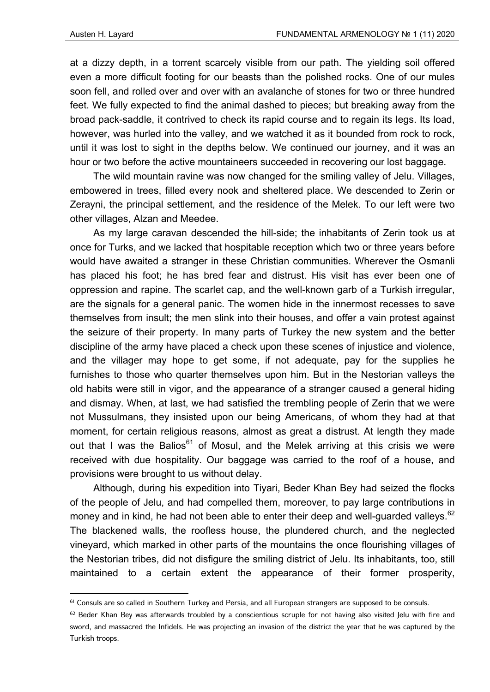at a dizzy depth, in a torrent scarcely visible from our path. The yielding soil offered even a more difficult footing for our beasts than the polished rocks. One of our mules soon fell, and rolled over and over with an avalanche of stones for two or three hundred feet. We fully expected to find the animal dashed to pieces; but breaking away from the broad pack-saddle, it contrived to check its rapid course and to regain its legs. Its load, however, was hurled into the valley, and we watched it as it bounded from rock to rock, until it was lost to sight in the depths below. We continued our journey, and it was an hour or two before the active mountaineers succeeded in recovering our lost baggage.

The wild mountain ravine was now changed for the smiling valley of Jelu. Villages, embowered in trees, filled every nook and sheltered place. We descended to Zerin or Zerayni, the principal settlement, and the residence of the Melek. To our left were two other villages, Alzan and Meedee.

As my large caravan descended the hill-side; the inhabitants of Zerin took us at once for Turks, and we lacked that hospitable reception which two or three years before would have awaited a stranger in these Christian communities. Wherever the Osmanli has placed his foot; he has bred fear and distrust. His visit has ever been one of oppression and rapine. The scarlet cap, and the well-known garb of a Turkish irregular, are the signals for a general panic. The women hide in the innermost recesses to save themselves from insult; the men slink into their houses, and offer a vain protest against the seizure of their property. In many parts of Turkey the new system and the better discipline of the army have placed a check upon these scenes of injustice and violence, and the villager may hope to get some, if not adequate, pay for the supplies he furnishes to those who quarter themselves upon him. But in the Nestorian valleys the old habits were still in vigor, and the appearance of a stranger caused a general hiding and dismay. When, at last, we had satisfied the trembling people of Zerin that we were not Mussulmans, they insisted upon our being Americans, of whom they had at that moment, for certain religious reasons, almost as great a distrust. At length they made out that I was the Balios<sup>61</sup> of Mosul, and the Melek arriving at this crisis we were received with due hospitality. Our baggage was carried to the roof of a house, and provisions were brought to us without delay.

Although, during his expedition into Tiyari, Beder Khan Bey had seized the flocks of the people of Jelu, and had compelled them, moreover, to pay large contributions in money and in kind, he had not been able to enter their deep and well-guarded valleys.<sup>62</sup> The blackened walls, the roofless house, the plundered church, and the neglected vineyard, which marked in other parts of the mountains the once flourishing villages of the Nestorian tribes, did not disfigure the smiling district of Jelu. Its inhabitants, too, still maintained to a certain extent the appearance of their former prosperity,

<sup>&</sup>lt;sup>61</sup> Consuls are so called in Southern Turkey and Persia, and all European strangers are supposed to be consuls.

 $62$  Beder Khan Bey was afterwards troubled by a conscientious scruple for not having also visited Jelu with fire and sword, and massacred the Infidels. He was projecting an invasion of the district the year that he was captured by the Turkish troops.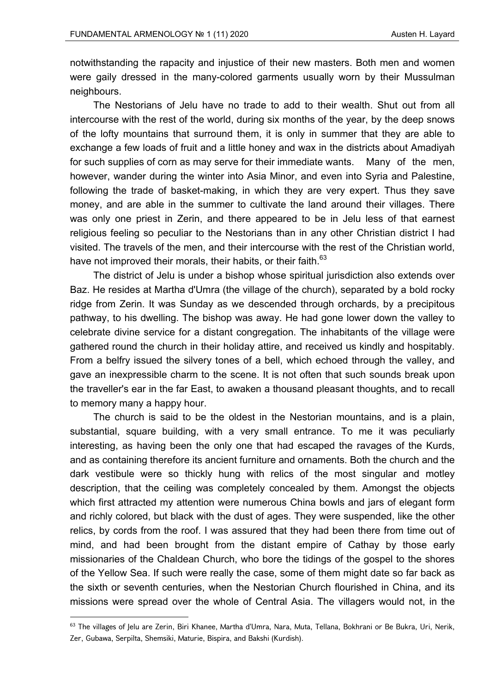notwithstanding the rapacity and injustice of their new masters. Both men and women were gaily dressed in the many-colored garments usually worn by their Mussulman neighbours.

The Nestorians of Jelu have no trade to add to their wealth. Shut out from all intercourse with the rest of the world, during six months of the year, by the deep snows of the lofty mountains that surround them, it is only in summer that they are able to exchange a few loads of fruit and a little honey and wax in the districts about Amadiyah for such supplies of corn as may serve for their immediate wants. Many of the men, however, wander during the winter into Asia Minor, and even into Syria and Palestine, following the trade of basket-making, in which they are very expert. Thus they save money, and are able in the summer to cultivate the land around their villages. There was only one priest in Zerin, and there appeared to be in Jelu less of that earnest religious feeling so peculiar to the Nestorians than in any other Christian district I had visited. The travels of the men, and their intercourse with the rest of the Christian world, have not improved their morals, their habits, or their faith.<sup>63</sup>

The district of Jelu is under a bishop whose spiritual jurisdiction also extends over Baz. He resides at Martha d'Umra (the village of the church), separated by a bold rocky ridge from Zerin. It was Sunday as we descended through orchards, by a precipitous pathway, to his dwelling. The bishop was away. He had gone lower down the valley to celebrate divine service for a distant congregation. The inhabitants of the village were gathered round the church in their holiday attire, and received us kindly and hospitably. From a belfry issued the silvery tones of a bell, which echoed through the valley, and gave an inexpressible charm to the scene. It is not often that such sounds break upon the traveller's ear in the far East, to awaken a thousand pleasant thoughts, and to recall to memory many a happy hour.

The church is said to be the oldest in the Nestorian mountains, and is a plain, substantial, square building, with a very small entrance. To me it was peculiarly interesting, as having been the only one that had escaped the ravages of the Kurds, and as containing therefore its ancient furniture and ornaments. Both the church and the dark vestibule were so thickly hung with relics of the most singular and motley description, that the ceiling was completely concealed by them. Amongst the objects which first attracted my attention were numerous China bowls and jars of elegant form and richly colored, but black with the dust of ages. They were suspended, like the other relics, by cords from the roof. I was assured that they had been there from time out of mind, and had been brought from the distant empire of Cathay by those early missionaries of the Chaldean Church, who bore the tidings of the gospel to the shores of the Yellow Sea. If such were really the case, some of them might date so far back as the sixth or seventh centuries, when the Nestorian Church flourished in China, and its missions were spread over the whole of Central Asia. The villagers would not, in the

<sup>63</sup> The villages of Jelu are Zerin, Biri Khanee, Martha d'Umra, Nara, Muta, Tellana, Bokhrani or Be Bukra, Uri, Nerik, Zer, Gubawa, Serpilta, Shemsiki, Maturie, Bispira, and Bakshi (Kurdish).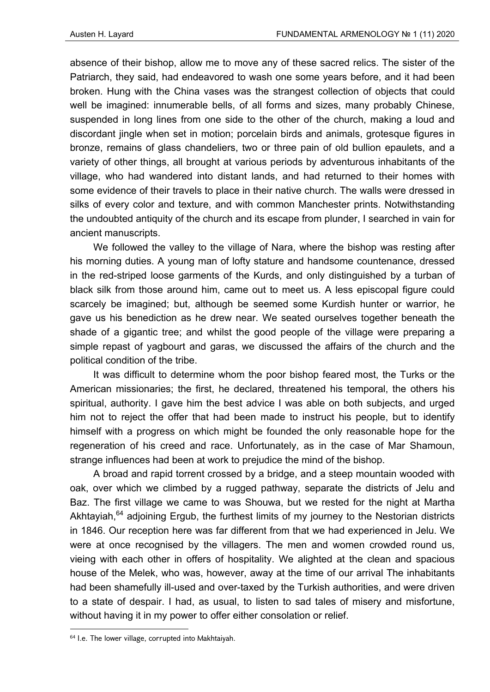absence of their bishop, allow me to move any of these sacred relics. The sister of the Patriarch, they said, had endeavored to wash one some years before, and it had been broken. Hung with the China vases was the strangest collection of objects that could well be imagined: innumerable bells, of all forms and sizes, many probably Chinese, suspended in long lines from one side to the other of the church, making a loud and discordant jingle when set in motion; porcelain birds and animals, grotesque figures in bronze, remains of glass chandeliers, two or three pain of old bullion epaulets, and a variety of other things, all brought at various periods by adventurous inhabitants of the village, who had wandered into distant lands, and had returned to their homes with some evidence of their travels to place in their native church. The walls were dressed in silks of every color and texture, and with common Manchester prints. Notwithstanding the undoubted antiquity of the church and its escape from plunder, I searched in vain for ancient manuscripts.

We followed the valley to the village of Nara, where the bishop was resting after his morning duties. A young man of lofty stature and handsome countenance, dressed in the red-striped loose garments of the Kurds, and only distinguished by a turban of black silk from those around him, came out to meet us. A less episcopal figure could scarcely be imagined; but, although be seemed some Kurdish hunter or warrior, he gave us his benediction as he drew near. We seated ourselves together beneath the shade of a gigantic tree; and whilst the good people of the village were preparing a simple repast of yagbourt and garas, we discussed the affairs of the church and the political condition of the tribe.

It was difficult to determine whom the poor bishop feared most, the Turks or the American missionaries; the first, he declared, threatened his temporal, the others his spiritual, authority. I gave him the best advice I was able on both subjects, and urged him not to reject the offer that had been made to instruct his people, but to identify himself with a progress on which might be founded the only reasonable hope for the regeneration of his creed and race. Unfortunately, as in the case of Mar Shamoun, strange influences had been at work to prejudice the mind of the bishop.

A broad and rapid torrent crossed by a bridge, and a steep mountain wooded with oak, over which we climbed by a rugged pathway, separate the districts of Jelu and Baz. The first village we came to was Shouwa, but we rested for the night at Martha Akhtayiah,<sup>64</sup> adjoining Ergub, the furthest limits of my journey to the Nestorian districts in 1846. Our reception here was far different from that we had experienced in Jelu. We were at once recognised by the villagers. The men and women crowded round us, vieing with each other in offers of hospitality. We alighted at the clean and spacious house of the Melek, who was, however, away at the time of our arrival The inhabitants had been shamefully ill-used and over-taxed by the Turkish authorities, and were driven to a state of despair. I had, as usual, to listen to sad tales of misery and misfortune, without having it in my power to offer either consolation or relief.

<sup>64</sup> I.e. The lower village, corrupted into Makhtaiyah.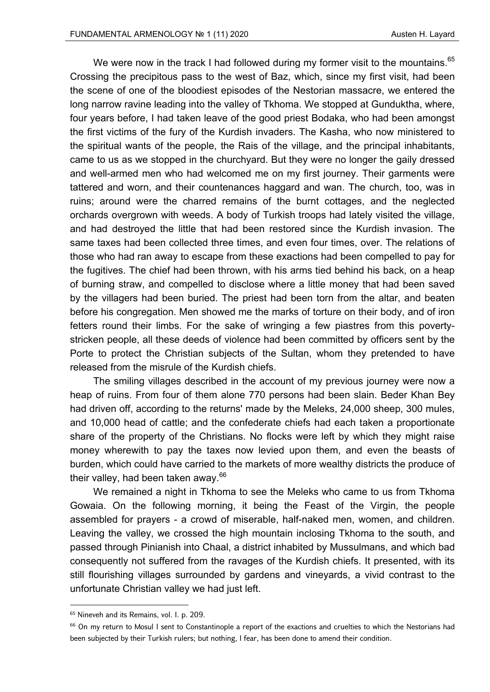We were now in the track I had followed during my former visit to the mountains.<sup>65</sup> Crossing the precipitous pass to the west of Baz, which, since my first visit, had been the scene of one of the bloodiest episodes of the Nestorian massacre, we entered the long narrow ravine leading into the valley of Tkhoma. We stopped at Gunduktha, where, four years before, I had taken leave of the good priest Bodaka, who had been amongst the first victims of the fury of the Kurdish invaders. The Kasha, who now ministered to the spiritual wants of the people, the Rais of the village, and the principal inhabitants, came to us as we stopped in the churchyard. But they were no longer the gaily dressed and well-armed men who had welcomed me on my first journey. Their garments were tattered and worn, and their countenances haggard and wan. The church, too, was in ruins; around were the charred remains of the burnt cottages, and the neglected orchards overgrown with weeds. A body of Turkish troops had lately visited the village, and had destroyed the little that had been restored since the Kurdish invasion. The same taxes had been collected three times, and even four times, over. The relations of those who had ran away to escape from these exactions had been compelled to pay for the fugitives. The chief had been thrown, with his arms tied behind his back, on a heap of burning straw, and compelled to disclose where a little money that had been saved by the villagers had been buried. The priest had been torn from the altar, and beaten before his congregation. Men showed me the marks of torture on their body, and of iron fetters round their limbs. For the sake of wringing a few piastres from this povertystricken people, all these deeds of violence had been committed by officers sent by the Porte to protect the Christian subjects of the Sultan, whom they pretended to have released from the misrule of the Kurdish chiefs.

The smiling villages described in the account of my previous journey were now a heap of ruins. From four of them alone 770 persons had been slain. Beder Khan Bey had driven off, according to the returns' made by the Meleks, 24,000 sheep, 300 mules, and 10,000 head of cattle; and the confederate chiefs had each taken a proportionate share of the property of the Christians. No flocks were left by which they might raise money wherewith to pay the taxes now levied upon them, and even the beasts of burden, which could have carried to the markets of more wealthy districts the produce of their valley, had been taken away. $66$ 

We remained a night in Tkhoma to see the Meleks who came to us from Tkhoma Gowaia. On the following morning, it being the Feast of the Virgin, the people assembled for prayers - a crowd of miserable, half-naked men, women, and children. Leaving the valley, we crossed the high mountain inclosing Tkhoma to the south, and passed through Pinianish into Chaal, a district inhabited by Mussulmans, and which bad consequently not suffered from the ravages of the Kurdish chiefs. It presented, with its still flourishing villages surrounded by gardens and vineyards, a vivid contrast to the unfortunate Christian valley we had just left.

<sup>&</sup>lt;sup>65</sup> Nineveh and its Remains, vol. I. p. 209.

<sup>&</sup>lt;sup>66</sup> On my return to Mosul I sent to Constantinople a report of the exactions and cruelties to which the Nestorians had been subjected by their Turkish rulers; but nothing, I fear, has been done to amend their condition.